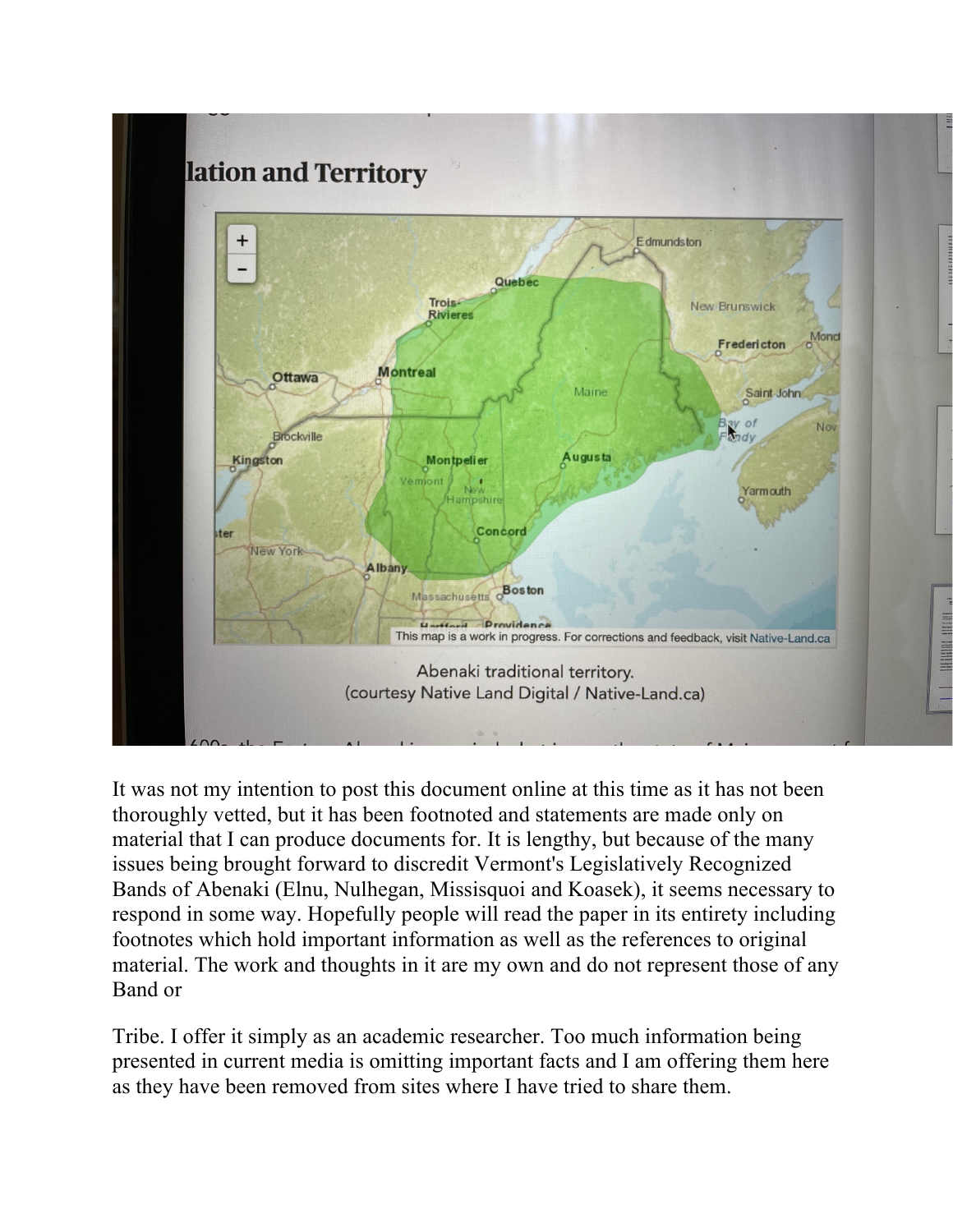

It was not my intention to post this document online at this time as it has not been thoroughly vetted, but it has been footnoted and statements are made only on material that I can produce documents for. It is lengthy, but because of the many issues being brought forward to discredit Vermont's Legislatively Recognized Bands of Abenaki (Elnu, Nulhegan, Missisquoi and Koasek), it seems necessary to respond in some way. Hopefully people will read the paper in its entirety including footnotes which hold important information as well as the references to original material. The work and thoughts in it are my own and do not represent those of any Band or

Tribe. I offer it simply as an academic researcher. Too much information being presented in current media is omitting important facts and I am offering them here as they have been removed from sites where I have tried to share them.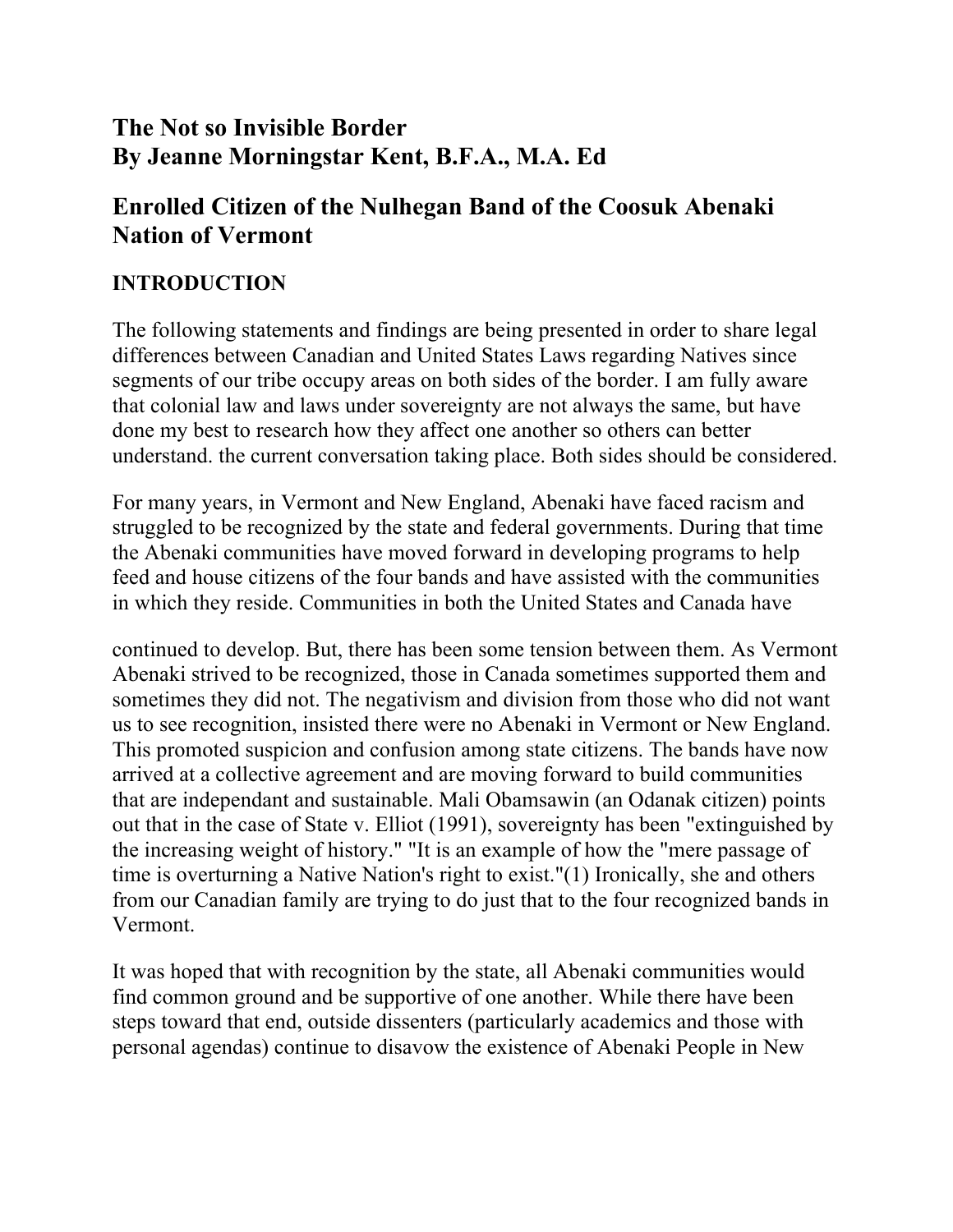# **The Not so Invisible Border By Jeanne Morningstar Kent, B.F.A., M.A. Ed**

# **Enrolled Citizen of the Nulhegan Band of the Coosuk Abenaki Nation of Vermont**

## **INTRODUCTION**

The following statements and findings are being presented in order to share legal differences between Canadian and United States Laws regarding Natives since segments of our tribe occupy areas on both sides of the border. I am fully aware that colonial law and laws under sovereignty are not always the same, but have done my best to research how they affect one another so others can better understand. the current conversation taking place. Both sides should be considered.

For many years, in Vermont and New England, Abenaki have faced racism and struggled to be recognized by the state and federal governments. During that time the Abenaki communities have moved forward in developing programs to help feed and house citizens of the four bands and have assisted with the communities in which they reside. Communities in both the United States and Canada have

continued to develop. But, there has been some tension between them. As Vermont Abenaki strived to be recognized, those in Canada sometimes supported them and sometimes they did not. The negativism and division from those who did not want us to see recognition, insisted there were no Abenaki in Vermont or New England. This promoted suspicion and confusion among state citizens. The bands have now arrived at a collective agreement and are moving forward to build communities that are independant and sustainable. Mali Obamsawin (an Odanak citizen) points out that in the case of State v. Elliot (1991), sovereignty has been "extinguished by the increasing weight of history." "It is an example of how the "mere passage of time is overturning a Native Nation's right to exist."(1) Ironically, she and others from our Canadian family are trying to do just that to the four recognized bands in Vermont.

It was hoped that with recognition by the state, all Abenaki communities would find common ground and be supportive of one another. While there have been steps toward that end, outside dissenters (particularly academics and those with personal agendas) continue to disavow the existence of Abenaki People in New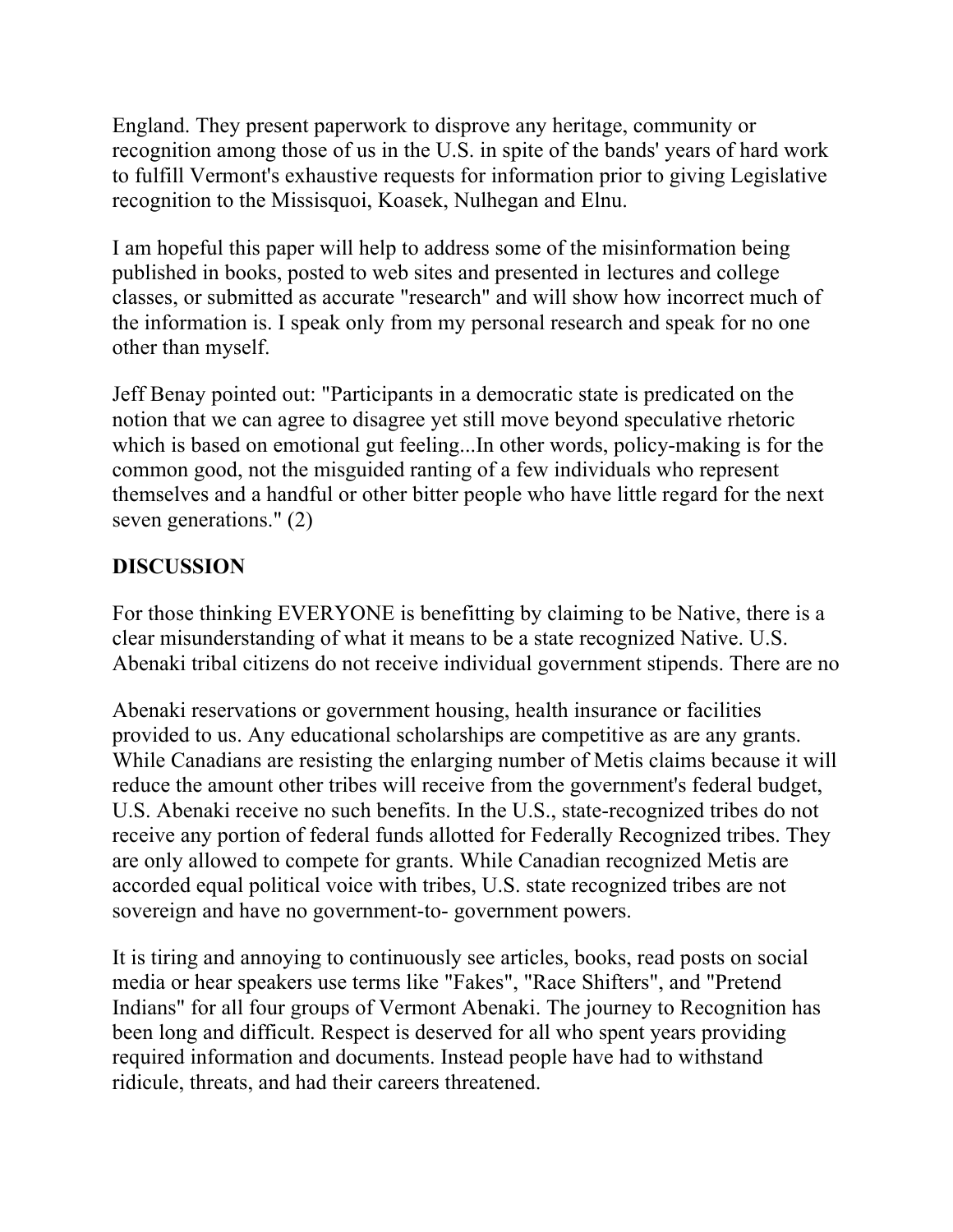England. They present paperwork to disprove any heritage, community or recognition among those of us in the U.S. in spite of the bands' years of hard work to fulfill Vermont's exhaustive requests for information prior to giving Legislative recognition to the Missisquoi, Koasek, Nulhegan and Elnu.

I am hopeful this paper will help to address some of the misinformation being published in books, posted to web sites and presented in lectures and college classes, or submitted as accurate "research" and will show how incorrect much of the information is. I speak only from my personal research and speak for no one other than myself.

Jeff Benay pointed out: "Participants in a democratic state is predicated on the notion that we can agree to disagree yet still move beyond speculative rhetoric which is based on emotional gut feeling...In other words, policy-making is for the common good, not the misguided ranting of a few individuals who represent themselves and a handful or other bitter people who have little regard for the next seven generations." (2)

# **DISCUSSION**

For those thinking EVERYONE is benefitting by claiming to be Native, there is a clear misunderstanding of what it means to be a state recognized Native. U.S. Abenaki tribal citizens do not receive individual government stipends. There are no

Abenaki reservations or government housing, health insurance or facilities provided to us. Any educational scholarships are competitive as are any grants. While Canadians are resisting the enlarging number of Metis claims because it will reduce the amount other tribes will receive from the government's federal budget, U.S. Abenaki receive no such benefits. In the U.S., state-recognized tribes do not receive any portion of federal funds allotted for Federally Recognized tribes. They are only allowed to compete for grants. While Canadian recognized Metis are accorded equal political voice with tribes, U.S. state recognized tribes are not sovereign and have no government-to- government powers.

It is tiring and annoying to continuously see articles, books, read posts on social media or hear speakers use terms like "Fakes", "Race Shifters", and "Pretend Indians" for all four groups of Vermont Abenaki. The journey to Recognition has been long and difficult. Respect is deserved for all who spent years providing required information and documents. Instead people have had to withstand ridicule, threats, and had their careers threatened.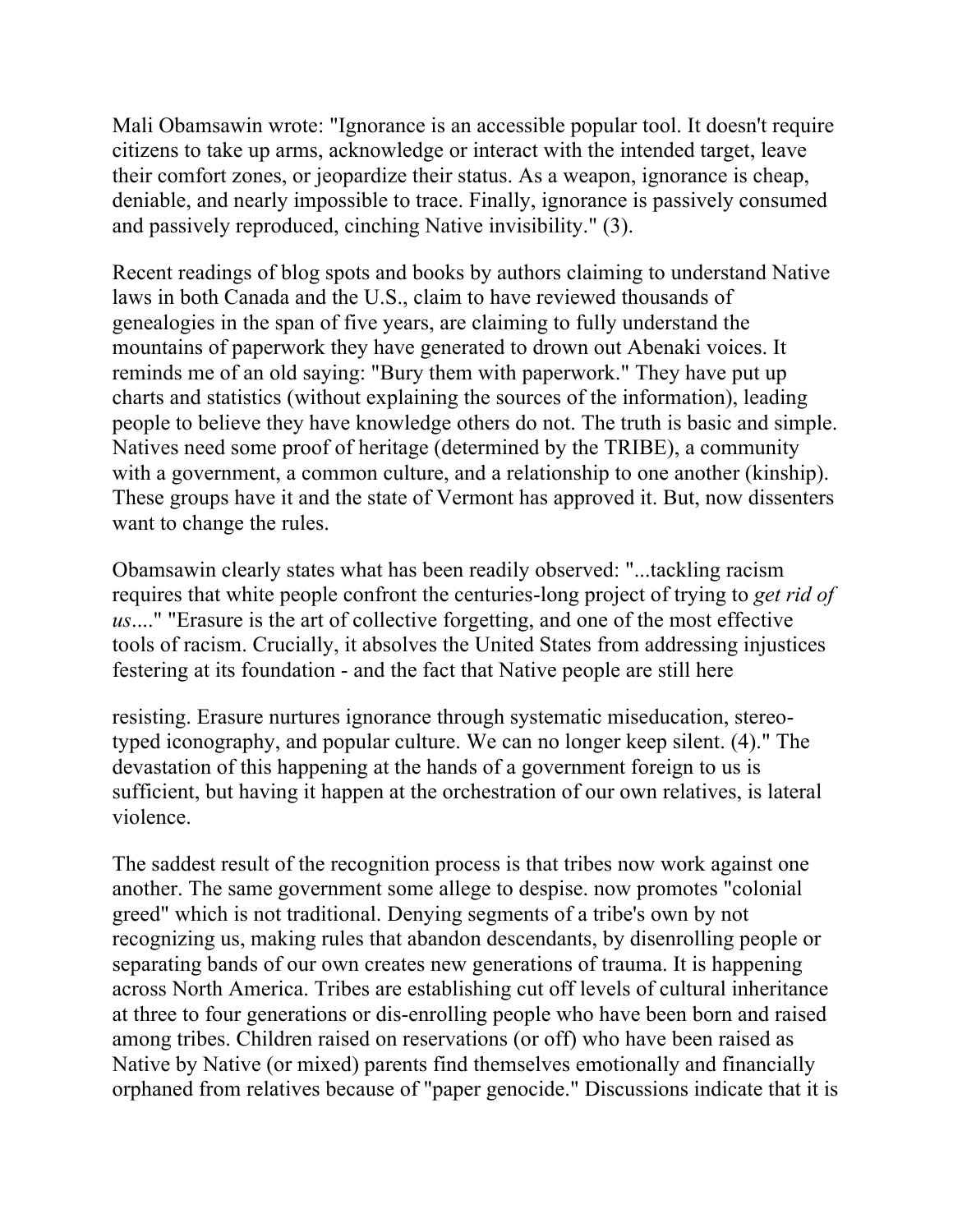Mali Obamsawin wrote: "Ignorance is an accessible popular tool. It doesn't require citizens to take up arms, acknowledge or interact with the intended target, leave their comfort zones, or jeopardize their status. As a weapon, ignorance is cheap, deniable, and nearly impossible to trace. Finally, ignorance is passively consumed and passively reproduced, cinching Native invisibility." (3).

Recent readings of blog spots and books by authors claiming to understand Native laws in both Canada and the U.S., claim to have reviewed thousands of genealogies in the span of five years, are claiming to fully understand the mountains of paperwork they have generated to drown out Abenaki voices. It reminds me of an old saying: "Bury them with paperwork." They have put up charts and statistics (without explaining the sources of the information), leading people to believe they have knowledge others do not. The truth is basic and simple. Natives need some proof of heritage (determined by the TRIBE), a community with a government, a common culture, and a relationship to one another (kinship). These groups have it and the state of Vermont has approved it. But, now dissenters want to change the rules.

Obamsawin clearly states what has been readily observed: "...tackling racism requires that white people confront the centuries-long project of trying to *get rid of us*...." "Erasure is the art of collective forgetting, and one of the most effective tools of racism. Crucially, it absolves the United States from addressing injustices festering at its foundation - and the fact that Native people are still here

resisting. Erasure nurtures ignorance through systematic miseducation, stereotyped iconography, and popular culture. We can no longer keep silent. (4)." The devastation of this happening at the hands of a government foreign to us is sufficient, but having it happen at the orchestration of our own relatives, is lateral violence.

The saddest result of the recognition process is that tribes now work against one another. The same government some allege to despise. now promotes "colonial greed" which is not traditional. Denying segments of a tribe's own by not recognizing us, making rules that abandon descendants, by disenrolling people or separating bands of our own creates new generations of trauma. It is happening across North America. Tribes are establishing cut off levels of cultural inheritance at three to four generations or dis-enrolling people who have been born and raised among tribes. Children raised on reservations (or off) who have been raised as Native by Native (or mixed) parents find themselves emotionally and financially orphaned from relatives because of "paper genocide." Discussions indicate that it is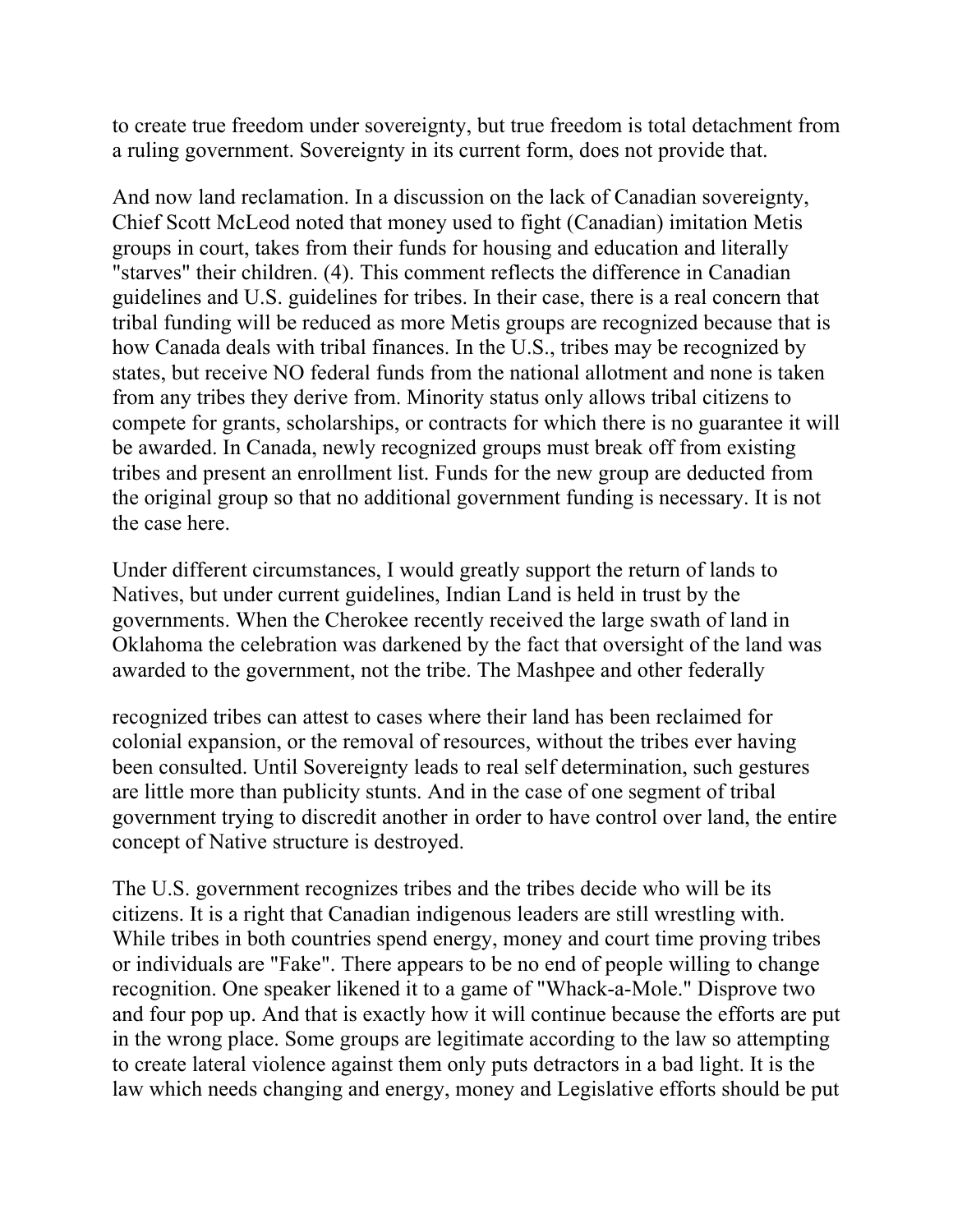to create true freedom under sovereignty, but true freedom is total detachment from a ruling government. Sovereignty in its current form, does not provide that.

And now land reclamation. In a discussion on the lack of Canadian sovereignty, Chief Scott McLeod noted that money used to fight (Canadian) imitation Metis groups in court, takes from their funds for housing and education and literally "starves" their children. (4). This comment reflects the difference in Canadian guidelines and U.S. guidelines for tribes. In their case, there is a real concern that tribal funding will be reduced as more Metis groups are recognized because that is how Canada deals with tribal finances. In the U.S., tribes may be recognized by states, but receive NO federal funds from the national allotment and none is taken from any tribes they derive from. Minority status only allows tribal citizens to compete for grants, scholarships, or contracts for which there is no guarantee it will be awarded. In Canada, newly recognized groups must break off from existing tribes and present an enrollment list. Funds for the new group are deducted from the original group so that no additional government funding is necessary. It is not the case here.

Under different circumstances, I would greatly support the return of lands to Natives, but under current guidelines, Indian Land is held in trust by the governments. When the Cherokee recently received the large swath of land in Oklahoma the celebration was darkened by the fact that oversight of the land was awarded to the government, not the tribe. The Mashpee and other federally

recognized tribes can attest to cases where their land has been reclaimed for colonial expansion, or the removal of resources, without the tribes ever having been consulted. Until Sovereignty leads to real self determination, such gestures are little more than publicity stunts. And in the case of one segment of tribal government trying to discredit another in order to have control over land, the entire concept of Native structure is destroyed.

The U.S. government recognizes tribes and the tribes decide who will be its citizens. It is a right that Canadian indigenous leaders are still wrestling with. While tribes in both countries spend energy, money and court time proving tribes or individuals are "Fake". There appears to be no end of people willing to change recognition. One speaker likened it to a game of "Whack-a-Mole." Disprove two and four pop up. And that is exactly how it will continue because the efforts are put in the wrong place. Some groups are legitimate according to the law so attempting to create lateral violence against them only puts detractors in a bad light. It is the law which needs changing and energy, money and Legislative efforts should be put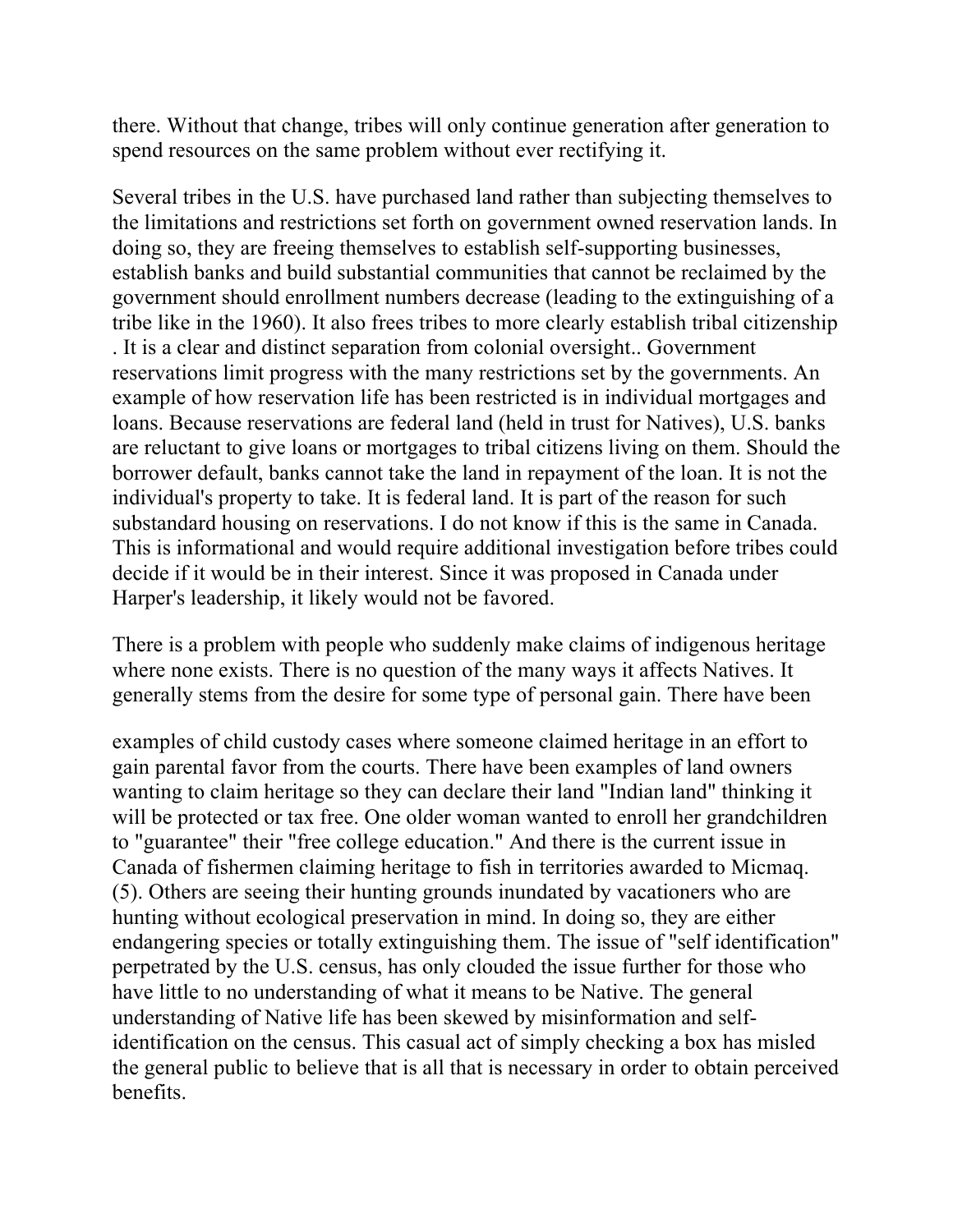there. Without that change, tribes will only continue generation after generation to spend resources on the same problem without ever rectifying it.

Several tribes in the U.S. have purchased land rather than subjecting themselves to the limitations and restrictions set forth on government owned reservation lands. In doing so, they are freeing themselves to establish self-supporting businesses, establish banks and build substantial communities that cannot be reclaimed by the government should enrollment numbers decrease (leading to the extinguishing of a tribe like in the 1960). It also frees tribes to more clearly establish tribal citizenship . It is a clear and distinct separation from colonial oversight.. Government reservations limit progress with the many restrictions set by the governments. An example of how reservation life has been restricted is in individual mortgages and loans. Because reservations are federal land (held in trust for Natives), U.S. banks are reluctant to give loans or mortgages to tribal citizens living on them. Should the borrower default, banks cannot take the land in repayment of the loan. It is not the individual's property to take. It is federal land. It is part of the reason for such substandard housing on reservations. I do not know if this is the same in Canada. This is informational and would require additional investigation before tribes could decide if it would be in their interest. Since it was proposed in Canada under Harper's leadership, it likely would not be favored.

There is a problem with people who suddenly make claims of indigenous heritage where none exists. There is no question of the many ways it affects Natives. It generally stems from the desire for some type of personal gain. There have been

examples of child custody cases where someone claimed heritage in an effort to gain parental favor from the courts. There have been examples of land owners wanting to claim heritage so they can declare their land "Indian land" thinking it will be protected or tax free. One older woman wanted to enroll her grandchildren to "guarantee" their "free college education." And there is the current issue in Canada of fishermen claiming heritage to fish in territories awarded to Micmaq. (5). Others are seeing their hunting grounds inundated by vacationers who are hunting without ecological preservation in mind. In doing so, they are either endangering species or totally extinguishing them. The issue of "self identification" perpetrated by the U.S. census, has only clouded the issue further for those who have little to no understanding of what it means to be Native. The general understanding of Native life has been skewed by misinformation and selfidentification on the census. This casual act of simply checking a box has misled the general public to believe that is all that is necessary in order to obtain perceived benefits.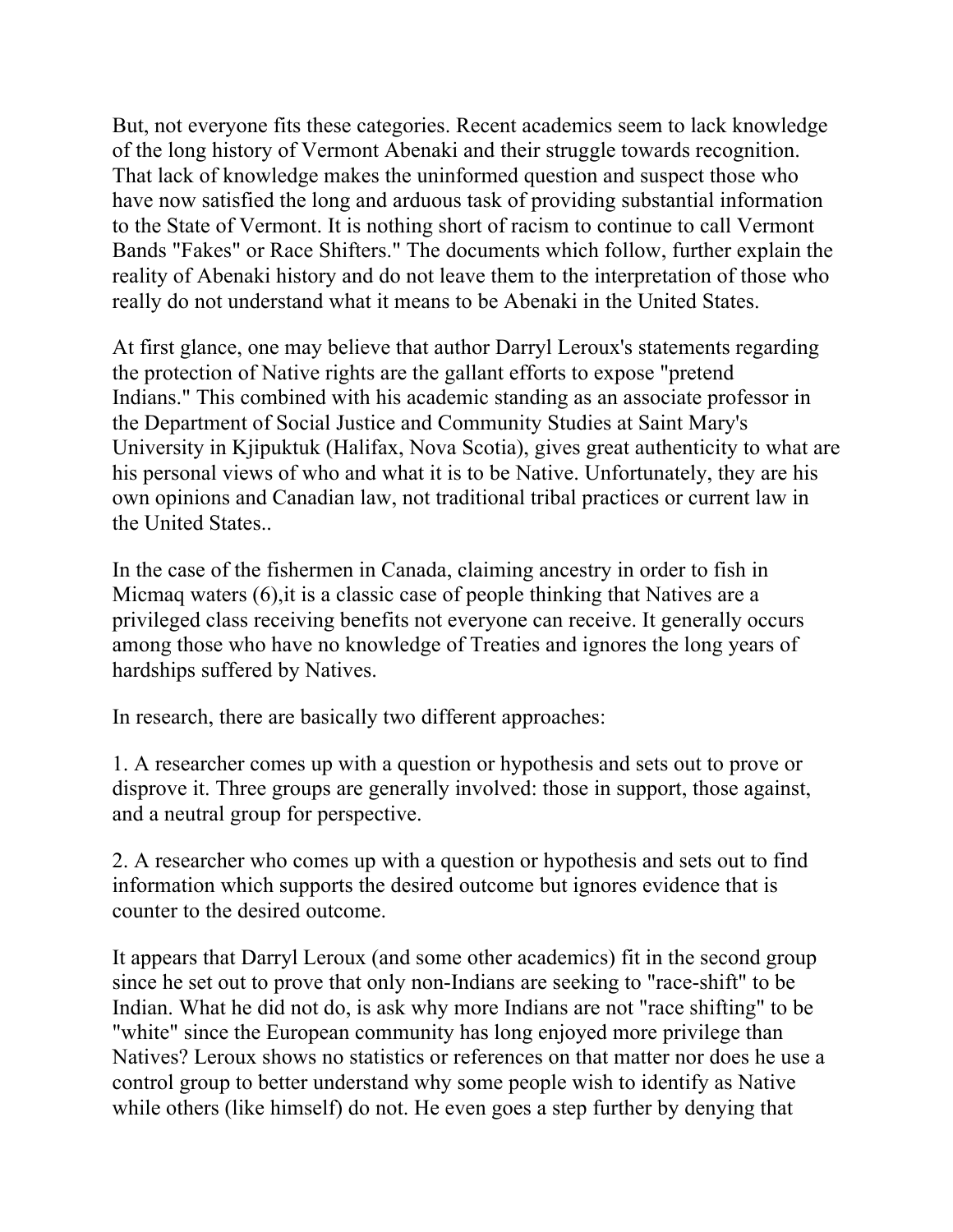But, not everyone fits these categories. Recent academics seem to lack knowledge of the long history of Vermont Abenaki and their struggle towards recognition. That lack of knowledge makes the uninformed question and suspect those who have now satisfied the long and arduous task of providing substantial information to the State of Vermont. It is nothing short of racism to continue to call Vermont Bands "Fakes" or Race Shifters." The documents which follow, further explain the reality of Abenaki history and do not leave them to the interpretation of those who really do not understand what it means to be Abenaki in the United States.

At first glance, one may believe that author Darryl Leroux's statements regarding the protection of Native rights are the gallant efforts to expose "pretend Indians." This combined with his academic standing as an associate professor in the Department of Social Justice and Community Studies at Saint Mary's University in Kjipuktuk (Halifax, Nova Scotia), gives great authenticity to what are his personal views of who and what it is to be Native. Unfortunately, they are his own opinions and Canadian law, not traditional tribal practices or current law in the United States..

In the case of the fishermen in Canada, claiming ancestry in order to fish in Micmaq waters (6),it is a classic case of people thinking that Natives are a privileged class receiving benefits not everyone can receive. It generally occurs among those who have no knowledge of Treaties and ignores the long years of hardships suffered by Natives.

In research, there are basically two different approaches:

1. A researcher comes up with a question or hypothesis and sets out to prove or disprove it. Three groups are generally involved: those in support, those against, and a neutral group for perspective.

2. A researcher who comes up with a question or hypothesis and sets out to find information which supports the desired outcome but ignores evidence that is counter to the desired outcome.

It appears that Darryl Leroux (and some other academics) fit in the second group since he set out to prove that only non-Indians are seeking to "race-shift" to be Indian. What he did not do, is ask why more Indians are not "race shifting" to be "white" since the European community has long enjoyed more privilege than Natives? Leroux shows no statistics or references on that matter nor does he use a control group to better understand why some people wish to identify as Native while others (like himself) do not. He even goes a step further by denying that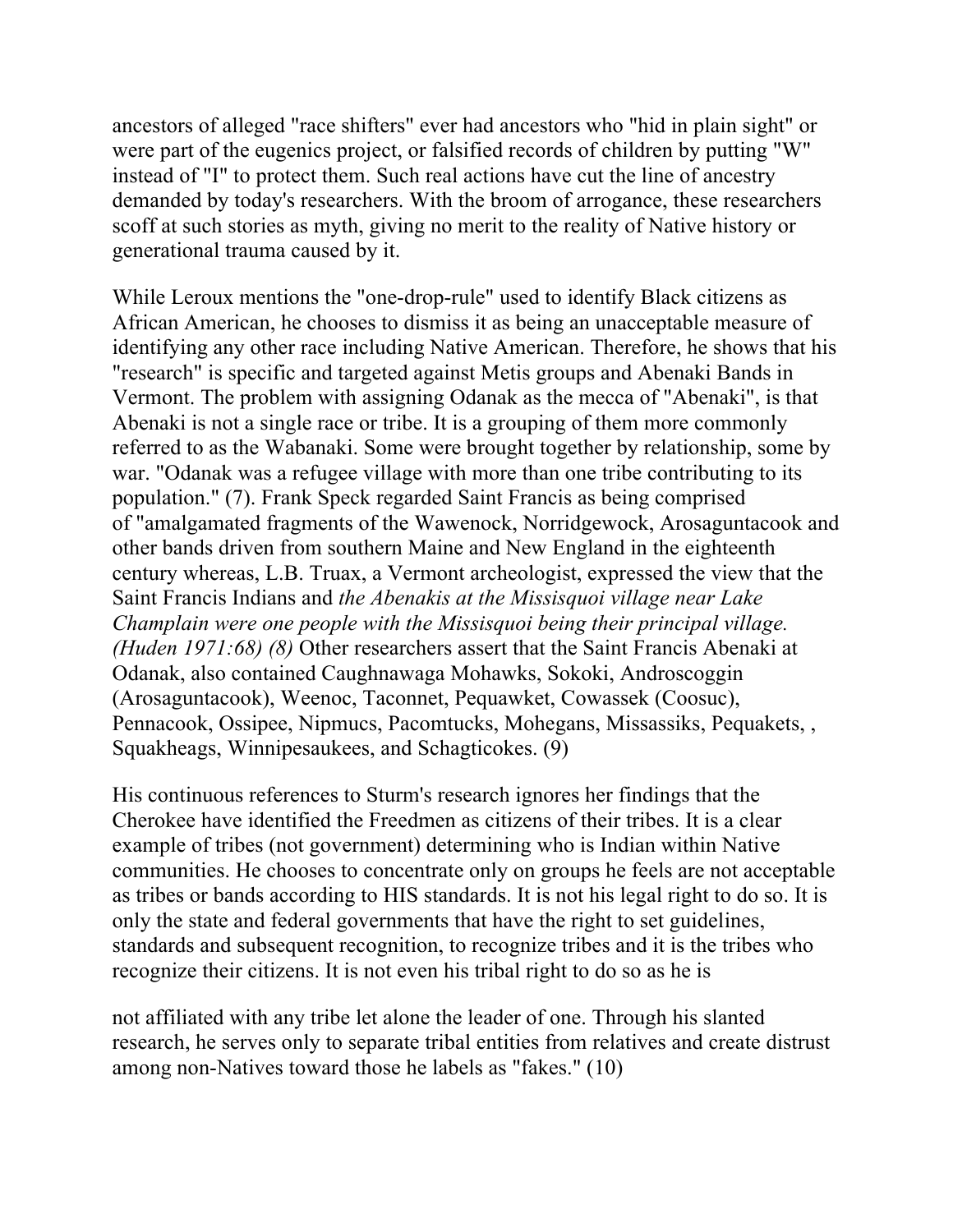ancestors of alleged "race shifters" ever had ancestors who "hid in plain sight" or were part of the eugenics project, or falsified records of children by putting "W" instead of "I" to protect them. Such real actions have cut the line of ancestry demanded by today's researchers. With the broom of arrogance, these researchers scoff at such stories as myth, giving no merit to the reality of Native history or generational trauma caused by it.

While Leroux mentions the "one-drop-rule" used to identify Black citizens as African American, he chooses to dismiss it as being an unacceptable measure of identifying any other race including Native American. Therefore, he shows that his "research" is specific and targeted against Metis groups and Abenaki Bands in Vermont. The problem with assigning Odanak as the mecca of "Abenaki", is that Abenaki is not a single race or tribe. It is a grouping of them more commonly referred to as the Wabanaki. Some were brought together by relationship, some by war. "Odanak was a refugee village with more than one tribe contributing to its population." (7). Frank Speck regarded Saint Francis as being comprised of "amalgamated fragments of the Wawenock, Norridgewock, Arosaguntacook and other bands driven from southern Maine and New England in the eighteenth century whereas, L.B. Truax, a Vermont archeologist, expressed the view that the Saint Francis Indians and *the Abenakis at the Missisquoi village near Lake Champlain were one people with the Missisquoi being their principal village. (Huden 1971:68) (8)* Other researchers assert that the Saint Francis Abenaki at Odanak, also contained Caughnawaga Mohawks, Sokoki, Androscoggin (Arosaguntacook), Weenoc, Taconnet, Pequawket, Cowassek (Coosuc), Pennacook, Ossipee, Nipmucs, Pacomtucks, Mohegans, Missassiks, Pequakets, , Squakheags, Winnipesaukees, and Schagticokes. (9)

His continuous references to Sturm's research ignores her findings that the Cherokee have identified the Freedmen as citizens of their tribes. It is a clear example of tribes (not government) determining who is Indian within Native communities. He chooses to concentrate only on groups he feels are not acceptable as tribes or bands according to HIS standards. It is not his legal right to do so. It is only the state and federal governments that have the right to set guidelines, standards and subsequent recognition, to recognize tribes and it is the tribes who recognize their citizens. It is not even his tribal right to do so as he is

not affiliated with any tribe let alone the leader of one. Through his slanted research, he serves only to separate tribal entities from relatives and create distrust among non-Natives toward those he labels as "fakes." (10)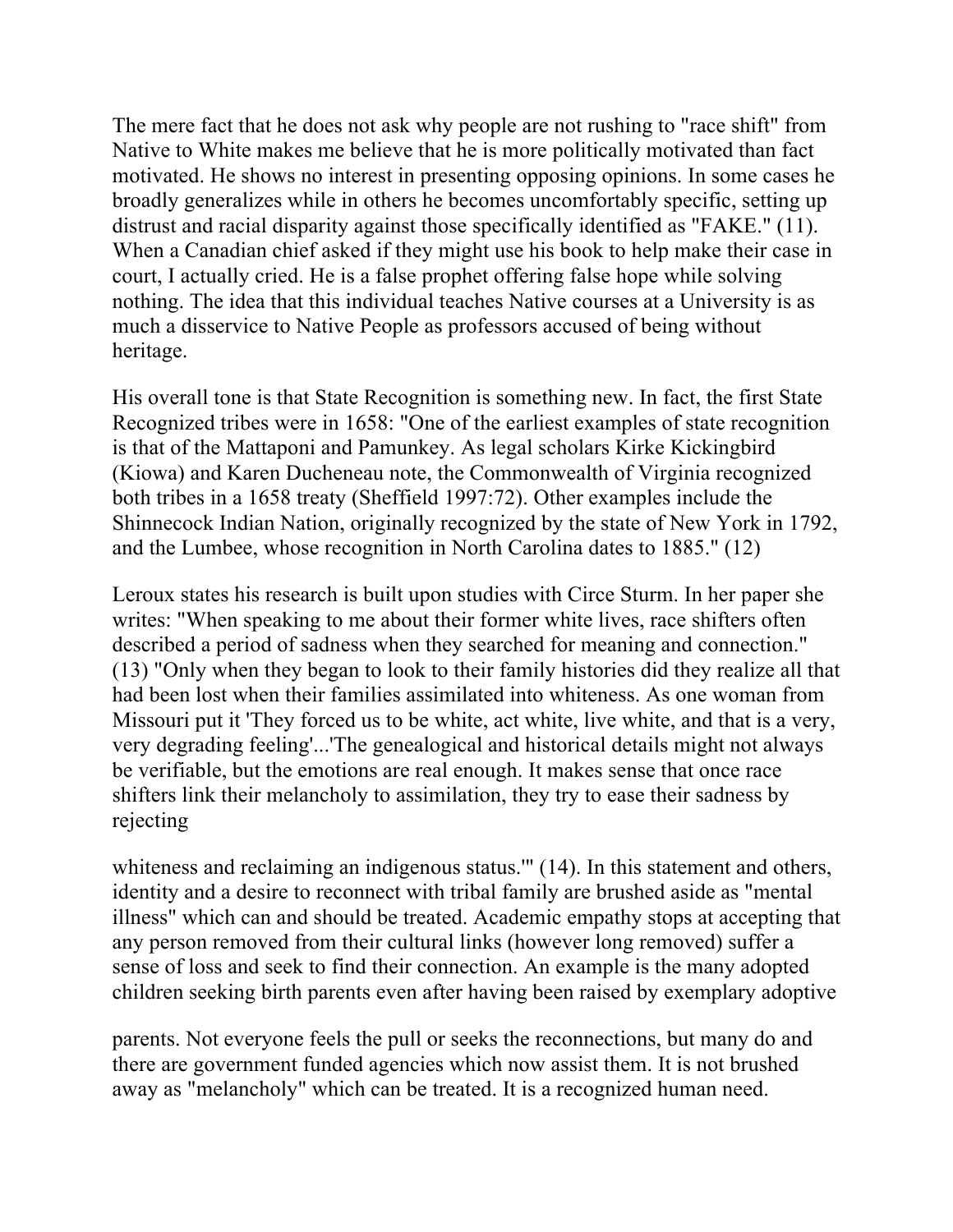The mere fact that he does not ask why people are not rushing to "race shift" from Native to White makes me believe that he is more politically motivated than fact motivated. He shows no interest in presenting opposing opinions. In some cases he broadly generalizes while in others he becomes uncomfortably specific, setting up distrust and racial disparity against those specifically identified as "FAKE." (11). When a Canadian chief asked if they might use his book to help make their case in court, I actually cried. He is a false prophet offering false hope while solving nothing. The idea that this individual teaches Native courses at a University is as much a disservice to Native People as professors accused of being without heritage.

His overall tone is that State Recognition is something new. In fact, the first State Recognized tribes were in 1658: "One of the earliest examples of state recognition is that of the Mattaponi and Pamunkey. As legal scholars Kirke Kickingbird (Kiowa) and Karen Ducheneau note, the Commonwealth of Virginia recognized both tribes in a 1658 treaty (Sheffield 1997:72). Other examples include the Shinnecock Indian Nation, originally recognized by the state of New York in 1792, and the Lumbee, whose recognition in North Carolina dates to 1885." (12)

Leroux states his research is built upon studies with Circe Sturm. In her paper she writes: "When speaking to me about their former white lives, race shifters often described a period of sadness when they searched for meaning and connection." (13) "Only when they began to look to their family histories did they realize all that had been lost when their families assimilated into whiteness. As one woman from Missouri put it 'They forced us to be white, act white, live white, and that is a very, very degrading feeling'...'The genealogical and historical details might not always be verifiable, but the emotions are real enough. It makes sense that once race shifters link their melancholy to assimilation, they try to ease their sadness by rejecting

whiteness and reclaiming an indigenous status." (14). In this statement and others, identity and a desire to reconnect with tribal family are brushed aside as "mental illness" which can and should be treated. Academic empathy stops at accepting that any person removed from their cultural links (however long removed) suffer a sense of loss and seek to find their connection. An example is the many adopted children seeking birth parents even after having been raised by exemplary adoptive

parents. Not everyone feels the pull or seeks the reconnections, but many do and there are government funded agencies which now assist them. It is not brushed away as "melancholy" which can be treated. It is a recognized human need.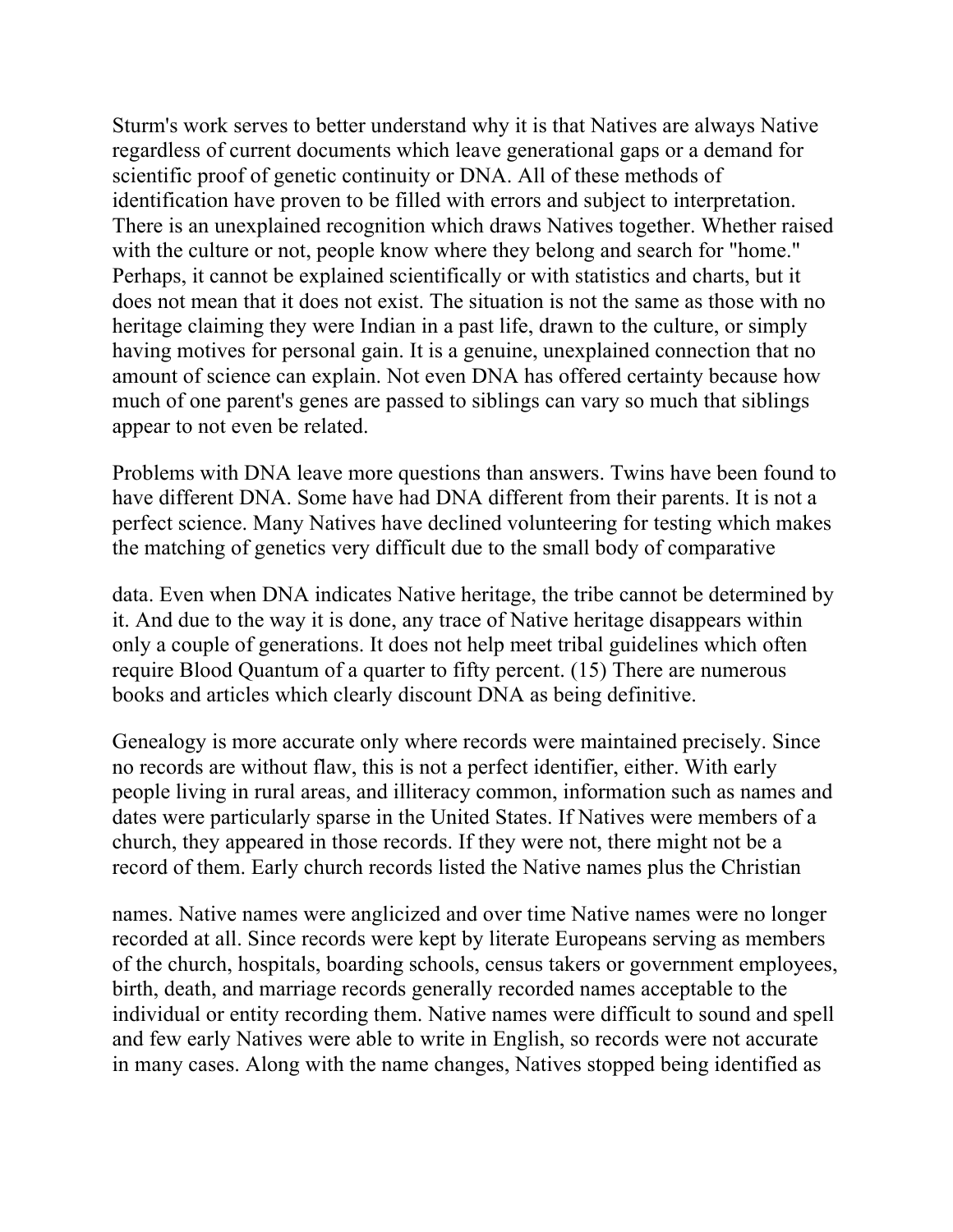Sturm's work serves to better understand why it is that Natives are always Native regardless of current documents which leave generational gaps or a demand for scientific proof of genetic continuity or DNA. All of these methods of identification have proven to be filled with errors and subject to interpretation. There is an unexplained recognition which draws Natives together. Whether raised with the culture or not, people know where they belong and search for "home." Perhaps, it cannot be explained scientifically or with statistics and charts, but it does not mean that it does not exist. The situation is not the same as those with no heritage claiming they were Indian in a past life, drawn to the culture, or simply having motives for personal gain. It is a genuine, unexplained connection that no amount of science can explain. Not even DNA has offered certainty because how much of one parent's genes are passed to siblings can vary so much that siblings appear to not even be related.

Problems with DNA leave more questions than answers. Twins have been found to have different DNA. Some have had DNA different from their parents. It is not a perfect science. Many Natives have declined volunteering for testing which makes the matching of genetics very difficult due to the small body of comparative

data. Even when DNA indicates Native heritage, the tribe cannot be determined by it. And due to the way it is done, any trace of Native heritage disappears within only a couple of generations. It does not help meet tribal guidelines which often require Blood Quantum of a quarter to fifty percent. (15) There are numerous books and articles which clearly discount DNA as being definitive.

Genealogy is more accurate only where records were maintained precisely. Since no records are without flaw, this is not a perfect identifier, either. With early people living in rural areas, and illiteracy common, information such as names and dates were particularly sparse in the United States. If Natives were members of a church, they appeared in those records. If they were not, there might not be a record of them. Early church records listed the Native names plus the Christian

names. Native names were anglicized and over time Native names were no longer recorded at all. Since records were kept by literate Europeans serving as members of the church, hospitals, boarding schools, census takers or government employees, birth, death, and marriage records generally recorded names acceptable to the individual or entity recording them. Native names were difficult to sound and spell and few early Natives were able to write in English, so records were not accurate in many cases. Along with the name changes, Natives stopped being identified as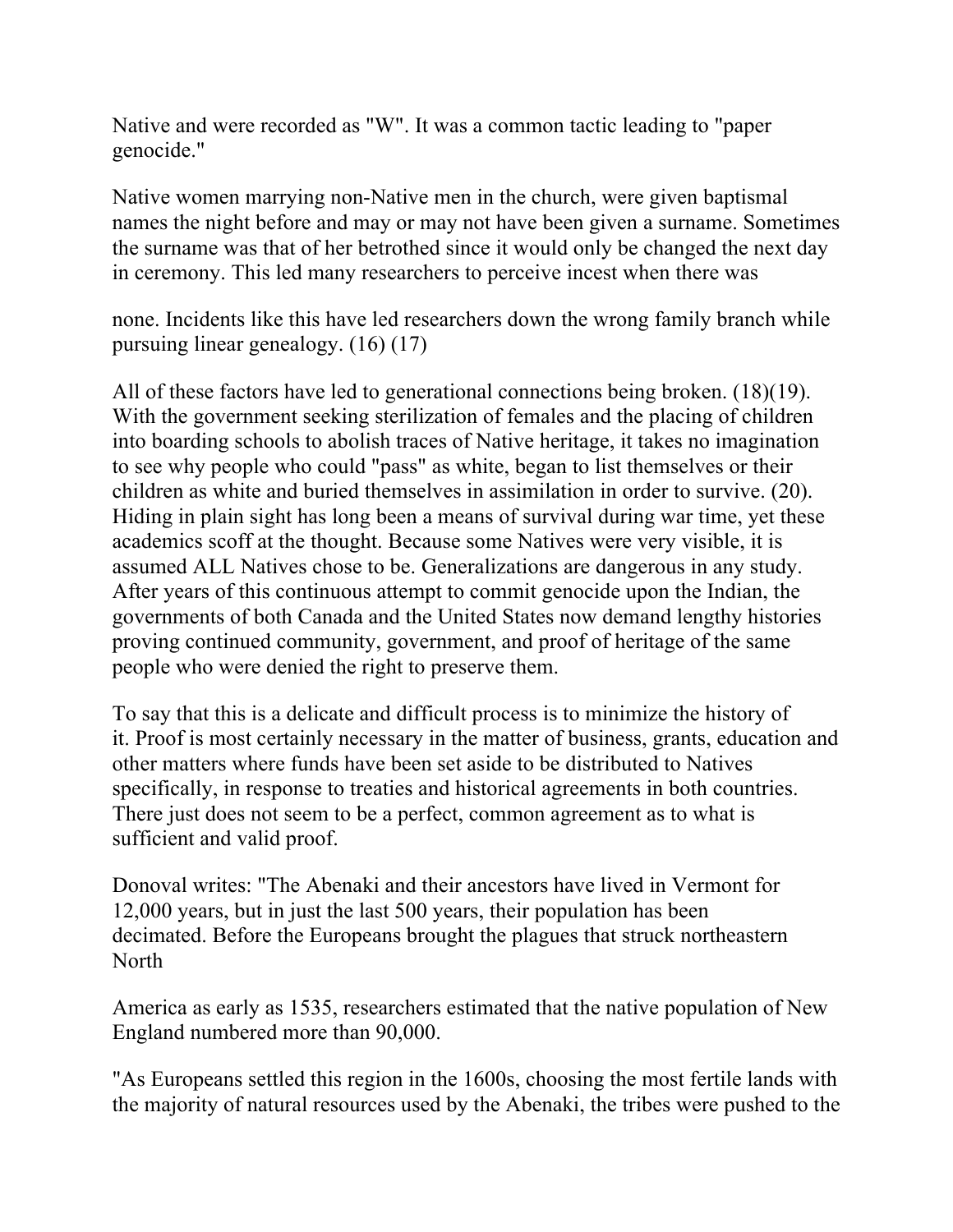Native and were recorded as "W". It was a common tactic leading to "paper genocide."

Native women marrying non-Native men in the church, were given baptismal names the night before and may or may not have been given a surname. Sometimes the surname was that of her betrothed since it would only be changed the next day in ceremony. This led many researchers to perceive incest when there was

none. Incidents like this have led researchers down the wrong family branch while pursuing linear genealogy. (16) (17)

All of these factors have led to generational connections being broken. (18)(19). With the government seeking sterilization of females and the placing of children into boarding schools to abolish traces of Native heritage, it takes no imagination to see why people who could "pass" as white, began to list themselves or their children as white and buried themselves in assimilation in order to survive. (20). Hiding in plain sight has long been a means of survival during war time, yet these academics scoff at the thought. Because some Natives were very visible, it is assumed ALL Natives chose to be. Generalizations are dangerous in any study. After years of this continuous attempt to commit genocide upon the Indian, the governments of both Canada and the United States now demand lengthy histories proving continued community, government, and proof of heritage of the same people who were denied the right to preserve them.

To say that this is a delicate and difficult process is to minimize the history of it. Proof is most certainly necessary in the matter of business, grants, education and other matters where funds have been set aside to be distributed to Natives specifically, in response to treaties and historical agreements in both countries. There just does not seem to be a perfect, common agreement as to what is sufficient and valid proof.

Donoval writes: "The Abenaki and their ancestors have lived in Vermont for 12,000 years, but in just the last 500 years, their population has been decimated. Before the Europeans brought the plagues that struck northeastern North

America as early as 1535, researchers estimated that the native population of New England numbered more than 90,000.

"As Europeans settled this region in the 1600s, choosing the most fertile lands with the majority of natural resources used by the Abenaki, the tribes were pushed to the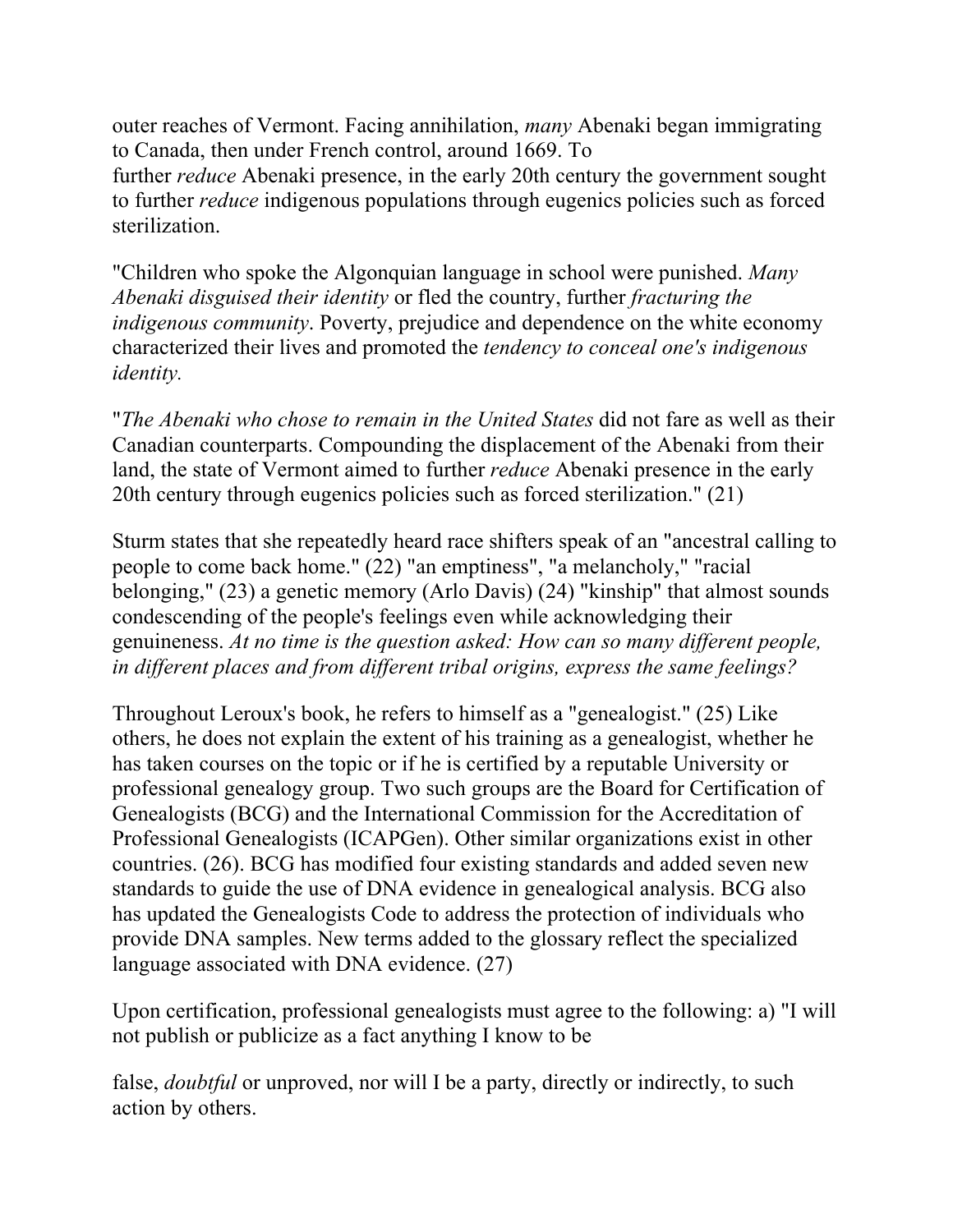outer reaches of Vermont. Facing annihilation, *many* Abenaki began immigrating to Canada, then under French control, around 1669. To

further *reduce* Abenaki presence, in the early 20th century the government sought to further *reduce* indigenous populations through eugenics policies such as forced sterilization.

"Children who spoke the Algonquian language in school were punished. *Many Abenaki disguised their identity* or fled the country, further *fracturing the indigenous community*. Poverty, prejudice and dependence on the white economy characterized their lives and promoted the *tendency to conceal one's indigenous identity.* 

"*The Abenaki who chose to remain in the United States* did not fare as well as their Canadian counterparts. Compounding the displacement of the Abenaki from their land, the state of Vermont aimed to further *reduce* Abenaki presence in the early 20th century through eugenics policies such as forced sterilization." (21)

Sturm states that she repeatedly heard race shifters speak of an "ancestral calling to people to come back home." (22) "an emptiness", "a melancholy," "racial belonging," (23) a genetic memory (Arlo Davis) (24) "kinship" that almost sounds condescending of the people's feelings even while acknowledging their genuineness. *At no time is the question asked: How can so many different people, in different places and from different tribal origins, express the same feelings?* 

Throughout Leroux's book, he refers to himself as a "genealogist." (25) Like others, he does not explain the extent of his training as a genealogist, whether he has taken courses on the topic or if he is certified by a reputable University or professional genealogy group. Two such groups are the Board for Certification of Genealogists (BCG) and the International Commission for the Accreditation of Professional Genealogists (ICAPGen). Other similar organizations exist in other countries. (26). BCG has modified four existing standards and added seven new standards to guide the use of DNA evidence in genealogical analysis. BCG also has updated the Genealogists Code to address the protection of individuals who provide DNA samples. New terms added to the glossary reflect the specialized language associated with DNA evidence. (27)

Upon certification, professional genealogists must agree to the following: a) "I will not publish or publicize as a fact anything I know to be

false, *doubtful* or unproved, nor will I be a party, directly or indirectly, to such action by others.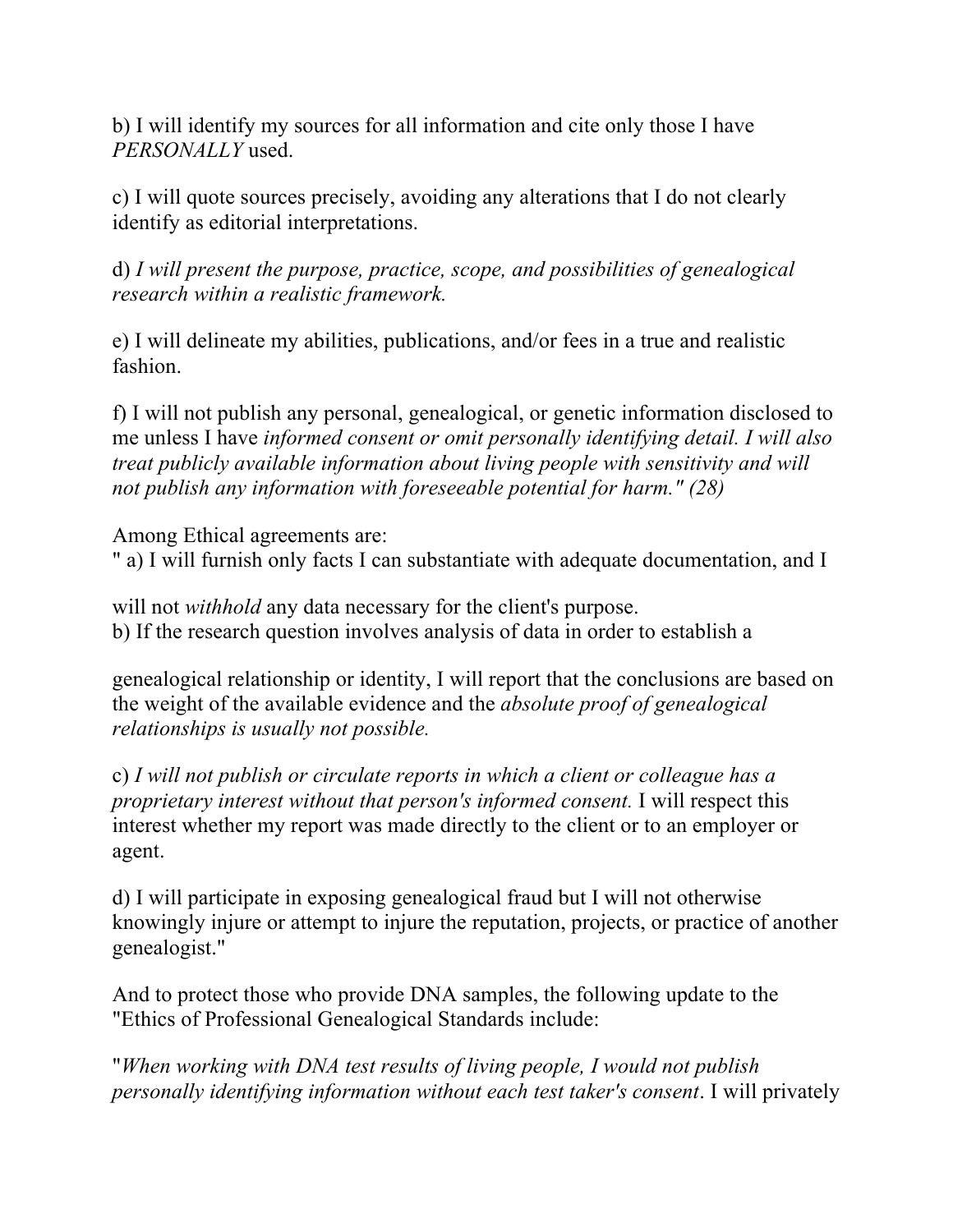b) I will identify my sources for all information and cite only those I have *PERSONALLY* used.

c) I will quote sources precisely, avoiding any alterations that I do not clearly identify as editorial interpretations.

d) *I will present the purpose, practice, scope, and possibilities of genealogical research within a realistic framework.* 

e) I will delineate my abilities, publications, and/or fees in a true and realistic fashion.

f) I will not publish any personal, genealogical, or genetic information disclosed to me unless I have *informed consent or omit personally identifying detail. I will also treat publicly available information about living people with sensitivity and will not publish any information with foreseeable potential for harm." (28)* 

Among Ethical agreements are:

" a) I will furnish only facts I can substantiate with adequate documentation, and I

will not *withhold* any data necessary for the client's purpose. b) If the research question involves analysis of data in order to establish a

genealogical relationship or identity, I will report that the conclusions are based on the weight of the available evidence and the *absolute proof of genealogical relationships is usually not possible.* 

c) *I will not publish or circulate reports in which a client or colleague has a proprietary interest without that person's informed consent.* I will respect this interest whether my report was made directly to the client or to an employer or agent.

d) I will participate in exposing genealogical fraud but I will not otherwise knowingly injure or attempt to injure the reputation, projects, or practice of another genealogist."

And to protect those who provide DNA samples, the following update to the "Ethics of Professional Genealogical Standards include:

"*When working with DNA test results of living people, I would not publish personally identifying information without each test taker's consent*. I will privately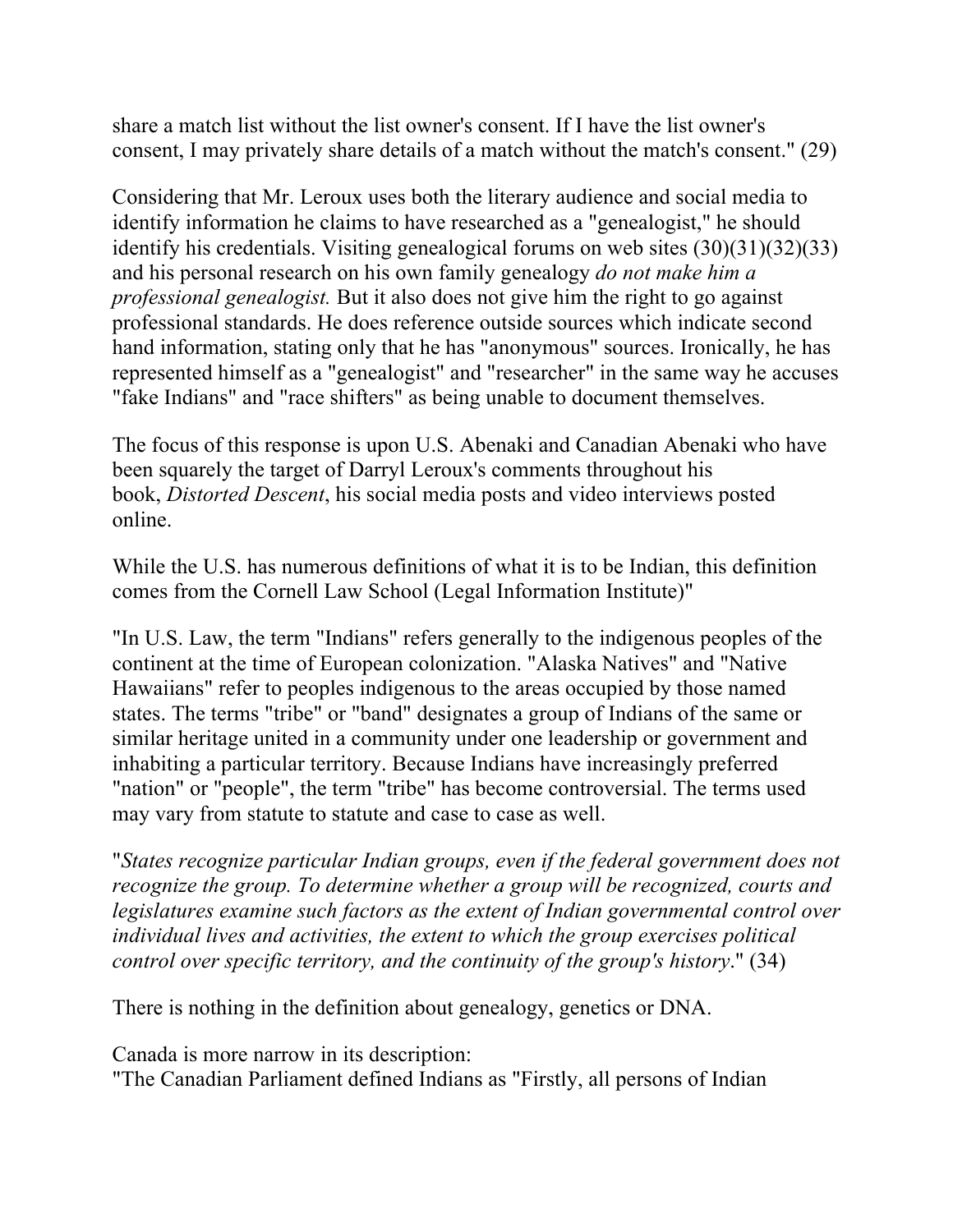share a match list without the list owner's consent. If I have the list owner's consent, I may privately share details of a match without the match's consent." (29)

Considering that Mr. Leroux uses both the literary audience and social media to identify information he claims to have researched as a "genealogist," he should identify his credentials. Visiting genealogical forums on web sites (30)(31)(32)(33) and his personal research on his own family genealogy *do not make him a professional genealogist.* But it also does not give him the right to go against professional standards. He does reference outside sources which indicate second hand information, stating only that he has "anonymous" sources. Ironically, he has represented himself as a "genealogist" and "researcher" in the same way he accuses "fake Indians" and "race shifters" as being unable to document themselves.

The focus of this response is upon U.S. Abenaki and Canadian Abenaki who have been squarely the target of Darryl Leroux's comments throughout his book, *Distorted Descent*, his social media posts and video interviews posted online.

While the U.S. has numerous definitions of what it is to be Indian, this definition comes from the Cornell Law School (Legal Information Institute)"

"In U.S. Law, the term "Indians" refers generally to the indigenous peoples of the continent at the time of European colonization. "Alaska Natives" and "Native Hawaiians" refer to peoples indigenous to the areas occupied by those named states. The terms "tribe" or "band" designates a group of Indians of the same or similar heritage united in a community under one leadership or government and inhabiting a particular territory. Because Indians have increasingly preferred "nation" or "people", the term "tribe" has become controversial. The terms used may vary from statute to statute and case to case as well.

"*States recognize particular Indian groups, even if the federal government does not recognize the group. To determine whether a group will be recognized, courts and legislatures examine such factors as the extent of Indian governmental control over individual lives and activities, the extent to which the group exercises political control over specific territory, and the continuity of the group's history*." (34)

There is nothing in the definition about genealogy, genetics or DNA.

Canada is more narrow in its description:

"The Canadian Parliament defined Indians as "Firstly, all persons of Indian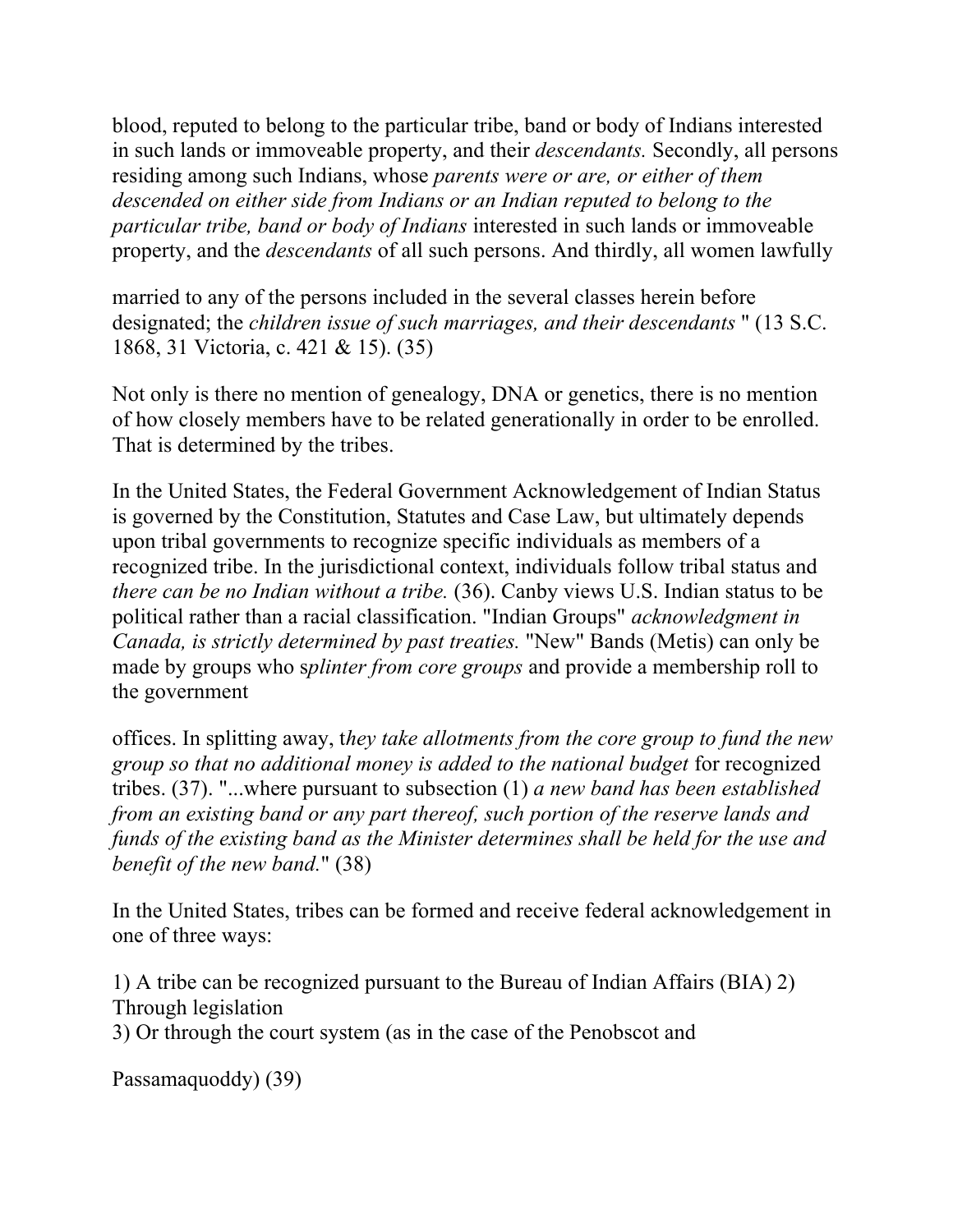blood, reputed to belong to the particular tribe, band or body of Indians interested in such lands or immoveable property, and their *descendants.* Secondly, all persons residing among such Indians, whose *parents were or are, or either of them descended on either side from Indians or an Indian reputed to belong to the particular tribe, band or body of Indians* interested in such lands or immoveable property, and the *descendants* of all such persons. And thirdly, all women lawfully

married to any of the persons included in the several classes herein before designated; the *children issue of such marriages, and their descendants* " (13 S.C. 1868, 31 Victoria, c. 421 & 15). (35)

Not only is there no mention of genealogy, DNA or genetics, there is no mention of how closely members have to be related generationally in order to be enrolled. That is determined by the tribes.

In the United States, the Federal Government Acknowledgement of Indian Status is governed by the Constitution, Statutes and Case Law, but ultimately depends upon tribal governments to recognize specific individuals as members of a recognized tribe. In the jurisdictional context, individuals follow tribal status and *there can be no Indian without a tribe.* (36). Canby views U.S. Indian status to be political rather than a racial classification. "Indian Groups" *acknowledgment in Canada, is strictly determined by past treaties.* "New" Bands (Metis) can only be made by groups who s*plinter from core groups* and provide a membership roll to the government

offices. In splitting away, t*hey take allotments from the core group to fund the new group so that no additional money is added to the national budget* for recognized tribes. (37). "...where pursuant to subsection (1) *a new band has been established from an existing band or any part thereof, such portion of the reserve lands and funds of the existing band as the Minister determines shall be held for the use and benefit of the new band.*" (38)

In the United States, tribes can be formed and receive federal acknowledgement in one of three ways:

1) A tribe can be recognized pursuant to the Bureau of Indian Affairs (BIA) 2) Through legislation

3) Or through the court system (as in the case of the Penobscot and

Passamaquoddy) (39)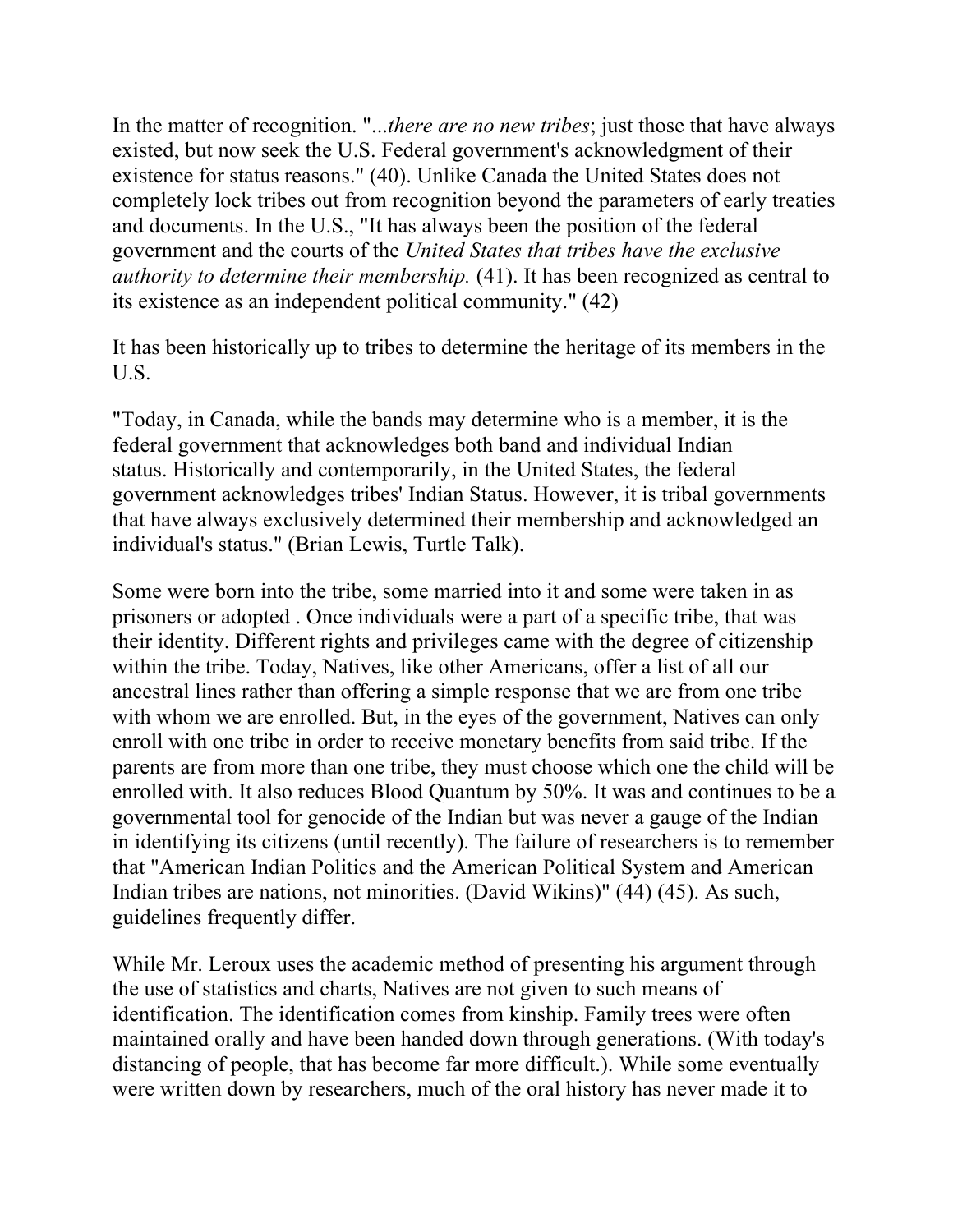In the matter of recognition. "...*there are no new tribes*; just those that have always existed, but now seek the U.S. Federal government's acknowledgment of their existence for status reasons." (40). Unlike Canada the United States does not completely lock tribes out from recognition beyond the parameters of early treaties and documents. In the U.S., "It has always been the position of the federal government and the courts of the *United States that tribes have the exclusive authority to determine their membership.* (41). It has been recognized as central to its existence as an independent political community." (42)

It has been historically up to tribes to determine the heritage of its members in the U.S.

"Today, in Canada, while the bands may determine who is a member, it is the federal government that acknowledges both band and individual Indian status. Historically and contemporarily, in the United States, the federal government acknowledges tribes' Indian Status. However, it is tribal governments that have always exclusively determined their membership and acknowledged an individual's status." (Brian Lewis, Turtle Talk).

Some were born into the tribe, some married into it and some were taken in as prisoners or adopted . Once individuals were a part of a specific tribe, that was their identity. Different rights and privileges came with the degree of citizenship within the tribe. Today, Natives, like other Americans, offer a list of all our ancestral lines rather than offering a simple response that we are from one tribe with whom we are enrolled. But, in the eyes of the government, Natives can only enroll with one tribe in order to receive monetary benefits from said tribe. If the parents are from more than one tribe, they must choose which one the child will be enrolled with. It also reduces Blood Quantum by 50%. It was and continues to be a governmental tool for genocide of the Indian but was never a gauge of the Indian in identifying its citizens (until recently). The failure of researchers is to remember that "American Indian Politics and the American Political System and American Indian tribes are nations, not minorities. (David Wikins)" (44) (45). As such, guidelines frequently differ.

While Mr. Leroux uses the academic method of presenting his argument through the use of statistics and charts, Natives are not given to such means of identification. The identification comes from kinship. Family trees were often maintained orally and have been handed down through generations. (With today's distancing of people, that has become far more difficult.). While some eventually were written down by researchers, much of the oral history has never made it to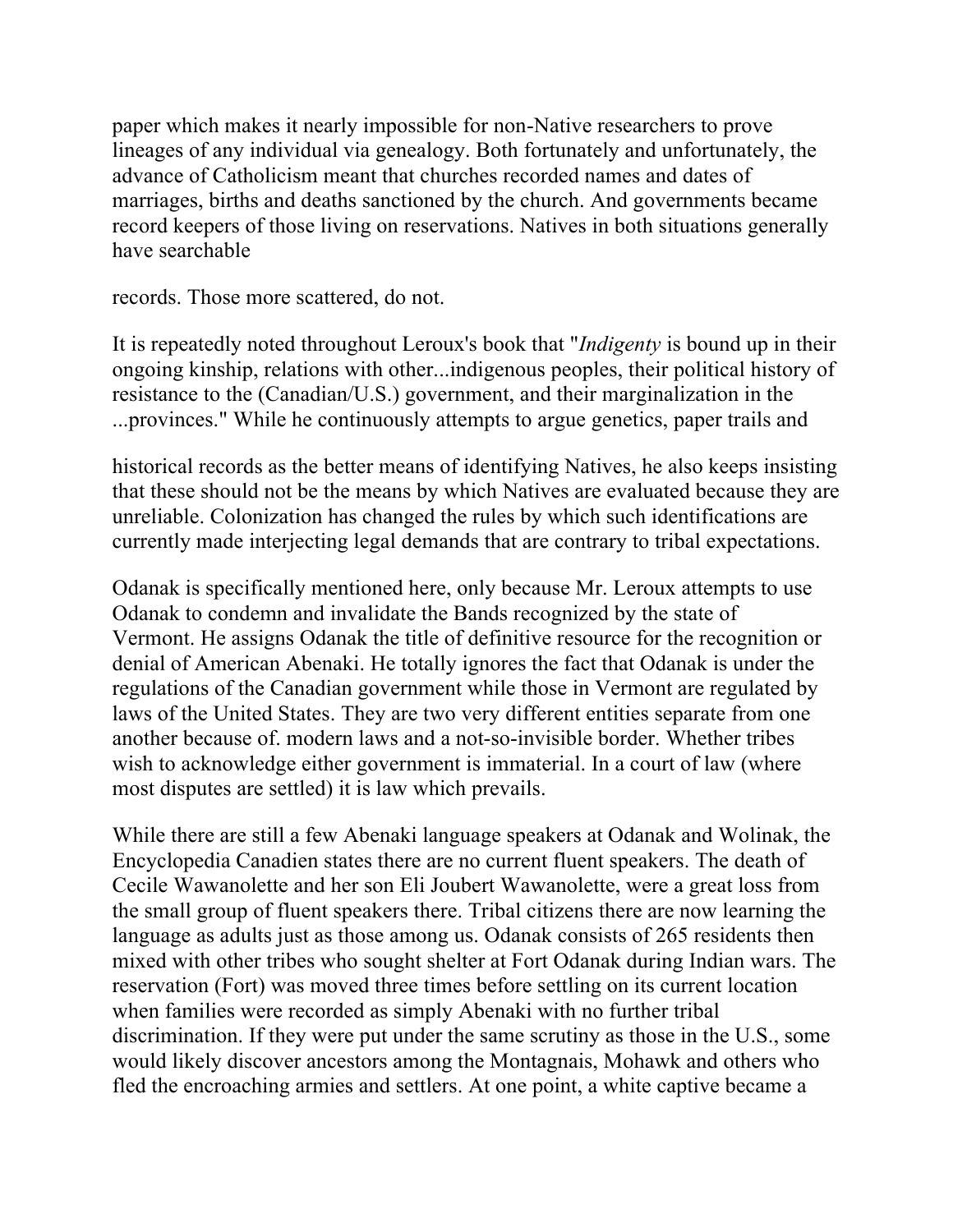paper which makes it nearly impossible for non-Native researchers to prove lineages of any individual via genealogy. Both fortunately and unfortunately, the advance of Catholicism meant that churches recorded names and dates of marriages, births and deaths sanctioned by the church. And governments became record keepers of those living on reservations. Natives in both situations generally have searchable

records. Those more scattered, do not.

It is repeatedly noted throughout Leroux's book that "*Indigenty* is bound up in their ongoing kinship, relations with other...indigenous peoples, their political history of resistance to the (Canadian/U.S.) government, and their marginalization in the ...provinces." While he continuously attempts to argue genetics, paper trails and

historical records as the better means of identifying Natives, he also keeps insisting that these should not be the means by which Natives are evaluated because they are unreliable. Colonization has changed the rules by which such identifications are currently made interjecting legal demands that are contrary to tribal expectations.

Odanak is specifically mentioned here, only because Mr. Leroux attempts to use Odanak to condemn and invalidate the Bands recognized by the state of Vermont. He assigns Odanak the title of definitive resource for the recognition or denial of American Abenaki. He totally ignores the fact that Odanak is under the regulations of the Canadian government while those in Vermont are regulated by laws of the United States. They are two very different entities separate from one another because of. modern laws and a not-so-invisible border. Whether tribes wish to acknowledge either government is immaterial. In a court of law (where most disputes are settled) it is law which prevails.

While there are still a few Abenaki language speakers at Odanak and Wolinak, the Encyclopedia Canadien states there are no current fluent speakers. The death of Cecile Wawanolette and her son Eli Joubert Wawanolette, were a great loss from the small group of fluent speakers there. Tribal citizens there are now learning the language as adults just as those among us. Odanak consists of 265 residents then mixed with other tribes who sought shelter at Fort Odanak during Indian wars. The reservation (Fort) was moved three times before settling on its current location when families were recorded as simply Abenaki with no further tribal discrimination. If they were put under the same scrutiny as those in the U.S., some would likely discover ancestors among the Montagnais, Mohawk and others who fled the encroaching armies and settlers. At one point, a white captive became a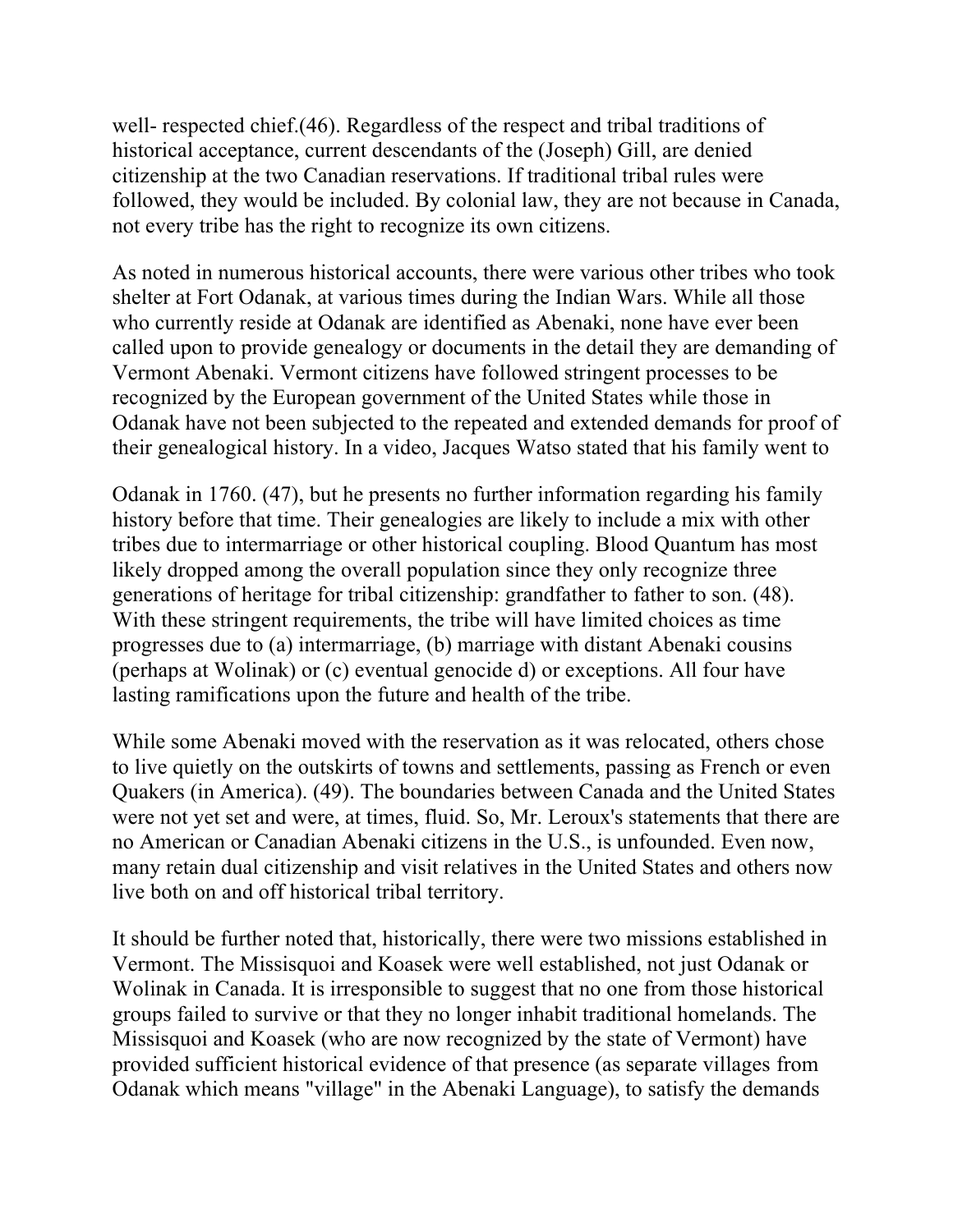well- respected chief.(46). Regardless of the respect and tribal traditions of historical acceptance, current descendants of the (Joseph) Gill, are denied citizenship at the two Canadian reservations. If traditional tribal rules were followed, they would be included. By colonial law, they are not because in Canada, not every tribe has the right to recognize its own citizens.

As noted in numerous historical accounts, there were various other tribes who took shelter at Fort Odanak, at various times during the Indian Wars. While all those who currently reside at Odanak are identified as Abenaki, none have ever been called upon to provide genealogy or documents in the detail they are demanding of Vermont Abenaki. Vermont citizens have followed stringent processes to be recognized by the European government of the United States while those in Odanak have not been subjected to the repeated and extended demands for proof of their genealogical history. In a video, Jacques Watso stated that his family went to

Odanak in 1760. (47), but he presents no further information regarding his family history before that time. Their genealogies are likely to include a mix with other tribes due to intermarriage or other historical coupling. Blood Quantum has most likely dropped among the overall population since they only recognize three generations of heritage for tribal citizenship: grandfather to father to son. (48). With these stringent requirements, the tribe will have limited choices as time progresses due to (a) intermarriage, (b) marriage with distant Abenaki cousins (perhaps at Wolinak) or (c) eventual genocide d) or exceptions. All four have lasting ramifications upon the future and health of the tribe.

While some Abenaki moved with the reservation as it was relocated, others chose to live quietly on the outskirts of towns and settlements, passing as French or even Quakers (in America). (49). The boundaries between Canada and the United States were not yet set and were, at times, fluid. So, Mr. Leroux's statements that there are no American or Canadian Abenaki citizens in the U.S., is unfounded. Even now, many retain dual citizenship and visit relatives in the United States and others now live both on and off historical tribal territory.

It should be further noted that, historically, there were two missions established in Vermont. The Missisquoi and Koasek were well established, not just Odanak or Wolinak in Canada. It is irresponsible to suggest that no one from those historical groups failed to survive or that they no longer inhabit traditional homelands. The Missisquoi and Koasek (who are now recognized by the state of Vermont) have provided sufficient historical evidence of that presence (as separate villages from Odanak which means "village" in the Abenaki Language), to satisfy the demands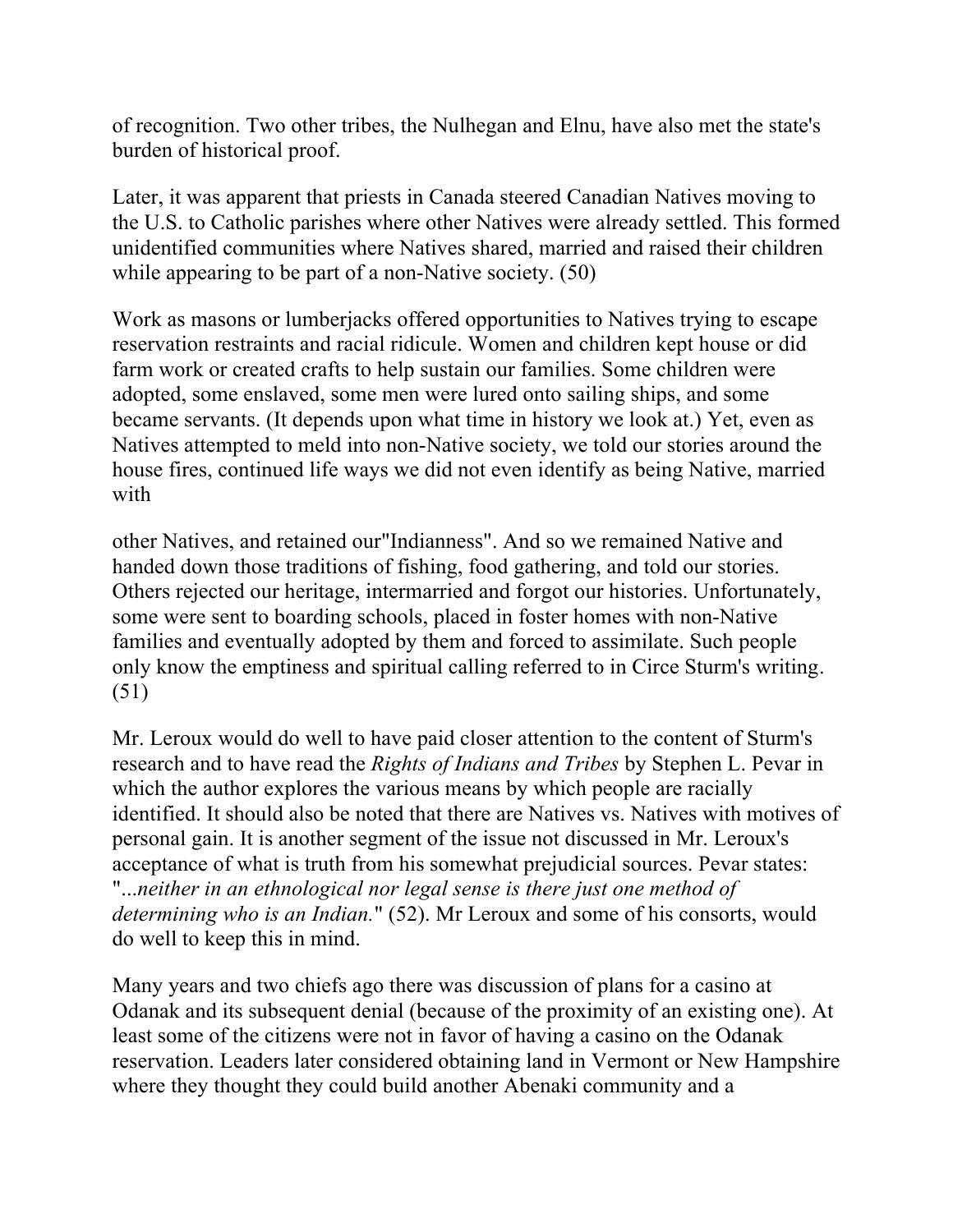of recognition. Two other tribes, the Nulhegan and Elnu, have also met the state's burden of historical proof.

Later, it was apparent that priests in Canada steered Canadian Natives moving to the U.S. to Catholic parishes where other Natives were already settled. This formed unidentified communities where Natives shared, married and raised their children while appearing to be part of a non-Native society. (50)

Work as masons or lumberjacks offered opportunities to Natives trying to escape reservation restraints and racial ridicule. Women and children kept house or did farm work or created crafts to help sustain our families. Some children were adopted, some enslaved, some men were lured onto sailing ships, and some became servants. (It depends upon what time in history we look at.) Yet, even as Natives attempted to meld into non-Native society, we told our stories around the house fires, continued life ways we did not even identify as being Native, married with

other Natives, and retained our"Indianness". And so we remained Native and handed down those traditions of fishing, food gathering, and told our stories. Others rejected our heritage, intermarried and forgot our histories. Unfortunately, some were sent to boarding schools, placed in foster homes with non-Native families and eventually adopted by them and forced to assimilate. Such people only know the emptiness and spiritual calling referred to in Circe Sturm's writing. (51)

Mr. Leroux would do well to have paid closer attention to the content of Sturm's research and to have read the *Rights of Indians and Tribes* by Stephen L. Pevar in which the author explores the various means by which people are racially identified. It should also be noted that there are Natives vs. Natives with motives of personal gain. It is another segment of the issue not discussed in Mr. Leroux's acceptance of what is truth from his somewhat prejudicial sources. Pevar states: "...*neither in an ethnological nor legal sense is there just one method of determining who is an Indian.*" (52). Mr Leroux and some of his consorts, would do well to keep this in mind.

Many years and two chiefs ago there was discussion of plans for a casino at Odanak and its subsequent denial (because of the proximity of an existing one). At least some of the citizens were not in favor of having a casino on the Odanak reservation. Leaders later considered obtaining land in Vermont or New Hampshire where they thought they could build another Abenaki community and a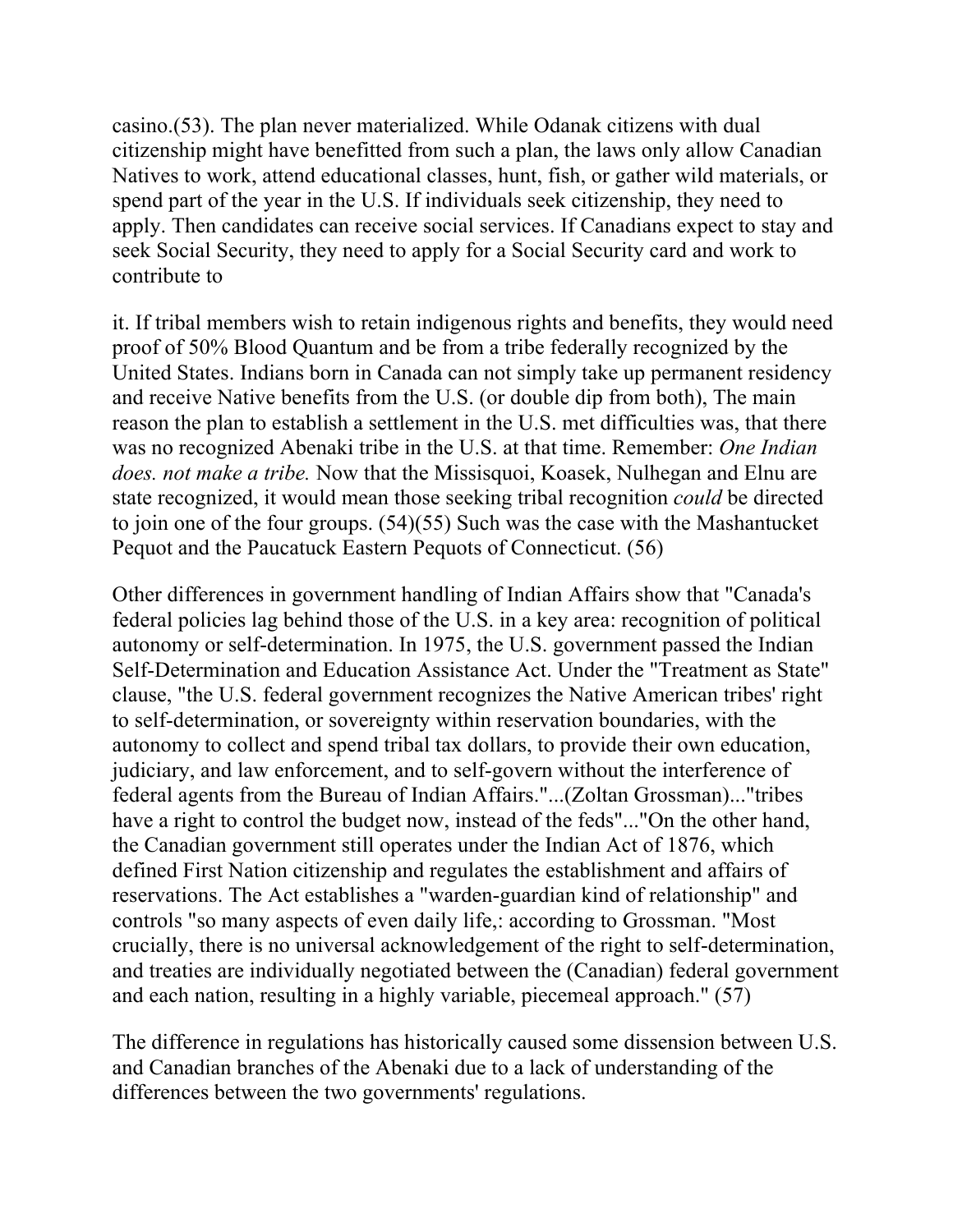casino.(53). The plan never materialized. While Odanak citizens with dual citizenship might have benefitted from such a plan, the laws only allow Canadian Natives to work, attend educational classes, hunt, fish, or gather wild materials, or spend part of the year in the U.S. If individuals seek citizenship, they need to apply. Then candidates can receive social services. If Canadians expect to stay and seek Social Security, they need to apply for a Social Security card and work to contribute to

it. If tribal members wish to retain indigenous rights and benefits, they would need proof of 50% Blood Quantum and be from a tribe federally recognized by the United States. Indians born in Canada can not simply take up permanent residency and receive Native benefits from the U.S. (or double dip from both), The main reason the plan to establish a settlement in the U.S. met difficulties was, that there was no recognized Abenaki tribe in the U.S. at that time. Remember: *One Indian does. not make a tribe.* Now that the Missisquoi, Koasek, Nulhegan and Elnu are state recognized, it would mean those seeking tribal recognition *could* be directed to join one of the four groups. (54)(55) Such was the case with the Mashantucket Pequot and the Paucatuck Eastern Pequots of Connecticut. (56)

Other differences in government handling of Indian Affairs show that "Canada's federal policies lag behind those of the U.S. in a key area: recognition of political autonomy or self-determination. In 1975, the U.S. government passed the Indian Self-Determination and Education Assistance Act. Under the "Treatment as State" clause, "the U.S. federal government recognizes the Native American tribes' right to self-determination, or sovereignty within reservation boundaries, with the autonomy to collect and spend tribal tax dollars, to provide their own education, judiciary, and law enforcement, and to self-govern without the interference of federal agents from the Bureau of Indian Affairs."...(Zoltan Grossman)..."tribes have a right to control the budget now, instead of the feds"..."On the other hand, the Canadian government still operates under the Indian Act of 1876, which defined First Nation citizenship and regulates the establishment and affairs of reservations. The Act establishes a "warden-guardian kind of relationship" and controls "so many aspects of even daily life,: according to Grossman. "Most crucially, there is no universal acknowledgement of the right to self-determination, and treaties are individually negotiated between the (Canadian) federal government and each nation, resulting in a highly variable, piecemeal approach." (57)

The difference in regulations has historically caused some dissension between U.S. and Canadian branches of the Abenaki due to a lack of understanding of the differences between the two governments' regulations.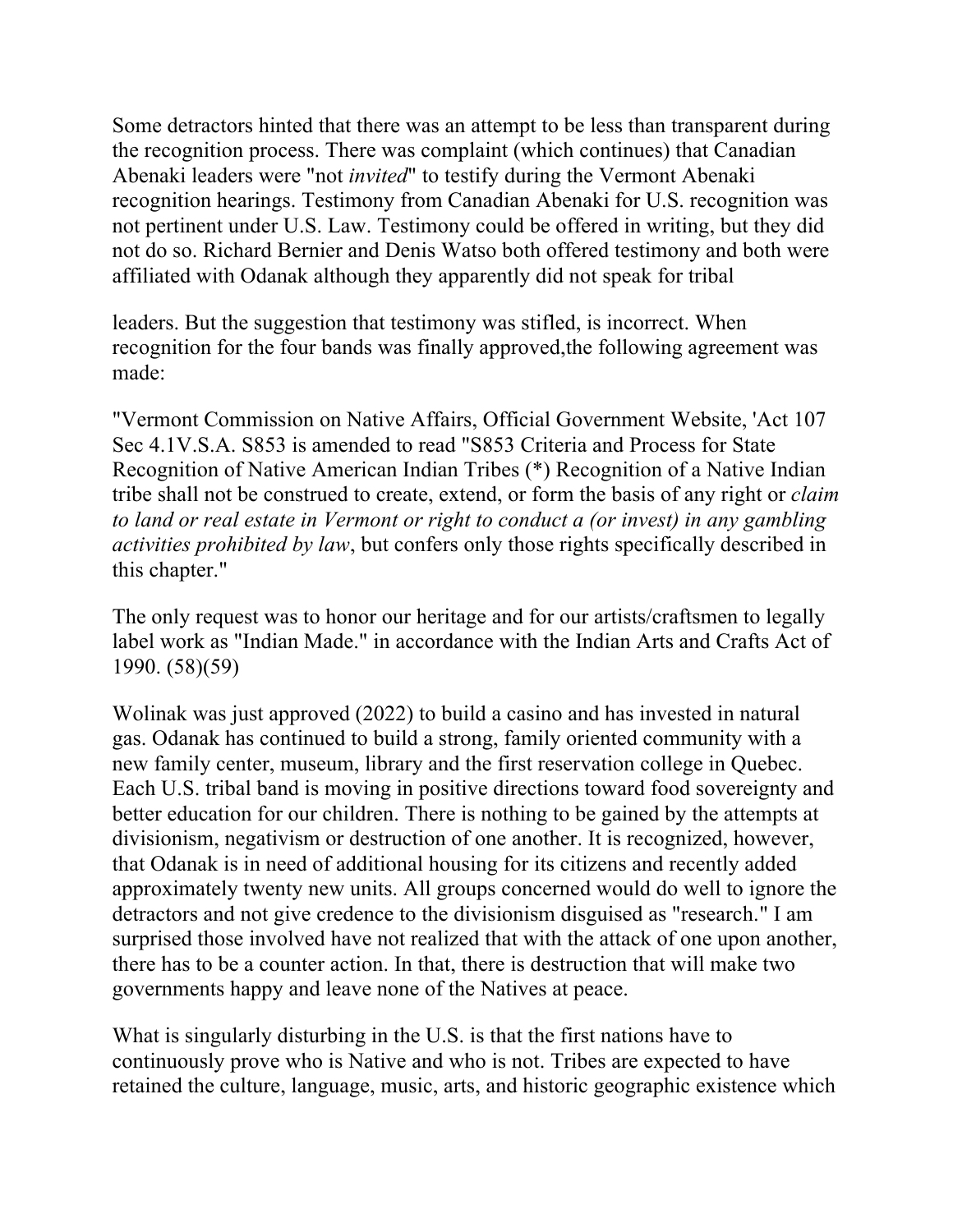Some detractors hinted that there was an attempt to be less than transparent during the recognition process. There was complaint (which continues) that Canadian Abenaki leaders were "not *invited*" to testify during the Vermont Abenaki recognition hearings. Testimony from Canadian Abenaki for U.S. recognition was not pertinent under U.S. Law. Testimony could be offered in writing, but they did not do so. Richard Bernier and Denis Watso both offered testimony and both were affiliated with Odanak although they apparently did not speak for tribal

leaders. But the suggestion that testimony was stifled, is incorrect. When recognition for the four bands was finally approved,the following agreement was made:

"Vermont Commission on Native Affairs, Official Government Website, 'Act 107 Sec 4.1V.S.A. S853 is amended to read "S853 Criteria and Process for State Recognition of Native American Indian Tribes (\*) Recognition of a Native Indian tribe shall not be construed to create, extend, or form the basis of any right or *claim to land or real estate in Vermont or right to conduct a (or invest) in any gambling activities prohibited by law*, but confers only those rights specifically described in this chapter."

The only request was to honor our heritage and for our artists/craftsmen to legally label work as "Indian Made." in accordance with the Indian Arts and Crafts Act of 1990. (58)(59)

Wolinak was just approved (2022) to build a casino and has invested in natural gas. Odanak has continued to build a strong, family oriented community with a new family center, museum, library and the first reservation college in Quebec. Each U.S. tribal band is moving in positive directions toward food sovereignty and better education for our children. There is nothing to be gained by the attempts at divisionism, negativism or destruction of one another. It is recognized, however, that Odanak is in need of additional housing for its citizens and recently added approximately twenty new units. All groups concerned would do well to ignore the detractors and not give credence to the divisionism disguised as "research." I am surprised those involved have not realized that with the attack of one upon another, there has to be a counter action. In that, there is destruction that will make two governments happy and leave none of the Natives at peace.

What is singularly disturbing in the U.S. is that the first nations have to continuously prove who is Native and who is not. Tribes are expected to have retained the culture, language, music, arts, and historic geographic existence which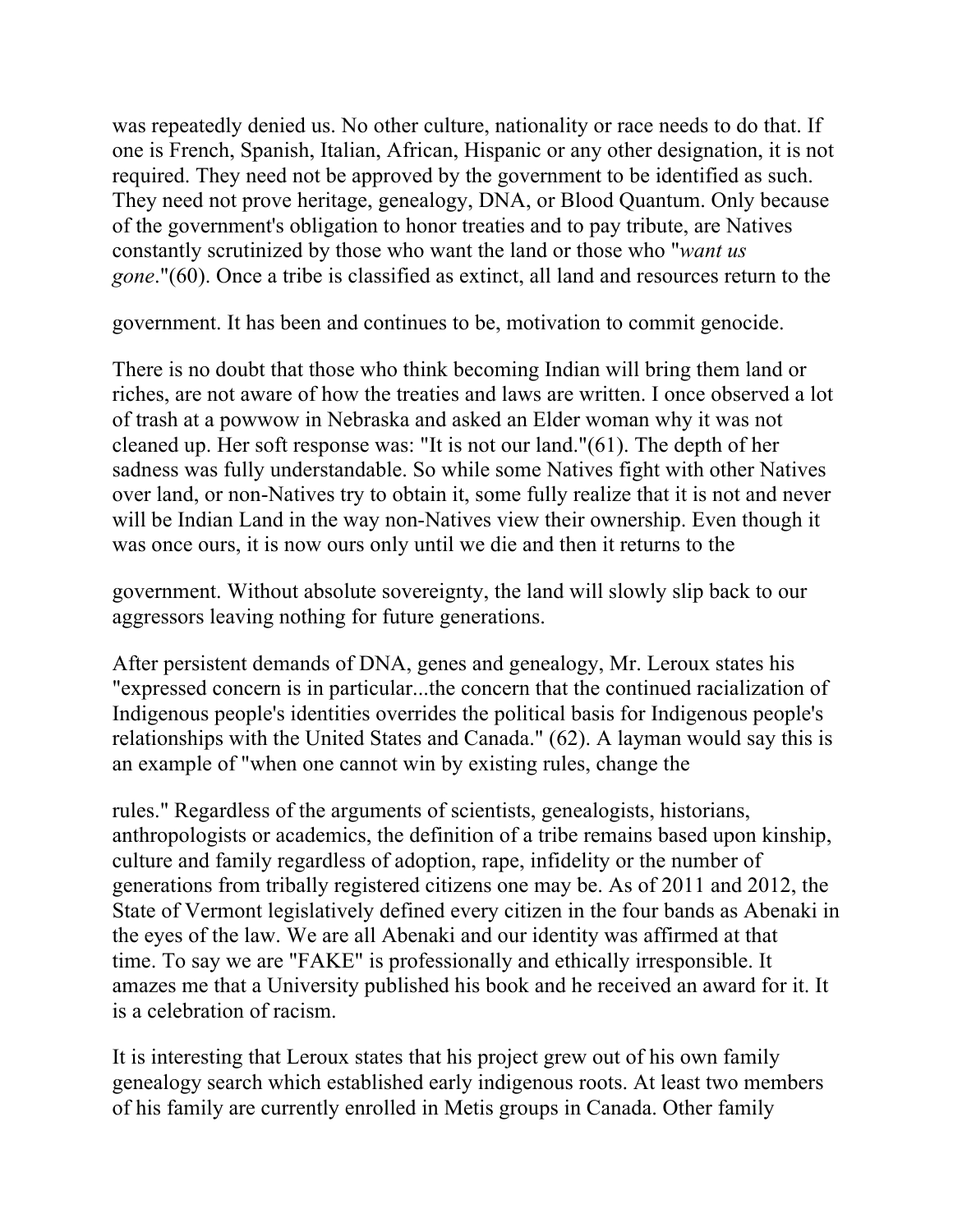was repeatedly denied us. No other culture, nationality or race needs to do that. If one is French, Spanish, Italian, African, Hispanic or any other designation, it is not required. They need not be approved by the government to be identified as such. They need not prove heritage, genealogy, DNA, or Blood Quantum. Only because of the government's obligation to honor treaties and to pay tribute, are Natives constantly scrutinized by those who want the land or those who "*want us gone*."(60). Once a tribe is classified as extinct, all land and resources return to the

government. It has been and continues to be, motivation to commit genocide.

There is no doubt that those who think becoming Indian will bring them land or riches, are not aware of how the treaties and laws are written. I once observed a lot of trash at a powwow in Nebraska and asked an Elder woman why it was not cleaned up. Her soft response was: "It is not our land."(61). The depth of her sadness was fully understandable. So while some Natives fight with other Natives over land, or non-Natives try to obtain it, some fully realize that it is not and never will be Indian Land in the way non-Natives view their ownership. Even though it was once ours, it is now ours only until we die and then it returns to the

government. Without absolute sovereignty, the land will slowly slip back to our aggressors leaving nothing for future generations.

After persistent demands of DNA, genes and genealogy, Mr. Leroux states his "expressed concern is in particular...the concern that the continued racialization of Indigenous people's identities overrides the political basis for Indigenous people's relationships with the United States and Canada." (62). A layman would say this is an example of "when one cannot win by existing rules, change the

rules." Regardless of the arguments of scientists, genealogists, historians, anthropologists or academics, the definition of a tribe remains based upon kinship, culture and family regardless of adoption, rape, infidelity or the number of generations from tribally registered citizens one may be. As of 2011 and 2012, the State of Vermont legislatively defined every citizen in the four bands as Abenaki in the eyes of the law. We are all Abenaki and our identity was affirmed at that time. To say we are "FAKE" is professionally and ethically irresponsible. It amazes me that a University published his book and he received an award for it. It is a celebration of racism.

It is interesting that Leroux states that his project grew out of his own family genealogy search which established early indigenous roots. At least two members of his family are currently enrolled in Metis groups in Canada. Other family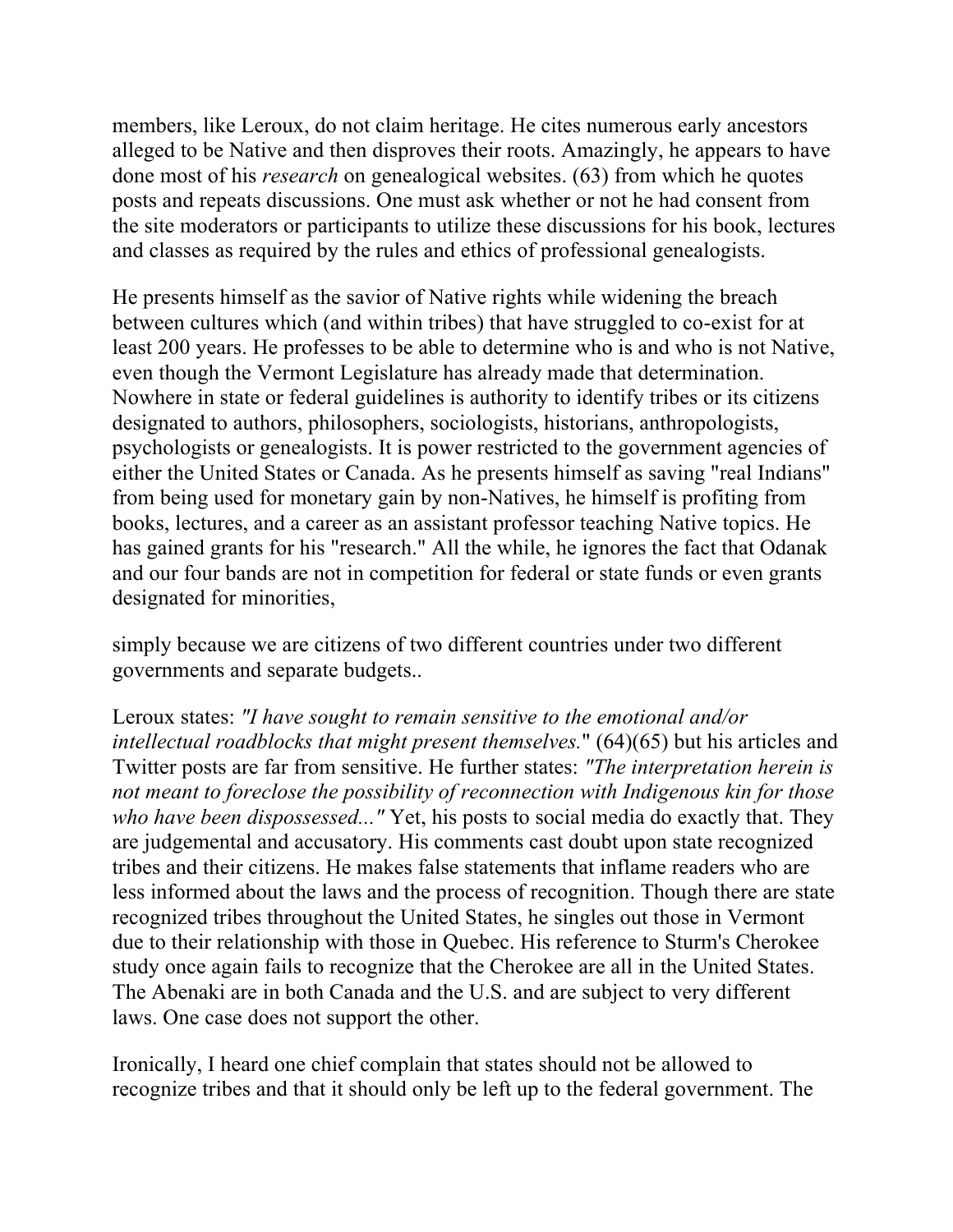members, like Leroux, do not claim heritage. He cites numerous early ancestors alleged to be Native and then disproves their roots. Amazingly, he appears to have done most of his *research* on genealogical websites. (63) from which he quotes posts and repeats discussions. One must ask whether or not he had consent from the site moderators or participants to utilize these discussions for his book, lectures and classes as required by the rules and ethics of professional genealogists.

He presents himself as the savior of Native rights while widening the breach between cultures which (and within tribes) that have struggled to co-exist for at least 200 years. He professes to be able to determine who is and who is not Native, even though the Vermont Legislature has already made that determination. Nowhere in state or federal guidelines is authority to identify tribes or its citizens designated to authors, philosophers, sociologists, historians, anthropologists, psychologists or genealogists. It is power restricted to the government agencies of either the United States or Canada. As he presents himself as saving "real Indians" from being used for monetary gain by non-Natives, he himself is profiting from books, lectures, and a career as an assistant professor teaching Native topics. He has gained grants for his "research." All the while, he ignores the fact that Odanak and our four bands are not in competition for federal or state funds or even grants designated for minorities,

simply because we are citizens of two different countries under two different governments and separate budgets..

Leroux states: *"I have sought to remain sensitive to the emotional and/or intellectual roadblocks that might present themselves.*" (64)(65) but his articles and Twitter posts are far from sensitive. He further states: *"The interpretation herein is not meant to foreclose the possibility of reconnection with Indigenous kin for those who have been dispossessed..."* Yet, his posts to social media do exactly that. They are judgemental and accusatory. His comments cast doubt upon state recognized tribes and their citizens. He makes false statements that inflame readers who are less informed about the laws and the process of recognition. Though there are state recognized tribes throughout the United States, he singles out those in Vermont due to their relationship with those in Quebec. His reference to Sturm's Cherokee study once again fails to recognize that the Cherokee are all in the United States. The Abenaki are in both Canada and the U.S. and are subject to very different laws. One case does not support the other.

Ironically, I heard one chief complain that states should not be allowed to recognize tribes and that it should only be left up to the federal government. The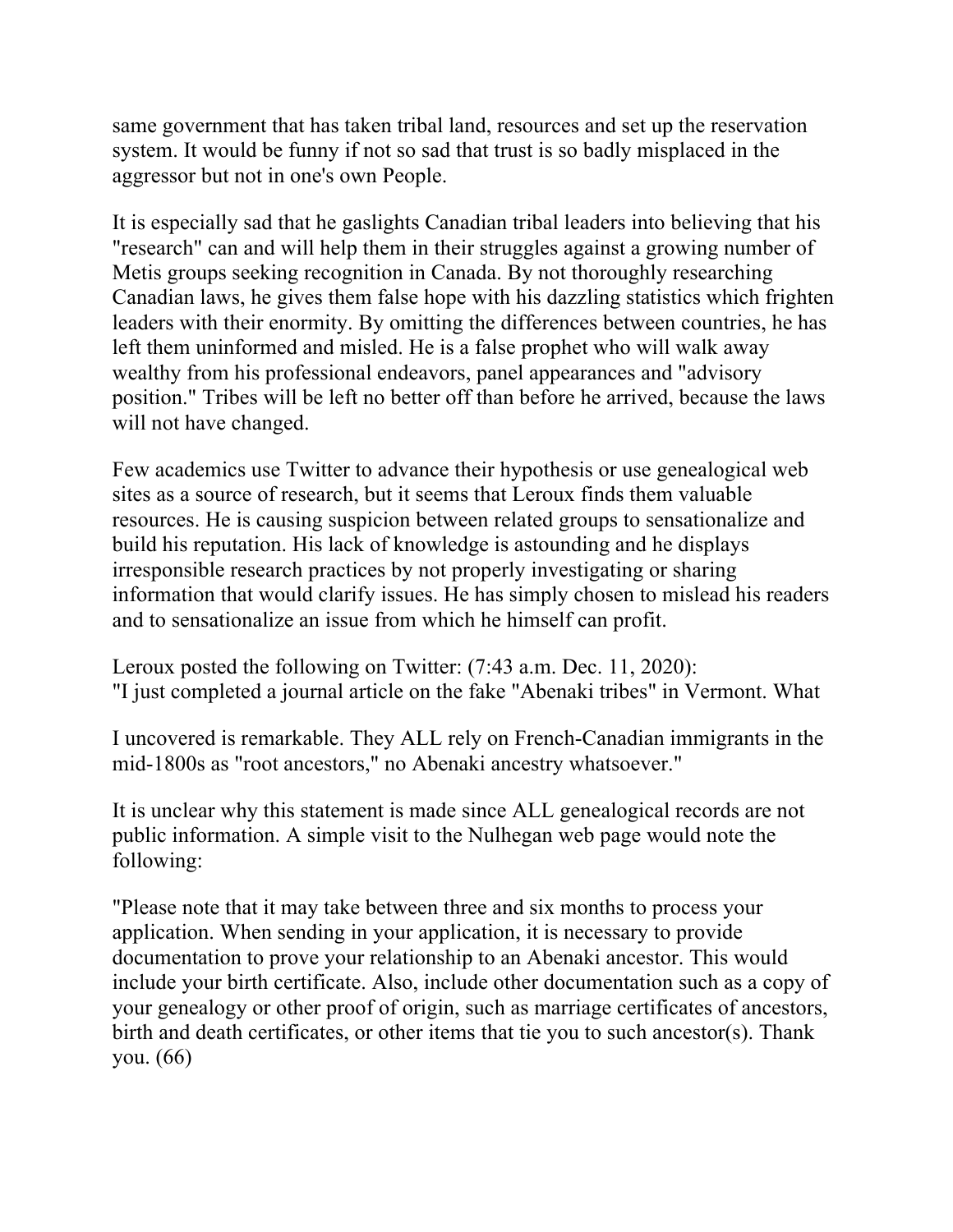same government that has taken tribal land, resources and set up the reservation system. It would be funny if not so sad that trust is so badly misplaced in the aggressor but not in one's own People.

It is especially sad that he gaslights Canadian tribal leaders into believing that his "research" can and will help them in their struggles against a growing number of Metis groups seeking recognition in Canada. By not thoroughly researching Canadian laws, he gives them false hope with his dazzling statistics which frighten leaders with their enormity. By omitting the differences between countries, he has left them uninformed and misled. He is a false prophet who will walk away wealthy from his professional endeavors, panel appearances and "advisory position." Tribes will be left no better off than before he arrived, because the laws will not have changed.

Few academics use Twitter to advance their hypothesis or use genealogical web sites as a source of research, but it seems that Leroux finds them valuable resources. He is causing suspicion between related groups to sensationalize and build his reputation. His lack of knowledge is astounding and he displays irresponsible research practices by not properly investigating or sharing information that would clarify issues. He has simply chosen to mislead his readers and to sensationalize an issue from which he himself can profit.

Leroux posted the following on Twitter: (7:43 a.m. Dec. 11, 2020): "I just completed a journal article on the fake "Abenaki tribes" in Vermont. What

I uncovered is remarkable. They ALL rely on French-Canadian immigrants in the mid-1800s as "root ancestors," no Abenaki ancestry whatsoever."

It is unclear why this statement is made since ALL genealogical records are not public information. A simple visit to the Nulhegan web page would note the following:

"Please note that it may take between three and six months to process your application. When sending in your application, it is necessary to provide documentation to prove your relationship to an Abenaki ancestor. This would include your birth certificate. Also, include other documentation such as a copy of your genealogy or other proof of origin, such as marriage certificates of ancestors, birth and death certificates, or other items that tie you to such ancestor(s). Thank you. (66)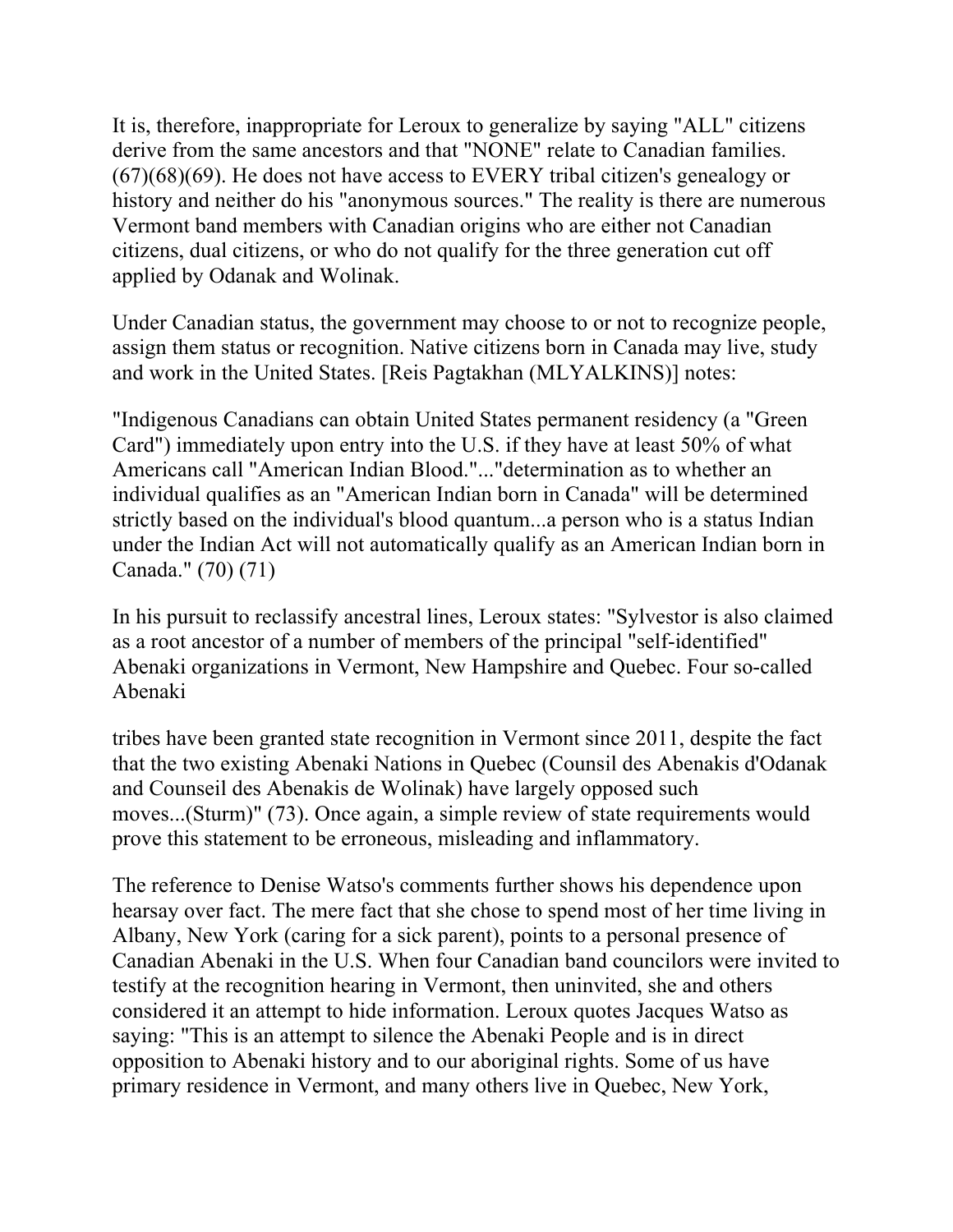It is, therefore, inappropriate for Leroux to generalize by saying "ALL" citizens derive from the same ancestors and that "NONE" relate to Canadian families. (67)(68)(69). He does not have access to EVERY tribal citizen's genealogy or history and neither do his "anonymous sources." The reality is there are numerous Vermont band members with Canadian origins who are either not Canadian citizens, dual citizens, or who do not qualify for the three generation cut off applied by Odanak and Wolinak.

Under Canadian status, the government may choose to or not to recognize people, assign them status or recognition. Native citizens born in Canada may live, study and work in the United States. [Reis Pagtakhan (MLYALKINS)] notes:

"Indigenous Canadians can obtain United States permanent residency (a "Green Card") immediately upon entry into the U.S. if they have at least 50% of what Americans call "American Indian Blood."..."determination as to whether an individual qualifies as an "American Indian born in Canada" will be determined strictly based on the individual's blood quantum...a person who is a status Indian under the Indian Act will not automatically qualify as an American Indian born in Canada." (70) (71)

In his pursuit to reclassify ancestral lines, Leroux states: "Sylvestor is also claimed as a root ancestor of a number of members of the principal "self-identified" Abenaki organizations in Vermont, New Hampshire and Quebec. Four so-called Abenaki

tribes have been granted state recognition in Vermont since 2011, despite the fact that the two existing Abenaki Nations in Quebec (Counsil des Abenakis d'Odanak and Counseil des Abenakis de Wolinak) have largely opposed such moves...(Sturm)" (73). Once again, a simple review of state requirements would prove this statement to be erroneous, misleading and inflammatory.

The reference to Denise Watso's comments further shows his dependence upon hearsay over fact. The mere fact that she chose to spend most of her time living in Albany, New York (caring for a sick parent), points to a personal presence of Canadian Abenaki in the U.S. When four Canadian band councilors were invited to testify at the recognition hearing in Vermont, then uninvited, she and others considered it an attempt to hide information. Leroux quotes Jacques Watso as saying: "This is an attempt to silence the Abenaki People and is in direct opposition to Abenaki history and to our aboriginal rights. Some of us have primary residence in Vermont, and many others live in Quebec, New York,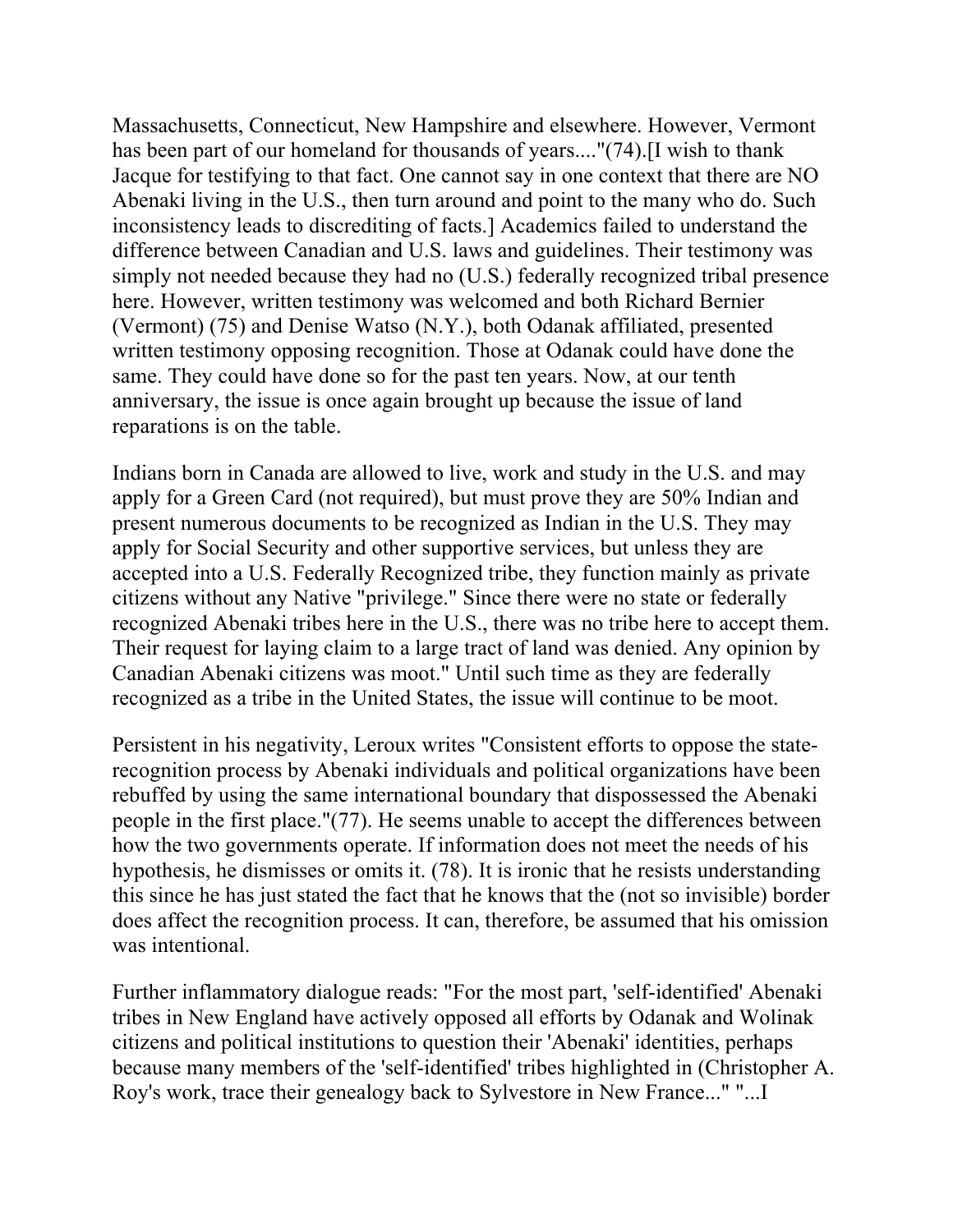Massachusetts, Connecticut, New Hampshire and elsewhere. However, Vermont has been part of our homeland for thousands of years...."(74).[I wish to thank Jacque for testifying to that fact. One cannot say in one context that there are NO Abenaki living in the U.S., then turn around and point to the many who do. Such inconsistency leads to discrediting of facts.] Academics failed to understand the difference between Canadian and U.S. laws and guidelines. Their testimony was simply not needed because they had no (U.S.) federally recognized tribal presence here. However, written testimony was welcomed and both Richard Bernier (Vermont) (75) and Denise Watso (N.Y.), both Odanak affiliated, presented written testimony opposing recognition. Those at Odanak could have done the same. They could have done so for the past ten years. Now, at our tenth anniversary, the issue is once again brought up because the issue of land reparations is on the table.

Indians born in Canada are allowed to live, work and study in the U.S. and may apply for a Green Card (not required), but must prove they are 50% Indian and present numerous documents to be recognized as Indian in the U.S. They may apply for Social Security and other supportive services, but unless they are accepted into a U.S. Federally Recognized tribe, they function mainly as private citizens without any Native "privilege." Since there were no state or federally recognized Abenaki tribes here in the U.S., there was no tribe here to accept them. Their request for laying claim to a large tract of land was denied. Any opinion by Canadian Abenaki citizens was moot." Until such time as they are federally recognized as a tribe in the United States, the issue will continue to be moot.

Persistent in his negativity, Leroux writes "Consistent efforts to oppose the staterecognition process by Abenaki individuals and political organizations have been rebuffed by using the same international boundary that dispossessed the Abenaki people in the first place."(77). He seems unable to accept the differences between how the two governments operate. If information does not meet the needs of his hypothesis, he dismisses or omits it. (78). It is ironic that he resists understanding this since he has just stated the fact that he knows that the (not so invisible) border does affect the recognition process. It can, therefore, be assumed that his omission was intentional.

Further inflammatory dialogue reads: "For the most part, 'self-identified' Abenaki tribes in New England have actively opposed all efforts by Odanak and Wolinak citizens and political institutions to question their 'Abenaki' identities, perhaps because many members of the 'self-identified' tribes highlighted in (Christopher A. Roy's work, trace their genealogy back to Sylvestore in New France..." "...I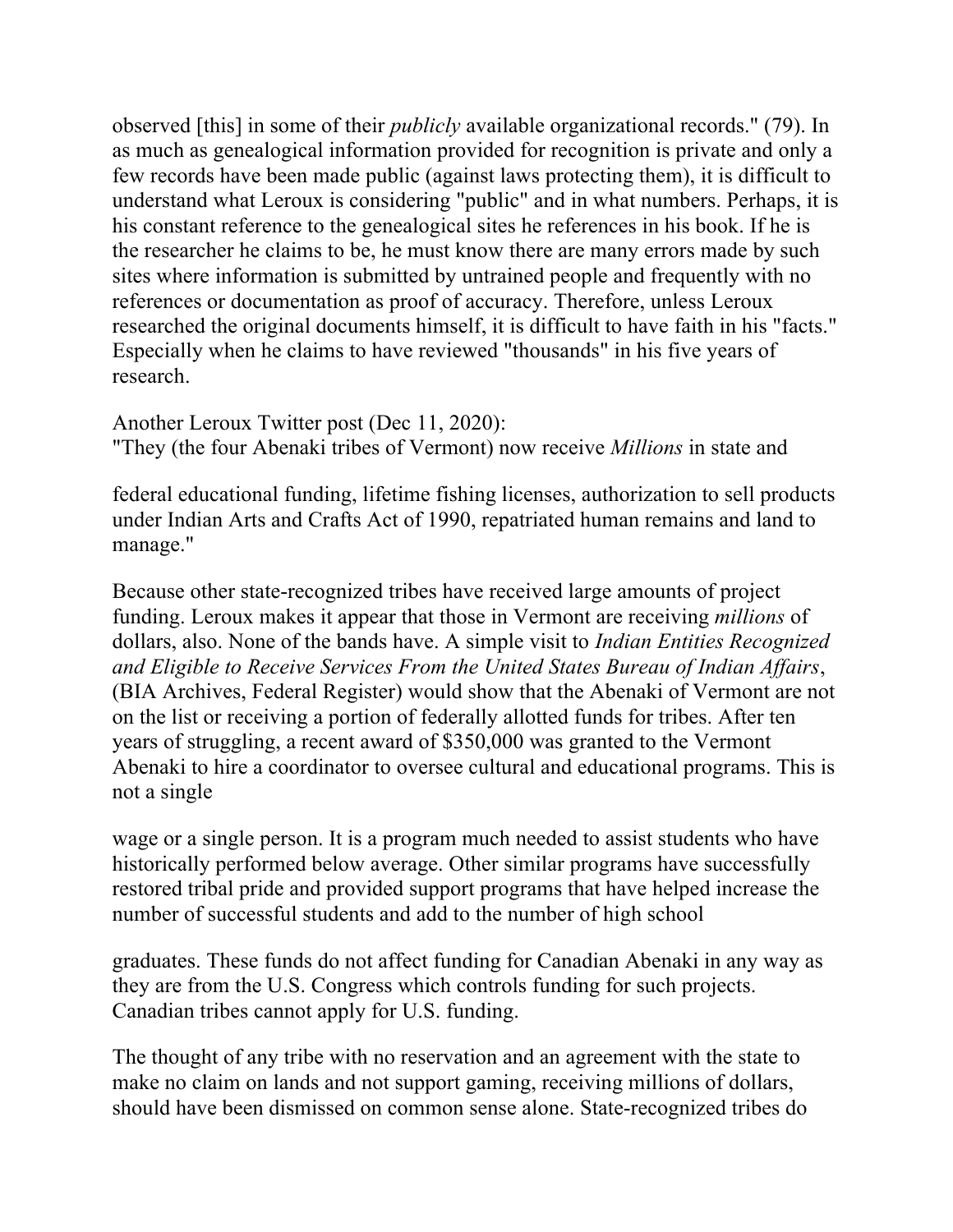observed [this] in some of their *publicly* available organizational records." (79). In as much as genealogical information provided for recognition is private and only a few records have been made public (against laws protecting them), it is difficult to understand what Leroux is considering "public" and in what numbers. Perhaps, it is his constant reference to the genealogical sites he references in his book. If he is the researcher he claims to be, he must know there are many errors made by such sites where information is submitted by untrained people and frequently with no references or documentation as proof of accuracy. Therefore, unless Leroux researched the original documents himself, it is difficult to have faith in his "facts." Especially when he claims to have reviewed "thousands" in his five years of research.

Another Leroux Twitter post (Dec 11, 2020): "They (the four Abenaki tribes of Vermont) now receive *Millions* in state and

federal educational funding, lifetime fishing licenses, authorization to sell products under Indian Arts and Crafts Act of 1990, repatriated human remains and land to manage."

Because other state-recognized tribes have received large amounts of project funding. Leroux makes it appear that those in Vermont are receiving *millions* of dollars, also. None of the bands have. A simple visit to *Indian Entities Recognized and Eligible to Receive Services From the United States Bureau of Indian Affairs*, (BIA Archives, Federal Register) would show that the Abenaki of Vermont are not on the list or receiving a portion of federally allotted funds for tribes. After ten years of struggling, a recent award of \$350,000 was granted to the Vermont Abenaki to hire a coordinator to oversee cultural and educational programs. This is not a single

wage or a single person. It is a program much needed to assist students who have historically performed below average. Other similar programs have successfully restored tribal pride and provided support programs that have helped increase the number of successful students and add to the number of high school

graduates. These funds do not affect funding for Canadian Abenaki in any way as they are from the U.S. Congress which controls funding for such projects. Canadian tribes cannot apply for U.S. funding.

The thought of any tribe with no reservation and an agreement with the state to make no claim on lands and not support gaming, receiving millions of dollars, should have been dismissed on common sense alone. State-recognized tribes do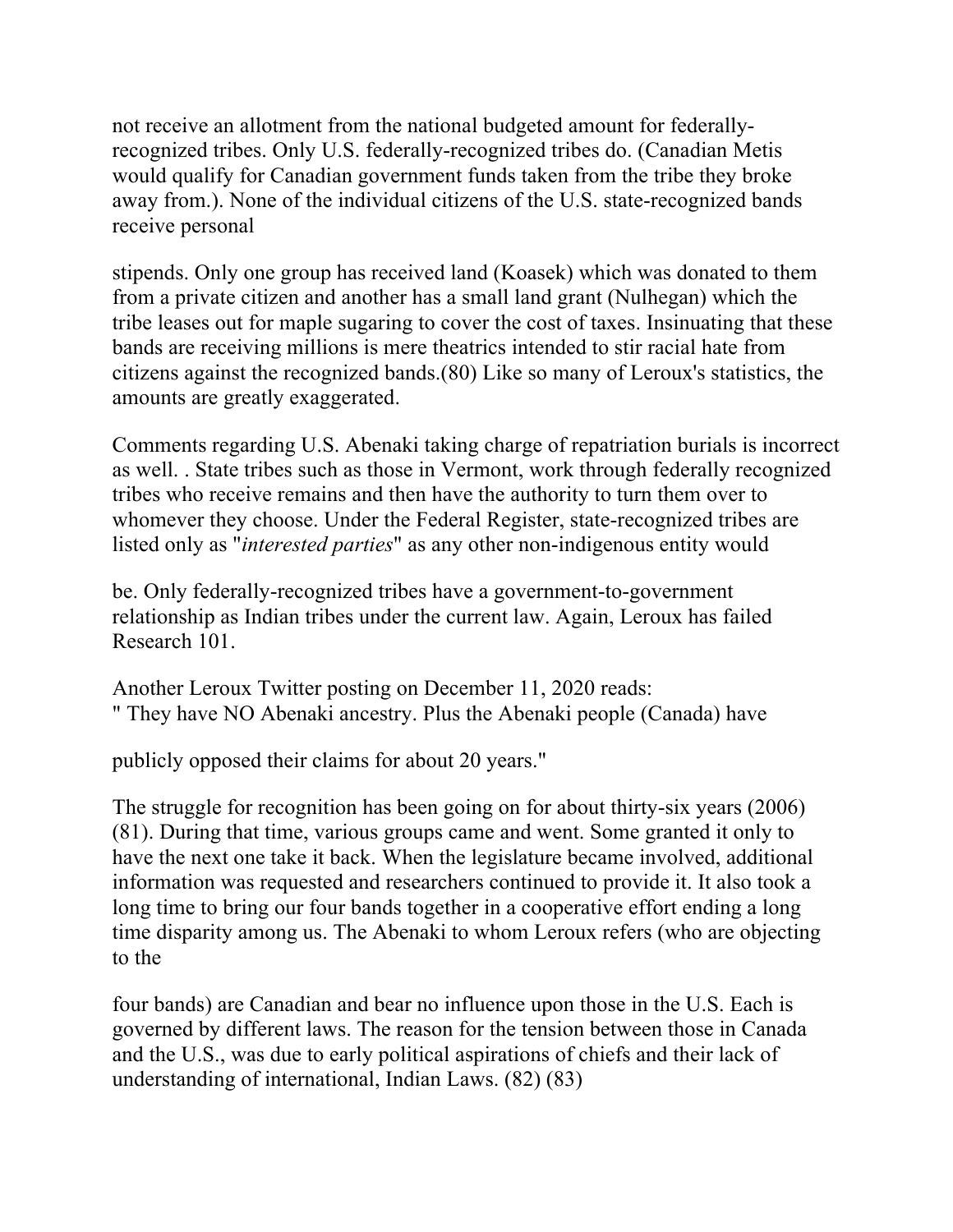not receive an allotment from the national budgeted amount for federallyrecognized tribes. Only U.S. federally-recognized tribes do. (Canadian Metis would qualify for Canadian government funds taken from the tribe they broke away from.). None of the individual citizens of the U.S. state-recognized bands receive personal

stipends. Only one group has received land (Koasek) which was donated to them from a private citizen and another has a small land grant (Nulhegan) which the tribe leases out for maple sugaring to cover the cost of taxes. Insinuating that these bands are receiving millions is mere theatrics intended to stir racial hate from citizens against the recognized bands.(80) Like so many of Leroux's statistics, the amounts are greatly exaggerated.

Comments regarding U.S. Abenaki taking charge of repatriation burials is incorrect as well. . State tribes such as those in Vermont, work through federally recognized tribes who receive remains and then have the authority to turn them over to whomever they choose. Under the Federal Register, state-recognized tribes are listed only as "*interested parties*" as any other non-indigenous entity would

be. Only federally-recognized tribes have a government-to-government relationship as Indian tribes under the current law. Again, Leroux has failed Research 101.

Another Leroux Twitter posting on December 11, 2020 reads: " They have NO Abenaki ancestry. Plus the Abenaki people (Canada) have

publicly opposed their claims for about 20 years."

The struggle for recognition has been going on for about thirty-six years (2006) (81). During that time, various groups came and went. Some granted it only to have the next one take it back. When the legislature became involved, additional information was requested and researchers continued to provide it. It also took a long time to bring our four bands together in a cooperative effort ending a long time disparity among us. The Abenaki to whom Leroux refers (who are objecting to the

four bands) are Canadian and bear no influence upon those in the U.S. Each is governed by different laws. The reason for the tension between those in Canada and the U.S., was due to early political aspirations of chiefs and their lack of understanding of international, Indian Laws. (82) (83)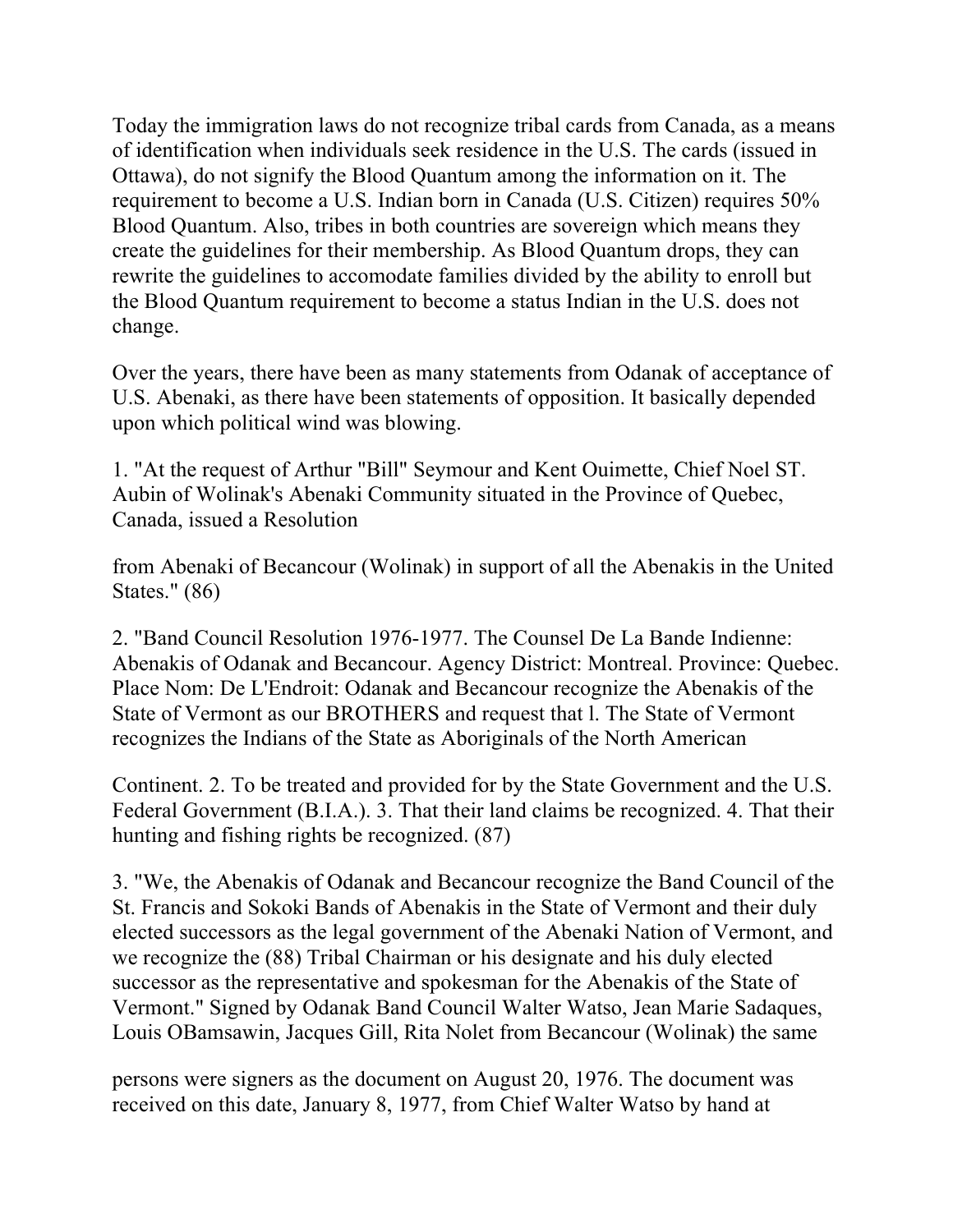Today the immigration laws do not recognize tribal cards from Canada, as a means of identification when individuals seek residence in the U.S. The cards (issued in Ottawa), do not signify the Blood Quantum among the information on it. The requirement to become a U.S. Indian born in Canada (U.S. Citizen) requires 50% Blood Quantum. Also, tribes in both countries are sovereign which means they create the guidelines for their membership. As Blood Quantum drops, they can rewrite the guidelines to accomodate families divided by the ability to enroll but the Blood Quantum requirement to become a status Indian in the U.S. does not change.

Over the years, there have been as many statements from Odanak of acceptance of U.S. Abenaki, as there have been statements of opposition. It basically depended upon which political wind was blowing.

1. "At the request of Arthur "Bill" Seymour and Kent Ouimette, Chief Noel ST. Aubin of Wolinak's Abenaki Community situated in the Province of Quebec, Canada, issued a Resolution

from Abenaki of Becancour (Wolinak) in support of all the Abenakis in the United States." (86)

2. "Band Council Resolution 1976-1977. The Counsel De La Bande Indienne: Abenakis of Odanak and Becancour. Agency District: Montreal. Province: Quebec. Place Nom: De L'Endroit: Odanak and Becancour recognize the Abenakis of the State of Vermont as our BROTHERS and request that l. The State of Vermont recognizes the Indians of the State as Aboriginals of the North American

Continent. 2. To be treated and provided for by the State Government and the U.S. Federal Government (B.I.A.). 3. That their land claims be recognized. 4. That their hunting and fishing rights be recognized. (87)

3. "We, the Abenakis of Odanak and Becancour recognize the Band Council of the St. Francis and Sokoki Bands of Abenakis in the State of Vermont and their duly elected successors as the legal government of the Abenaki Nation of Vermont, and we recognize the (88) Tribal Chairman or his designate and his duly elected successor as the representative and spokesman for the Abenakis of the State of Vermont." Signed by Odanak Band Council Walter Watso, Jean Marie Sadaques, Louis OBamsawin, Jacques Gill, Rita Nolet from Becancour (Wolinak) the same

persons were signers as the document on August 20, 1976. The document was received on this date, January 8, 1977, from Chief Walter Watso by hand at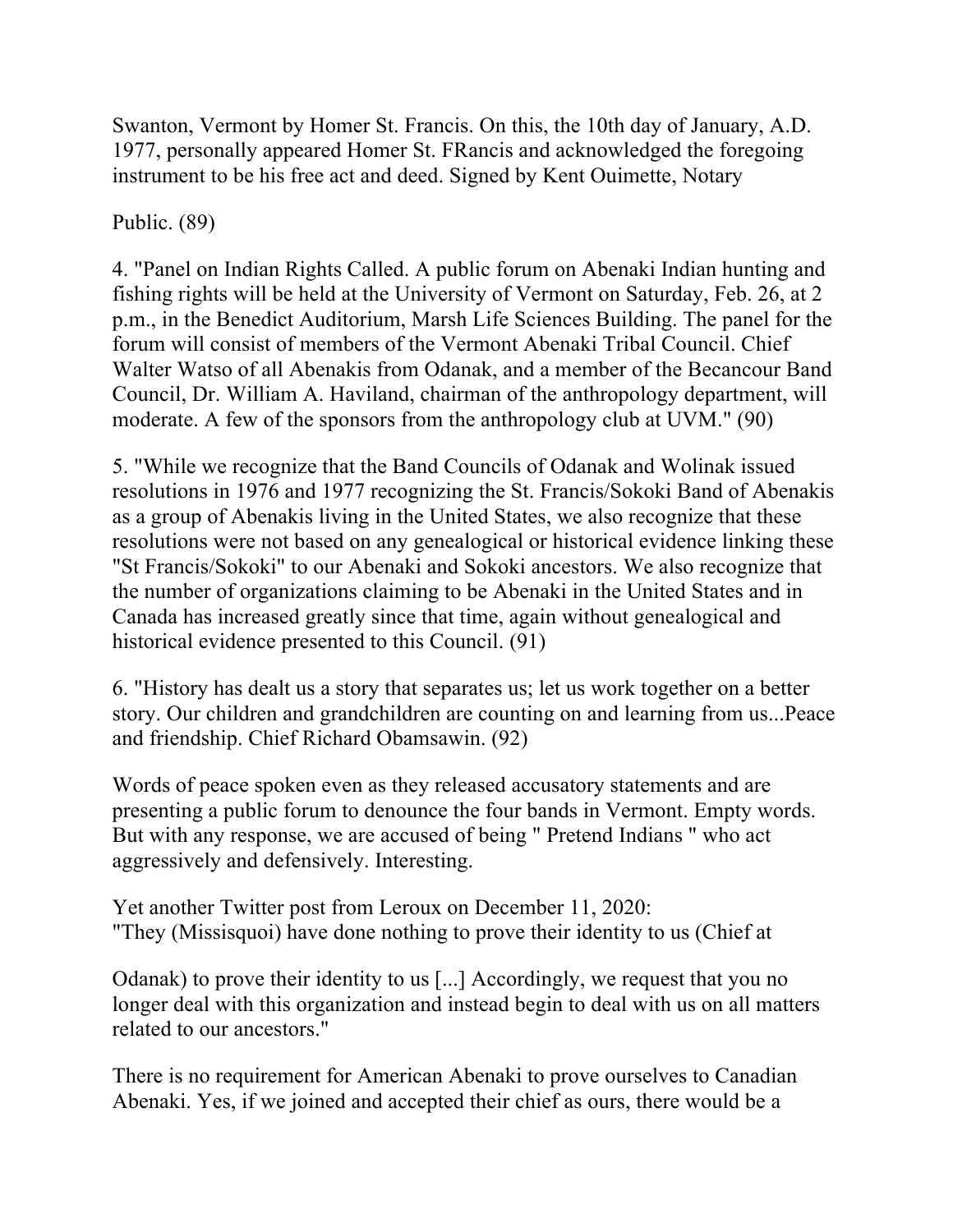Swanton, Vermont by Homer St. Francis. On this, the 10th day of January, A.D. 1977, personally appeared Homer St. FRancis and acknowledged the foregoing instrument to be his free act and deed. Signed by Kent Ouimette, Notary

#### Public. (89)

4. "Panel on Indian Rights Called. A public forum on Abenaki Indian hunting and fishing rights will be held at the University of Vermont on Saturday, Feb. 26, at 2 p.m., in the Benedict Auditorium, Marsh Life Sciences Building. The panel for the forum will consist of members of the Vermont Abenaki Tribal Council. Chief Walter Watso of all Abenakis from Odanak, and a member of the Becancour Band Council, Dr. William A. Haviland, chairman of the anthropology department, will moderate. A few of the sponsors from the anthropology club at UVM." (90)

5. "While we recognize that the Band Councils of Odanak and Wolinak issued resolutions in 1976 and 1977 recognizing the St. Francis/Sokoki Band of Abenakis as a group of Abenakis living in the United States, we also recognize that these resolutions were not based on any genealogical or historical evidence linking these "St Francis/Sokoki" to our Abenaki and Sokoki ancestors. We also recognize that the number of organizations claiming to be Abenaki in the United States and in Canada has increased greatly since that time, again without genealogical and historical evidence presented to this Council. (91)

6. "History has dealt us a story that separates us; let us work together on a better story. Our children and grandchildren are counting on and learning from us...Peace and friendship. Chief Richard Obamsawin. (92)

Words of peace spoken even as they released accusatory statements and are presenting a public forum to denounce the four bands in Vermont. Empty words. But with any response, we are accused of being " Pretend Indians " who act aggressively and defensively. Interesting.

Yet another Twitter post from Leroux on December 11, 2020: "They (Missisquoi) have done nothing to prove their identity to us (Chief at

Odanak) to prove their identity to us [...] Accordingly, we request that you no longer deal with this organization and instead begin to deal with us on all matters related to our ancestors."

There is no requirement for American Abenaki to prove ourselves to Canadian Abenaki. Yes, if we joined and accepted their chief as ours, there would be a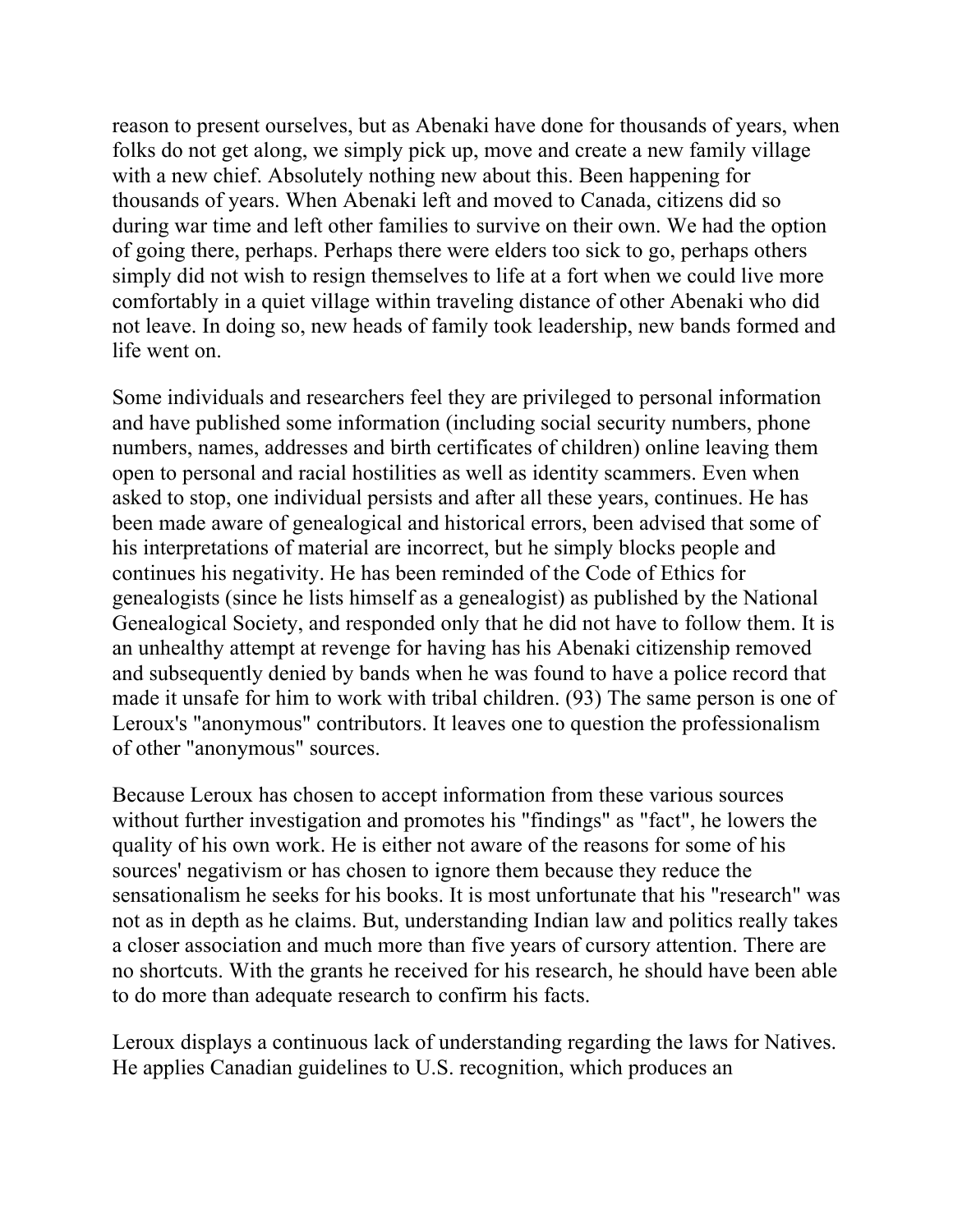reason to present ourselves, but as Abenaki have done for thousands of years, when folks do not get along, we simply pick up, move and create a new family village with a new chief. Absolutely nothing new about this. Been happening for thousands of years. When Abenaki left and moved to Canada, citizens did so during war time and left other families to survive on their own. We had the option of going there, perhaps. Perhaps there were elders too sick to go, perhaps others simply did not wish to resign themselves to life at a fort when we could live more comfortably in a quiet village within traveling distance of other Abenaki who did not leave. In doing so, new heads of family took leadership, new bands formed and life went on.

Some individuals and researchers feel they are privileged to personal information and have published some information (including social security numbers, phone numbers, names, addresses and birth certificates of children) online leaving them open to personal and racial hostilities as well as identity scammers. Even when asked to stop, one individual persists and after all these years, continues. He has been made aware of genealogical and historical errors, been advised that some of his interpretations of material are incorrect, but he simply blocks people and continues his negativity. He has been reminded of the Code of Ethics for genealogists (since he lists himself as a genealogist) as published by the National Genealogical Society, and responded only that he did not have to follow them. It is an unhealthy attempt at revenge for having has his Abenaki citizenship removed and subsequently denied by bands when he was found to have a police record that made it unsafe for him to work with tribal children. (93) The same person is one of Leroux's "anonymous" contributors. It leaves one to question the professionalism of other "anonymous" sources.

Because Leroux has chosen to accept information from these various sources without further investigation and promotes his "findings" as "fact", he lowers the quality of his own work. He is either not aware of the reasons for some of his sources' negativism or has chosen to ignore them because they reduce the sensationalism he seeks for his books. It is most unfortunate that his "research" was not as in depth as he claims. But, understanding Indian law and politics really takes a closer association and much more than five years of cursory attention. There are no shortcuts. With the grants he received for his research, he should have been able to do more than adequate research to confirm his facts.

Leroux displays a continuous lack of understanding regarding the laws for Natives. He applies Canadian guidelines to U.S. recognition, which produces an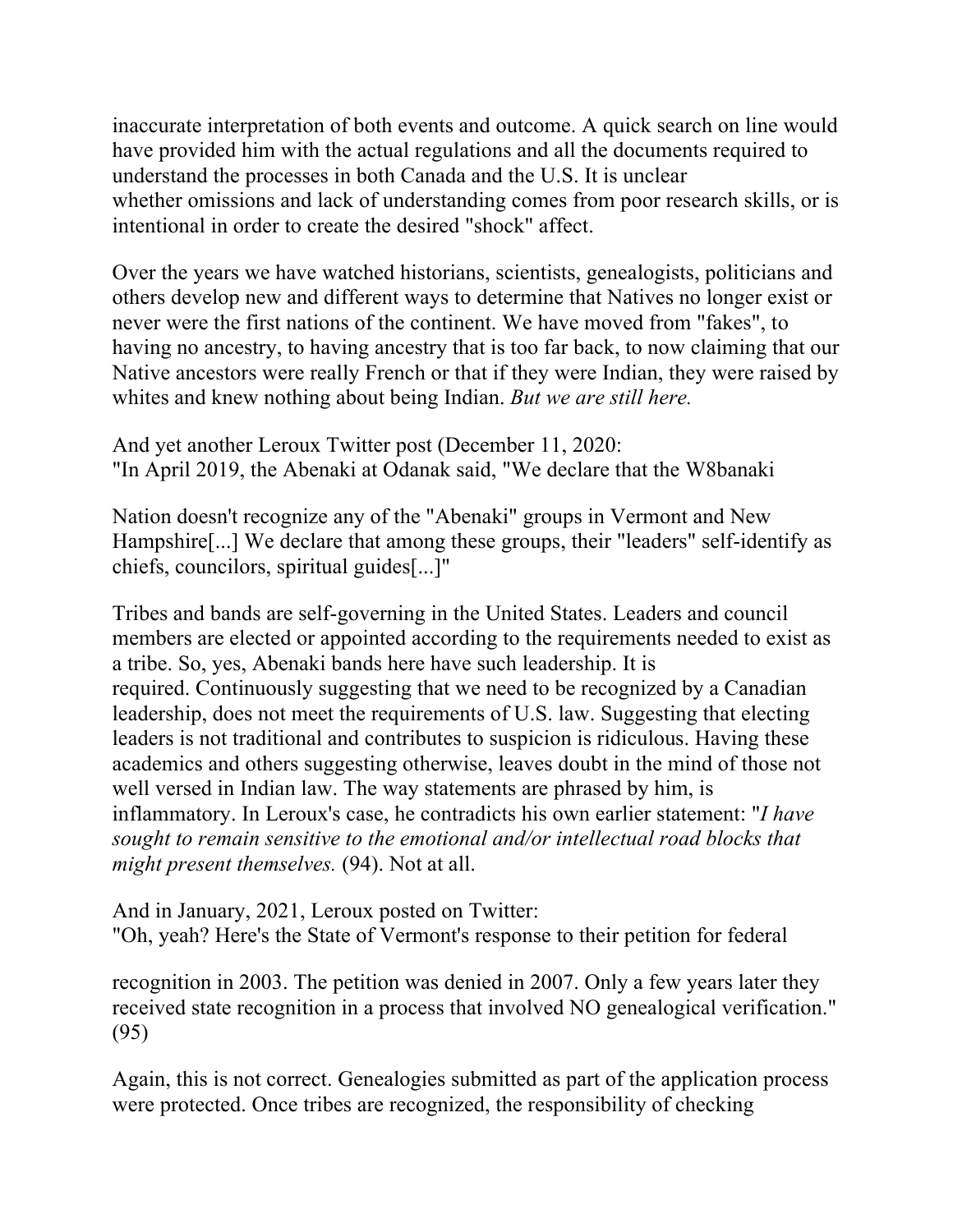inaccurate interpretation of both events and outcome. A quick search on line would have provided him with the actual regulations and all the documents required to understand the processes in both Canada and the U.S. It is unclear whether omissions and lack of understanding comes from poor research skills, or is intentional in order to create the desired "shock" affect.

Over the years we have watched historians, scientists, genealogists, politicians and others develop new and different ways to determine that Natives no longer exist or never were the first nations of the continent. We have moved from "fakes", to having no ancestry, to having ancestry that is too far back, to now claiming that our Native ancestors were really French or that if they were Indian, they were raised by whites and knew nothing about being Indian. *But we are still here.* 

And yet another Leroux Twitter post (December 11, 2020: "In April 2019, the Abenaki at Odanak said, "We declare that the W8banaki

Nation doesn't recognize any of the "Abenaki" groups in Vermont and New Hampshire[...] We declare that among these groups, their "leaders" self-identify as chiefs, councilors, spiritual guides[...]"

Tribes and bands are self-governing in the United States. Leaders and council members are elected or appointed according to the requirements needed to exist as a tribe. So, yes, Abenaki bands here have such leadership. It is required. Continuously suggesting that we need to be recognized by a Canadian leadership, does not meet the requirements of U.S. law. Suggesting that electing leaders is not traditional and contributes to suspicion is ridiculous. Having these academics and others suggesting otherwise, leaves doubt in the mind of those not well versed in Indian law. The way statements are phrased by him, is inflammatory. In Leroux's case, he contradicts his own earlier statement: "*I have sought to remain sensitive to the emotional and/or intellectual road blocks that might present themselves.* (94). Not at all.

And in January, 2021, Leroux posted on Twitter: "Oh, yeah? Here's the State of Vermont's response to their petition for federal

recognition in 2003. The petition was denied in 2007. Only a few years later they received state recognition in a process that involved NO genealogical verification." (95)

Again, this is not correct. Genealogies submitted as part of the application process were protected. Once tribes are recognized, the responsibility of checking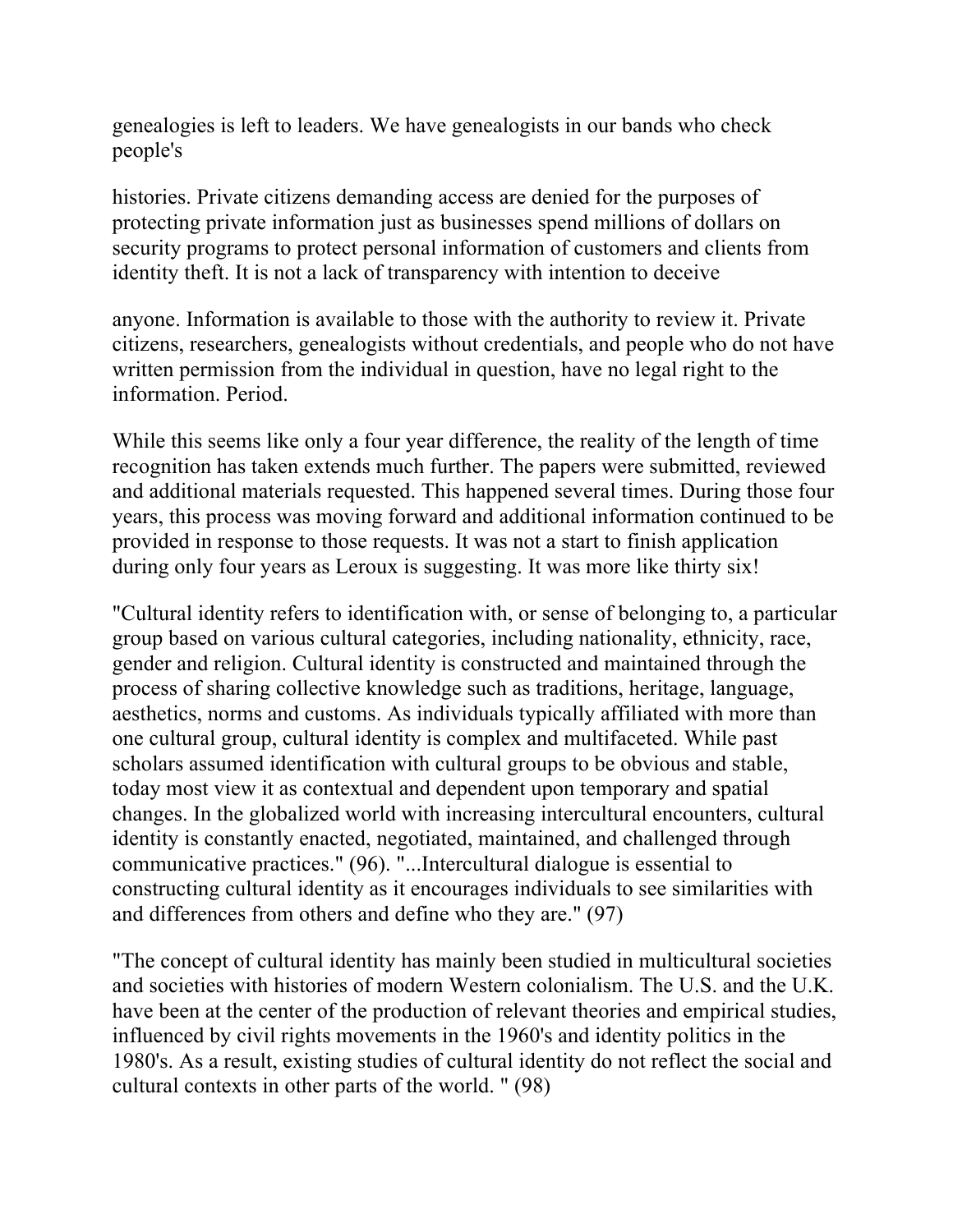genealogies is left to leaders. We have genealogists in our bands who check people's

histories. Private citizens demanding access are denied for the purposes of protecting private information just as businesses spend millions of dollars on security programs to protect personal information of customers and clients from identity theft. It is not a lack of transparency with intention to deceive

anyone. Information is available to those with the authority to review it. Private citizens, researchers, genealogists without credentials, and people who do not have written permission from the individual in question, have no legal right to the information. Period.

While this seems like only a four year difference, the reality of the length of time recognition has taken extends much further. The papers were submitted, reviewed and additional materials requested. This happened several times. During those four years, this process was moving forward and additional information continued to be provided in response to those requests. It was not a start to finish application during only four years as Leroux is suggesting. It was more like thirty six!

"Cultural identity refers to identification with, or sense of belonging to, a particular group based on various cultural categories, including nationality, ethnicity, race, gender and religion. Cultural identity is constructed and maintained through the process of sharing collective knowledge such as traditions, heritage, language, aesthetics, norms and customs. As individuals typically affiliated with more than one cultural group, cultural identity is complex and multifaceted. While past scholars assumed identification with cultural groups to be obvious and stable, today most view it as contextual and dependent upon temporary and spatial changes. In the globalized world with increasing intercultural encounters, cultural identity is constantly enacted, negotiated, maintained, and challenged through communicative practices." (96). "...Intercultural dialogue is essential to constructing cultural identity as it encourages individuals to see similarities with and differences from others and define who they are." (97)

"The concept of cultural identity has mainly been studied in multicultural societies and societies with histories of modern Western colonialism. The U.S. and the U.K. have been at the center of the production of relevant theories and empirical studies, influenced by civil rights movements in the 1960's and identity politics in the 1980's. As a result, existing studies of cultural identity do not reflect the social and cultural contexts in other parts of the world. " (98)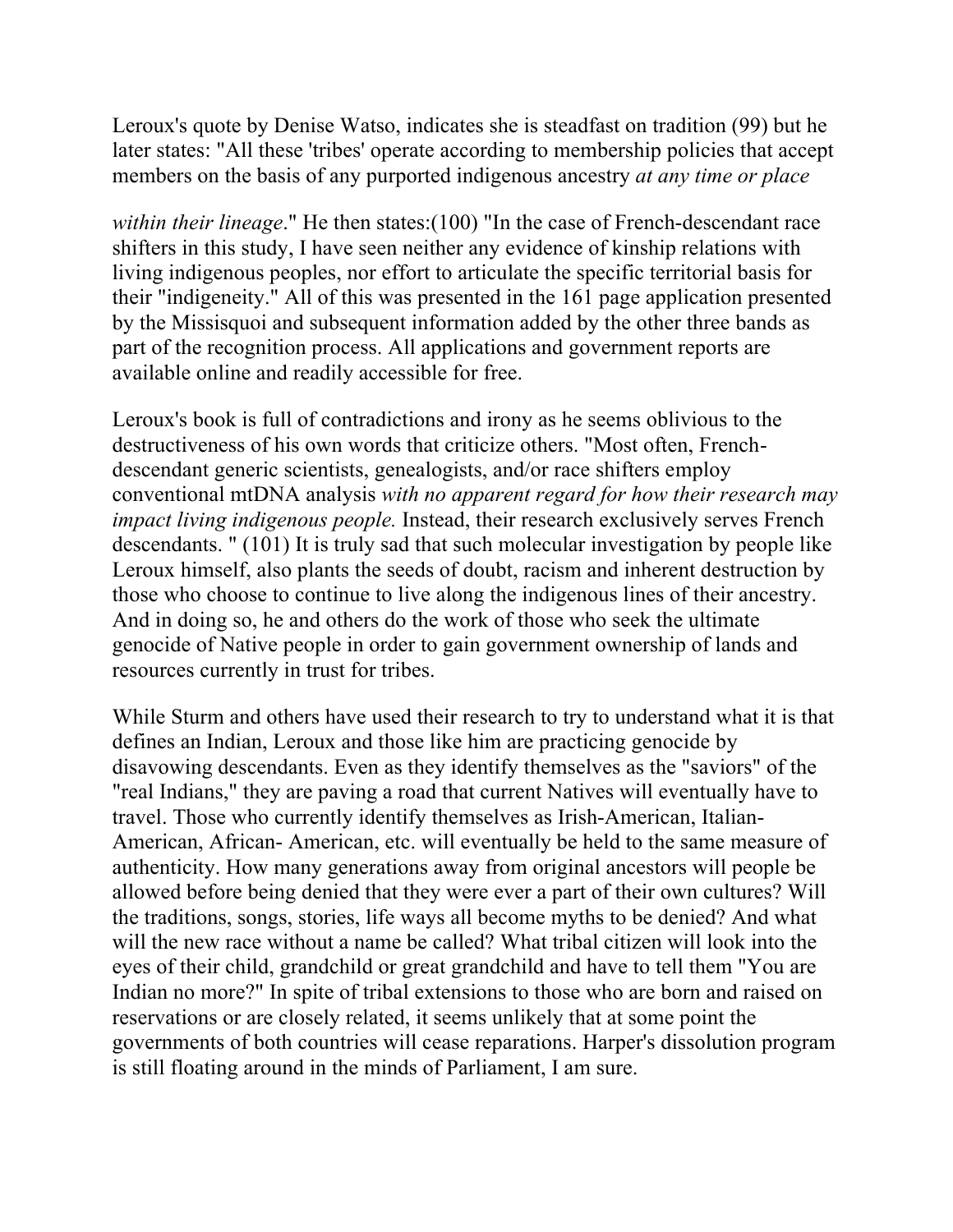Leroux's quote by Denise Watso, indicates she is steadfast on tradition (99) but he later states: "All these 'tribes' operate according to membership policies that accept members on the basis of any purported indigenous ancestry *at any time or place* 

*within their lineage*." He then states:(100) "In the case of French-descendant race shifters in this study, I have seen neither any evidence of kinship relations with living indigenous peoples, nor effort to articulate the specific territorial basis for their "indigeneity." All of this was presented in the 161 page application presented by the Missisquoi and subsequent information added by the other three bands as part of the recognition process. All applications and government reports are available online and readily accessible for free.

Leroux's book is full of contradictions and irony as he seems oblivious to the destructiveness of his own words that criticize others. "Most often, Frenchdescendant generic scientists, genealogists, and/or race shifters employ conventional mtDNA analysis *with no apparent regard for how their research may impact living indigenous people.* Instead, their research exclusively serves French descendants. " (101) It is truly sad that such molecular investigation by people like Leroux himself, also plants the seeds of doubt, racism and inherent destruction by those who choose to continue to live along the indigenous lines of their ancestry. And in doing so, he and others do the work of those who seek the ultimate genocide of Native people in order to gain government ownership of lands and resources currently in trust for tribes.

While Sturm and others have used their research to try to understand what it is that defines an Indian, Leroux and those like him are practicing genocide by disavowing descendants. Even as they identify themselves as the "saviors" of the "real Indians," they are paving a road that current Natives will eventually have to travel. Those who currently identify themselves as Irish-American, Italian-American, African- American, etc. will eventually be held to the same measure of authenticity. How many generations away from original ancestors will people be allowed before being denied that they were ever a part of their own cultures? Will the traditions, songs, stories, life ways all become myths to be denied? And what will the new race without a name be called? What tribal citizen will look into the eyes of their child, grandchild or great grandchild and have to tell them "You are Indian no more?" In spite of tribal extensions to those who are born and raised on reservations or are closely related, it seems unlikely that at some point the governments of both countries will cease reparations. Harper's dissolution program is still floating around in the minds of Parliament, I am sure.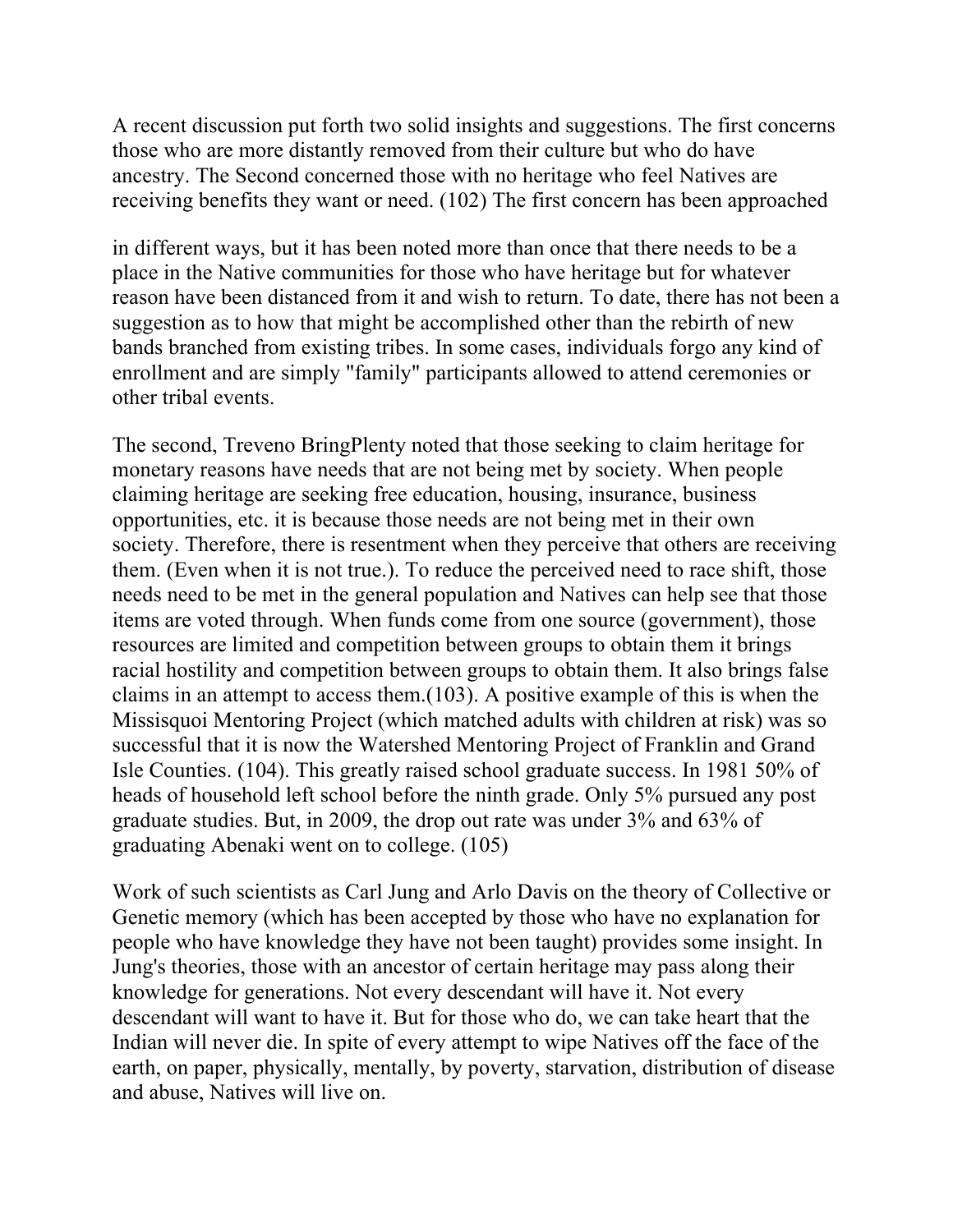A recent discussion put forth two solid insights and suggestions. The first concerns those who are more distantly removed from their culture but who do have ancestry. The Second concerned those with no heritage who feel Natives are receiving benefits they want or need. (102) The first concern has been approached

in different ways, but it has been noted more than once that there needs to be a place in the Native communities for those who have heritage but for whatever reason have been distanced from it and wish to return. To date, there has not been a suggestion as to how that might be accomplished other than the rebirth of new bands branched from existing tribes. In some cases, individuals forgo any kind of enrollment and are simply "family" participants allowed to attend ceremonies or other tribal events.

The second, Treveno BringPlenty noted that those seeking to claim heritage for monetary reasons have needs that are not being met by society. When people claiming heritage are seeking free education, housing, insurance, business opportunities, etc. it is because those needs are not being met in their own society. Therefore, there is resentment when they perceive that others are receiving them. (Even when it is not true.). To reduce the perceived need to race shift, those needs need to be met in the general population and Natives can help see that those items are voted through. When funds come from one source (government), those resources are limited and competition between groups to obtain them it brings racial hostility and competition between groups to obtain them. It also brings false claims in an attempt to access them.(103). A positive example of this is when the Missisquoi Mentoring Project (which matched adults with children at risk) was so successful that it is now the Watershed Mentoring Project of Franklin and Grand Isle Counties. (104). This greatly raised school graduate success. In 1981 50% of heads of household left school before the ninth grade. Only 5% pursued any post graduate studies. But, in 2009, the drop out rate was under 3% and 63% of graduating Abenaki went on to college. (105)

Work of such scientists as Carl Jung and Arlo Davis on the theory of Collective or Genetic memory (which has been accepted by those who have no explanation for people who have knowledge they have not been taught) provides some insight. In Jung's theories, those with an ancestor of certain heritage may pass along their knowledge for generations. Not every descendant will have it. Not every descendant will want to have it. But for those who do, we can take heart that the Indian will never die. In spite of every attempt to wipe Natives off the face of the earth, on paper, physically, mentally, by poverty, starvation, distribution of disease and abuse, Natives will live on.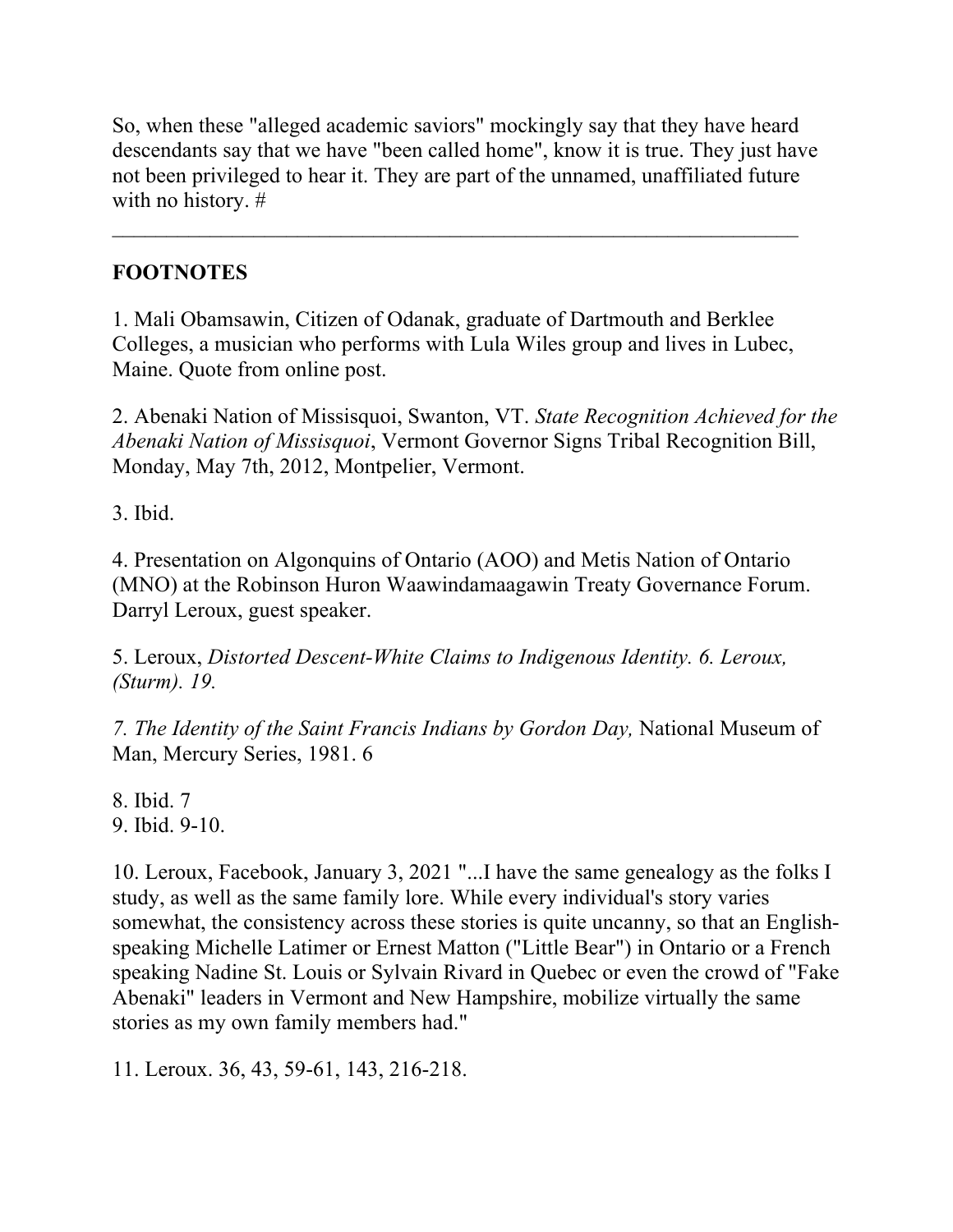So, when these "alleged academic saviors" mockingly say that they have heard descendants say that we have "been called home", know it is true. They just have not been privileged to hear it. They are part of the unnamed, unaffiliated future with no history. #

 $\mathcal{L}_\text{max} = \frac{1}{2} \sum_{i=1}^n \mathcal{L}_\text{max}(\mathbf{x}_i - \mathbf{y}_i)$ 

## **FOOTNOTES**

1. Mali Obamsawin, Citizen of Odanak, graduate of Dartmouth and Berklee Colleges, a musician who performs with Lula Wiles group and lives in Lubec, Maine. Quote from online post.

2. Abenaki Nation of Missisquoi, Swanton, VT. *State Recognition Achieved for the Abenaki Nation of Missisquoi*, Vermont Governor Signs Tribal Recognition Bill, Monday, May 7th, 2012, Montpelier, Vermont.

3. Ibid.

4. Presentation on Algonquins of Ontario (AOO) and Metis Nation of Ontario (MNO) at the Robinson Huron Waawindamaagawin Treaty Governance Forum. Darryl Leroux, guest speaker.

5. Leroux, *Distorted Descent-White Claims to Indigenous Identity. 6. Leroux, (Sturm). 19.* 

*7. The Identity of the Saint Francis Indians by Gordon Day,* National Museum of Man, Mercury Series, 1981. 6

8. Ibid. 7 9. Ibid. 9-10.

10. Leroux, Facebook, January 3, 2021 "...I have the same genealogy as the folks I study, as well as the same family lore. While every individual's story varies somewhat, the consistency across these stories is quite uncanny, so that an Englishspeaking Michelle Latimer or Ernest Matton ("Little Bear") in Ontario or a French speaking Nadine St. Louis or Sylvain Rivard in Quebec or even the crowd of "Fake Abenaki" leaders in Vermont and New Hampshire, mobilize virtually the same stories as my own family members had."

11. Leroux. 36, 43, 59-61, 143, 216-218.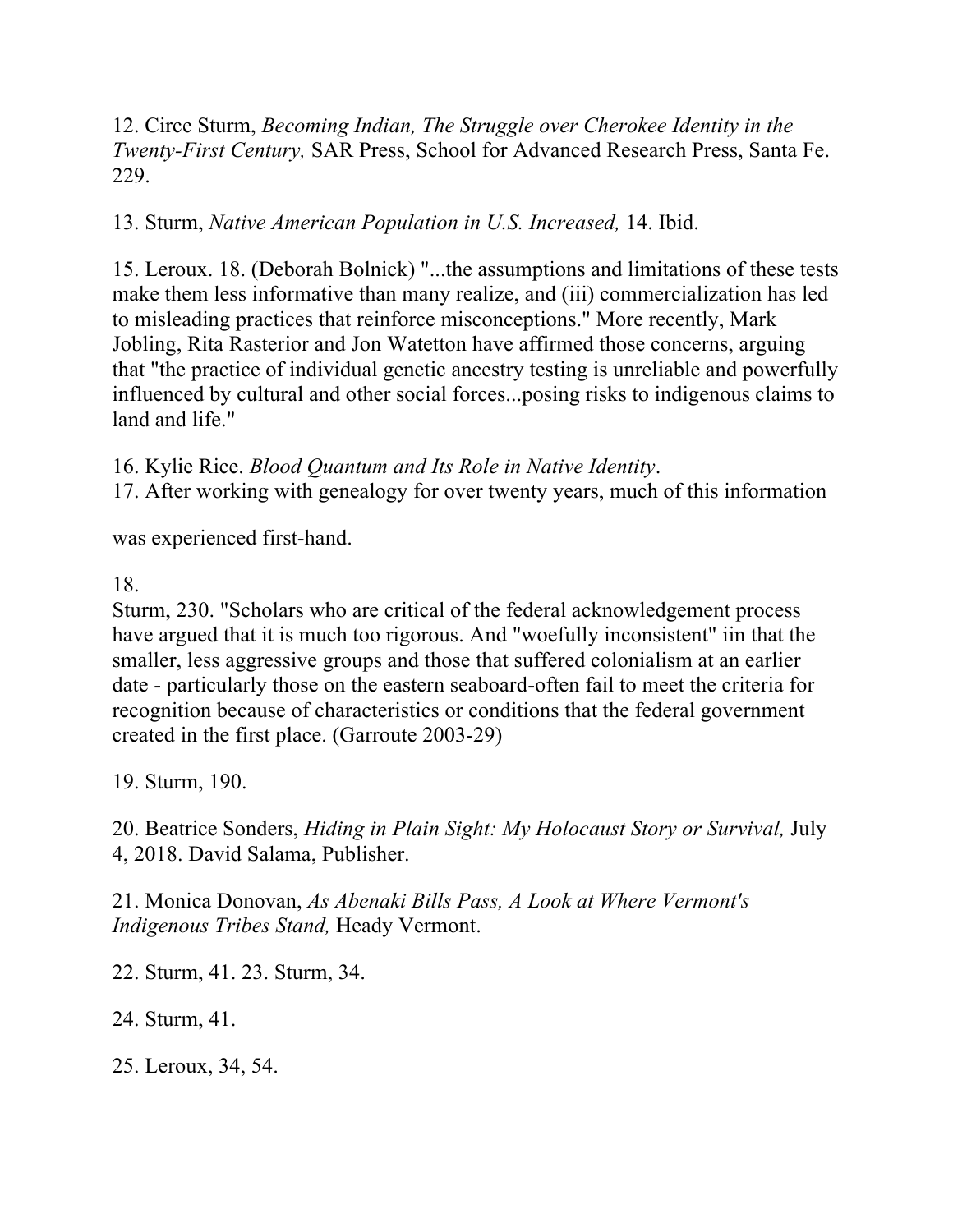12. Circe Sturm, *Becoming Indian, The Struggle over Cherokee Identity in the Twenty-First Century,* SAR Press, School for Advanced Research Press, Santa Fe. 229.

#### 13. Sturm, *Native American Population in U.S. Increased,* 14. Ibid.

15. Leroux. 18. (Deborah Bolnick) "...the assumptions and limitations of these tests make them less informative than many realize, and (iii) commercialization has led to misleading practices that reinforce misconceptions." More recently, Mark Jobling, Rita Rasterior and Jon Watetton have affirmed those concerns, arguing that "the practice of individual genetic ancestry testing is unreliable and powerfully influenced by cultural and other social forces...posing risks to indigenous claims to land and life."

16. Kylie Rice. *Blood Quantum and Its Role in Native Identity*.

17. After working with genealogy for over twenty years, much of this information

was experienced first-hand.

#### 18.

Sturm, 230. "Scholars who are critical of the federal acknowledgement process have argued that it is much too rigorous. And "woefully inconsistent" iin that the smaller, less aggressive groups and those that suffered colonialism at an earlier date - particularly those on the eastern seaboard-often fail to meet the criteria for recognition because of characteristics or conditions that the federal government created in the first place. (Garroute 2003-29)

19. Sturm, 190.

20. Beatrice Sonders, *Hiding in Plain Sight: My Holocaust Story or Survival,* July 4, 2018. David Salama, Publisher.

21. Monica Donovan, *As Abenaki Bills Pass, A Look at Where Vermont's Indigenous Tribes Stand,* Heady Vermont.

22. Sturm, 41. 23. Sturm, 34.

24. Sturm, 41.

25. Leroux, 34, 54.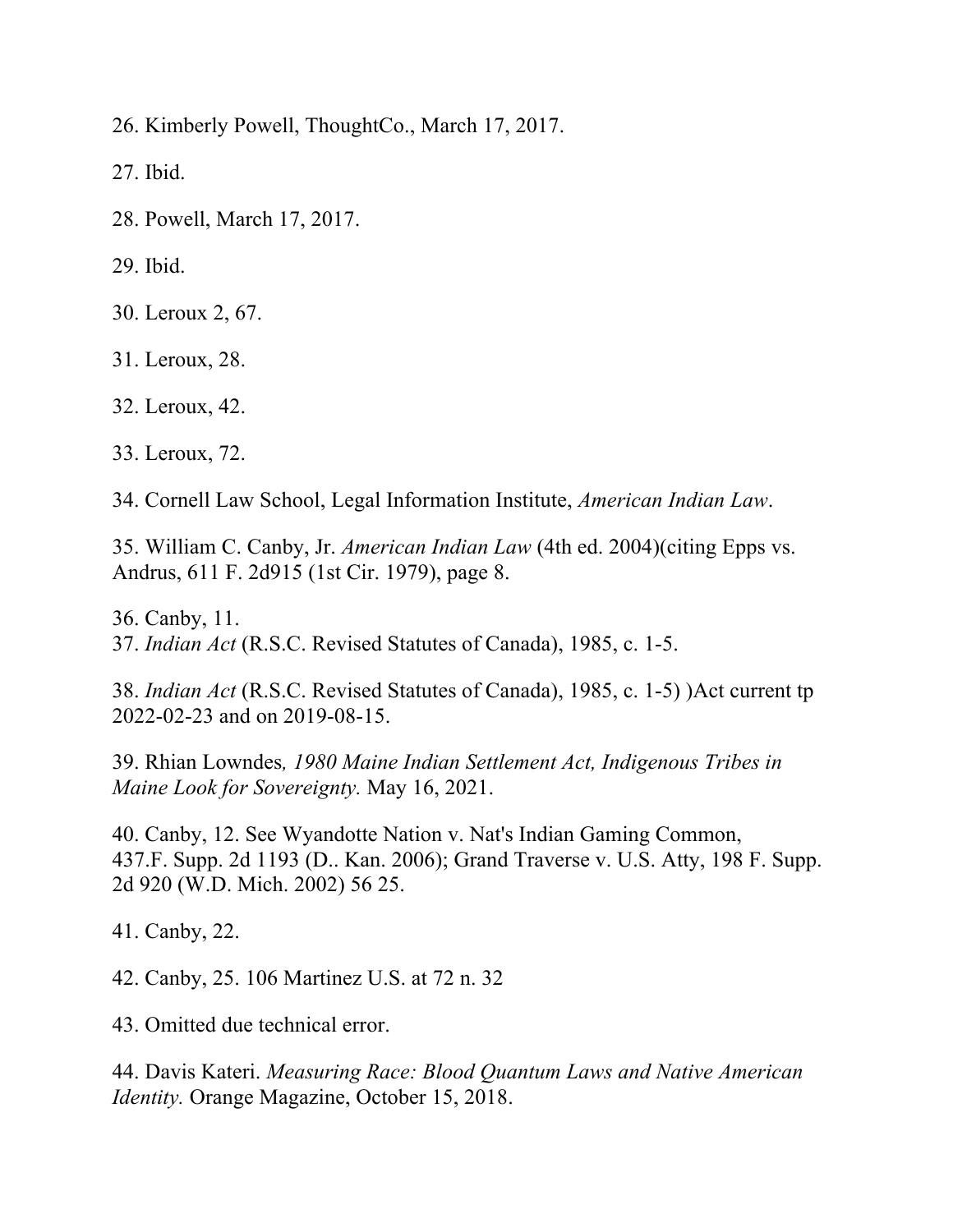26. Kimberly Powell, ThoughtCo., March 17, 2017.

27. Ibid.

28. Powell, March 17, 2017.

29. Ibid.

30. Leroux 2, 67.

31. Leroux, 28.

32. Leroux, 42.

33. Leroux, 72.

34. Cornell Law School, Legal Information Institute, *American Indian Law*.

35. William C. Canby, Jr. *American Indian Law* (4th ed. 2004)(citing Epps vs. Andrus, 611 F. 2d915 (1st Cir. 1979), page 8.

36. Canby, 11. 37. *Indian Act* (R.S.C. Revised Statutes of Canada), 1985, c. 1-5.

38. *Indian Act* (R.S.C. Revised Statutes of Canada), 1985, c. 1-5) )Act current tp 2022-02-23 and on 2019-08-15.

39. Rhian Lowndes*, 1980 Maine Indian Settlement Act, Indigenous Tribes in Maine Look for Sovereignty.* May 16, 2021.

40. Canby, 12. See Wyandotte Nation v. Nat's Indian Gaming Common, 437.F. Supp. 2d 1193 (D.. Kan. 2006); Grand Traverse v. U.S. Atty, 198 F. Supp. 2d 920 (W.D. Mich. 2002) 56 25.

41. Canby, 22.

42. Canby, 25. 106 Martinez U.S. at 72 n. 32

43. Omitted due technical error.

44. Davis Kateri. *Measuring Race: Blood Quantum Laws and Native American Identity.* Orange Magazine, October 15, 2018.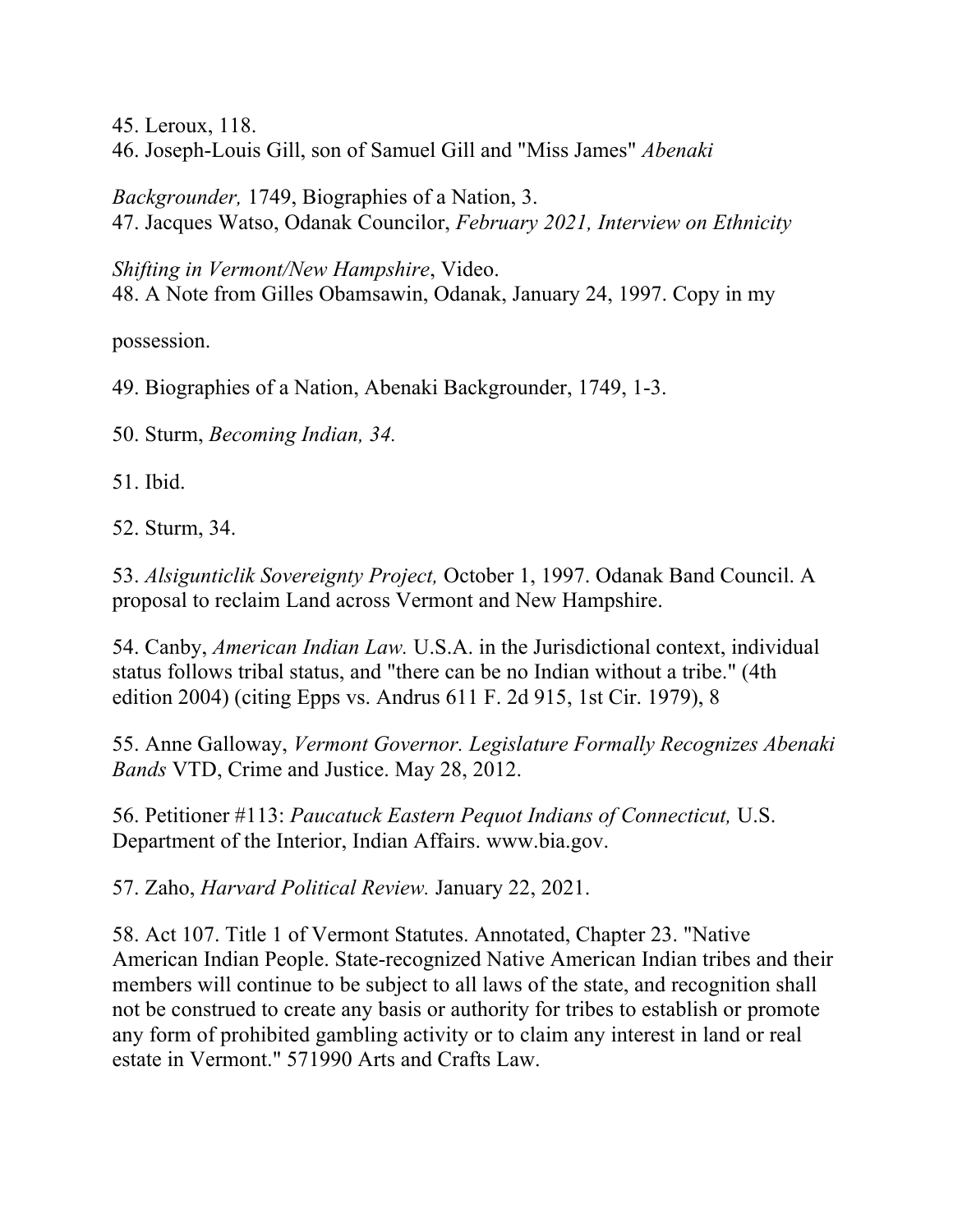45. Leroux, 118.

46. Joseph-Louis Gill, son of Samuel Gill and "Miss James" *Abenaki* 

*Backgrounder,* 1749, Biographies of a Nation, 3. 47. Jacques Watso, Odanak Councilor, *February 2021, Interview on Ethnicity* 

*Shifting in Vermont/New Hampshire*, Video. 48. A Note from Gilles Obamsawin, Odanak, January 24, 1997. Copy in my

possession.

49. Biographies of a Nation, Abenaki Backgrounder, 1749, 1-3.

50. Sturm, *Becoming Indian, 34.* 

51. Ibid.

52. Sturm, 34.

53. *Alsigunticlik Sovereignty Project,* October 1, 1997. Odanak Band Council. A proposal to reclaim Land across Vermont and New Hampshire.

54. Canby, *American Indian Law.* U.S.A. in the Jurisdictional context, individual status follows tribal status, and "there can be no Indian without a tribe." (4th edition 2004) (citing Epps vs. Andrus 611 F. 2d 915, 1st Cir. 1979), 8

55. Anne Galloway, *Vermont Governor. Legislature Formally Recognizes Abenaki Bands* VTD, Crime and Justice. May 28, 2012.

56. Petitioner #113: *Paucatuck Eastern Pequot Indians of Connecticut,* U.S. Department of the Interior, Indian Affairs. www.bia.gov.

57. Zaho, *Harvard Political Review.* January 22, 2021.

58. Act 107. Title 1 of Vermont Statutes. Annotated, Chapter 23. "Native American Indian People. State-recognized Native American Indian tribes and their members will continue to be subject to all laws of the state, and recognition shall not be construed to create any basis or authority for tribes to establish or promote any form of prohibited gambling activity or to claim any interest in land or real estate in Vermont." 571990 Arts and Crafts Law.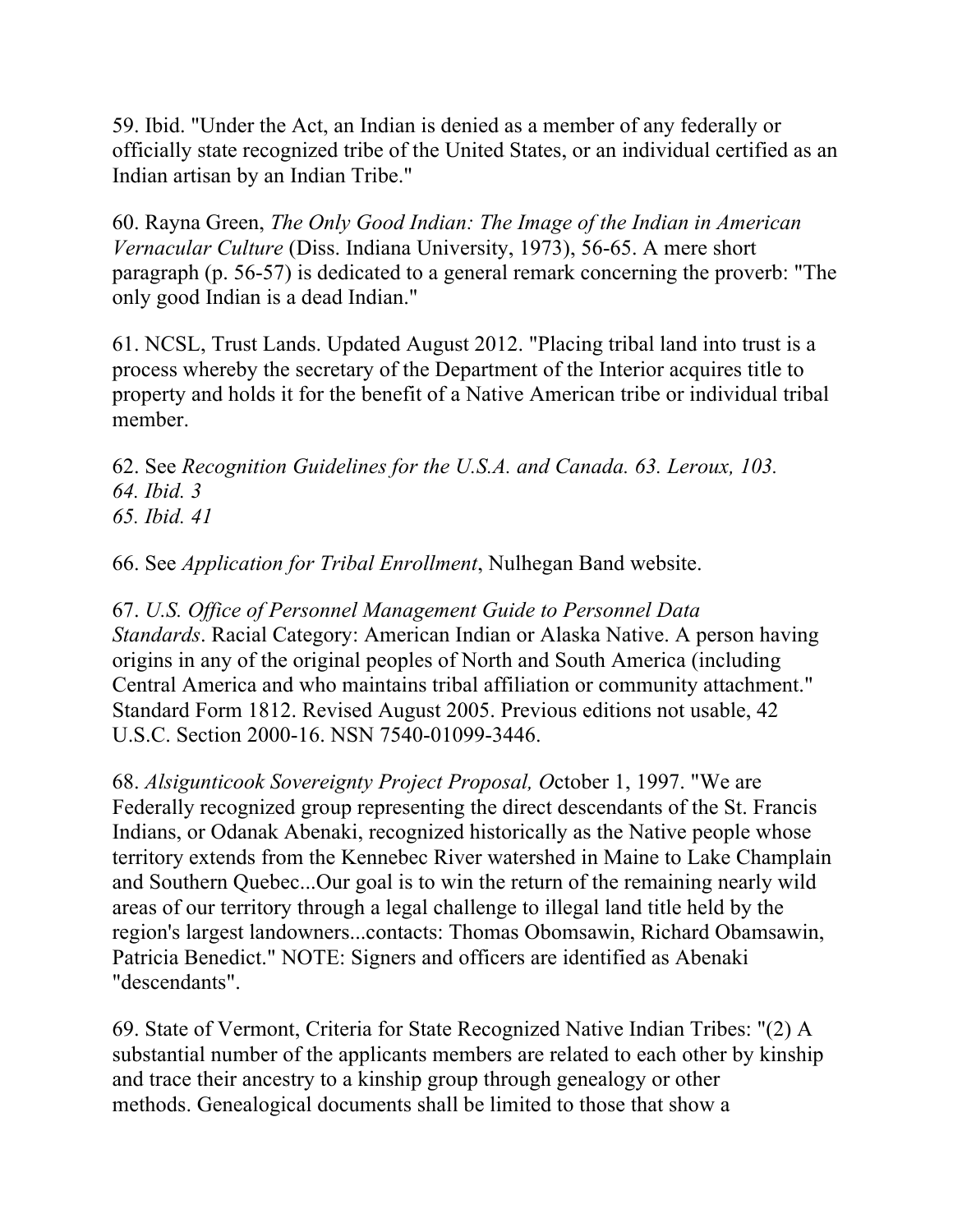59. Ibid. "Under the Act, an Indian is denied as a member of any federally or officially state recognized tribe of the United States, or an individual certified as an Indian artisan by an Indian Tribe."

60. Rayna Green, *The Only Good Indian: The Image of the Indian in American Vernacular Culture* (Diss. Indiana University, 1973), 56-65. A mere short paragraph (p. 56-57) is dedicated to a general remark concerning the proverb: "The only good Indian is a dead Indian."

61. NCSL, Trust Lands. Updated August 2012. "Placing tribal land into trust is a process whereby the secretary of the Department of the Interior acquires title to property and holds it for the benefit of a Native American tribe or individual tribal member.

62. See *Recognition Guidelines for the U.S.A. and Canada. 63. Leroux, 103. 64. Ibid. 3 65. Ibid. 41* 

66. See *Application for Tribal Enrollment*, Nulhegan Band website.

67. *U.S. Office of Personnel Management Guide to Personnel Data Standards*. Racial Category: American Indian or Alaska Native. A person having origins in any of the original peoples of North and South America (including Central America and who maintains tribal affiliation or community attachment." Standard Form 1812. Revised August 2005. Previous editions not usable, 42 U.S.C. Section 2000-16. NSN 7540-01099-3446.

68. *Alsigunticook Sovereignty Project Proposal, O*ctober 1, 1997. "We are Federally recognized group representing the direct descendants of the St. Francis Indians, or Odanak Abenaki, recognized historically as the Native people whose territory extends from the Kennebec River watershed in Maine to Lake Champlain and Southern Quebec...Our goal is to win the return of the remaining nearly wild areas of our territory through a legal challenge to illegal land title held by the region's largest landowners...contacts: Thomas Obomsawin, Richard Obamsawin, Patricia Benedict." NOTE: Signers and officers are identified as Abenaki "descendants".

69. State of Vermont, Criteria for State Recognized Native Indian Tribes: "(2) A substantial number of the applicants members are related to each other by kinship and trace their ancestry to a kinship group through genealogy or other methods. Genealogical documents shall be limited to those that show a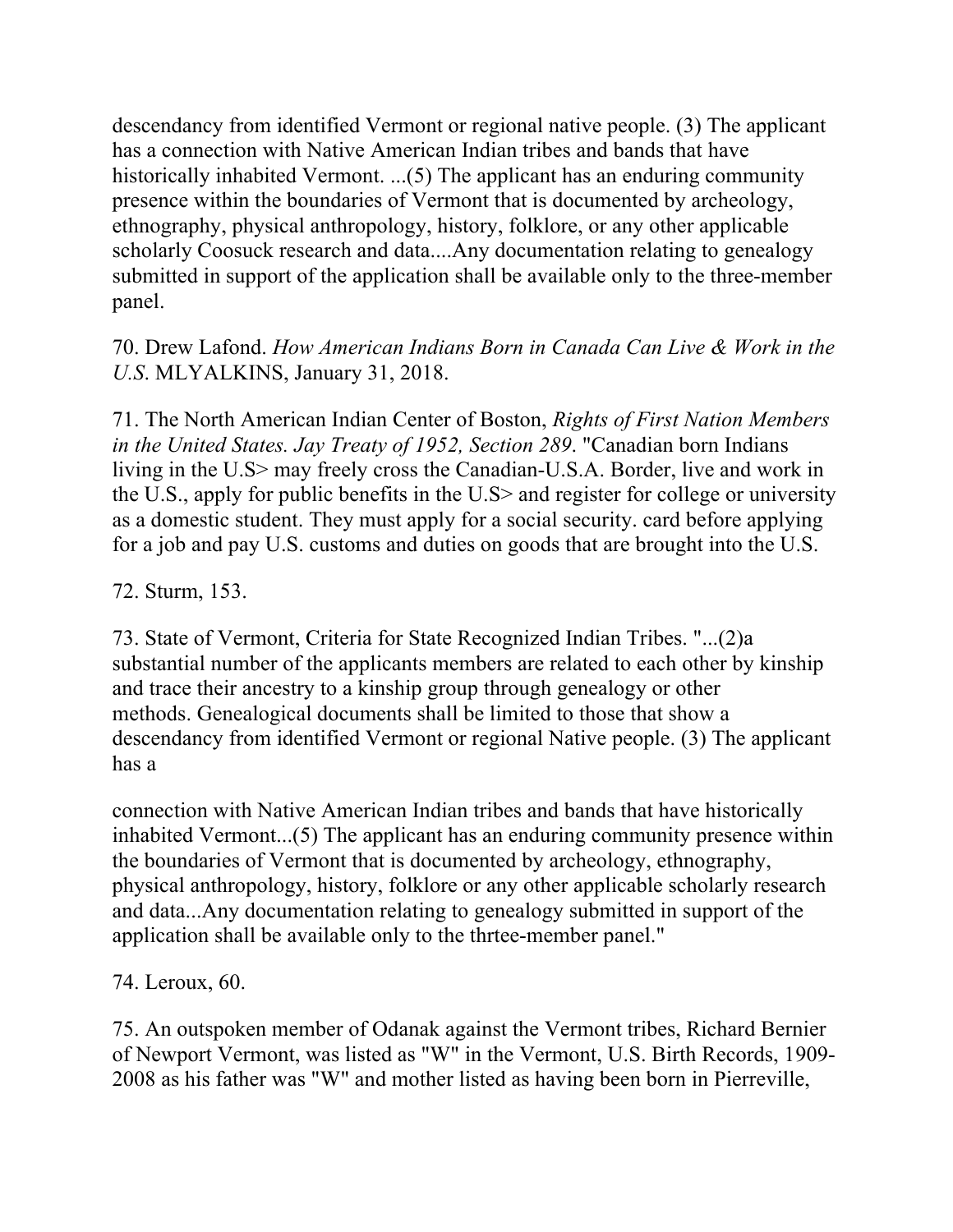descendancy from identified Vermont or regional native people. (3) The applicant has a connection with Native American Indian tribes and bands that have historically inhabited Vermont. ...(5) The applicant has an enduring community presence within the boundaries of Vermont that is documented by archeology, ethnography, physical anthropology, history, folklore, or any other applicable scholarly Coosuck research and data....Any documentation relating to genealogy submitted in support of the application shall be available only to the three-member panel.

### 70. Drew Lafond. *How American Indians Born in Canada Can Live & Work in the U.S*. MLYALKINS, January 31, 2018.

71. The North American Indian Center of Boston, *Rights of First Nation Members in the United States. Jay Treaty of 1952, Section 289*. "Canadian born Indians living in the U.S> may freely cross the Canadian-U.S.A. Border, live and work in the U.S., apply for public benefits in the U.S> and register for college or university as a domestic student. They must apply for a social security. card before applying for a job and pay U.S. customs and duties on goods that are brought into the U.S.

72. Sturm, 153.

73. State of Vermont, Criteria for State Recognized Indian Tribes. "...(2)a substantial number of the applicants members are related to each other by kinship and trace their ancestry to a kinship group through genealogy or other methods. Genealogical documents shall be limited to those that show a descendancy from identified Vermont or regional Native people. (3) The applicant has a

connection with Native American Indian tribes and bands that have historically inhabited Vermont...(5) The applicant has an enduring community presence within the boundaries of Vermont that is documented by archeology, ethnography, physical anthropology, history, folklore or any other applicable scholarly research and data...Any documentation relating to genealogy submitted in support of the application shall be available only to the thrtee-member panel."

74. Leroux, 60.

75. An outspoken member of Odanak against the Vermont tribes, Richard Bernier of Newport Vermont, was listed as "W" in the Vermont, U.S. Birth Records, 1909- 2008 as his father was "W" and mother listed as having been born in Pierreville,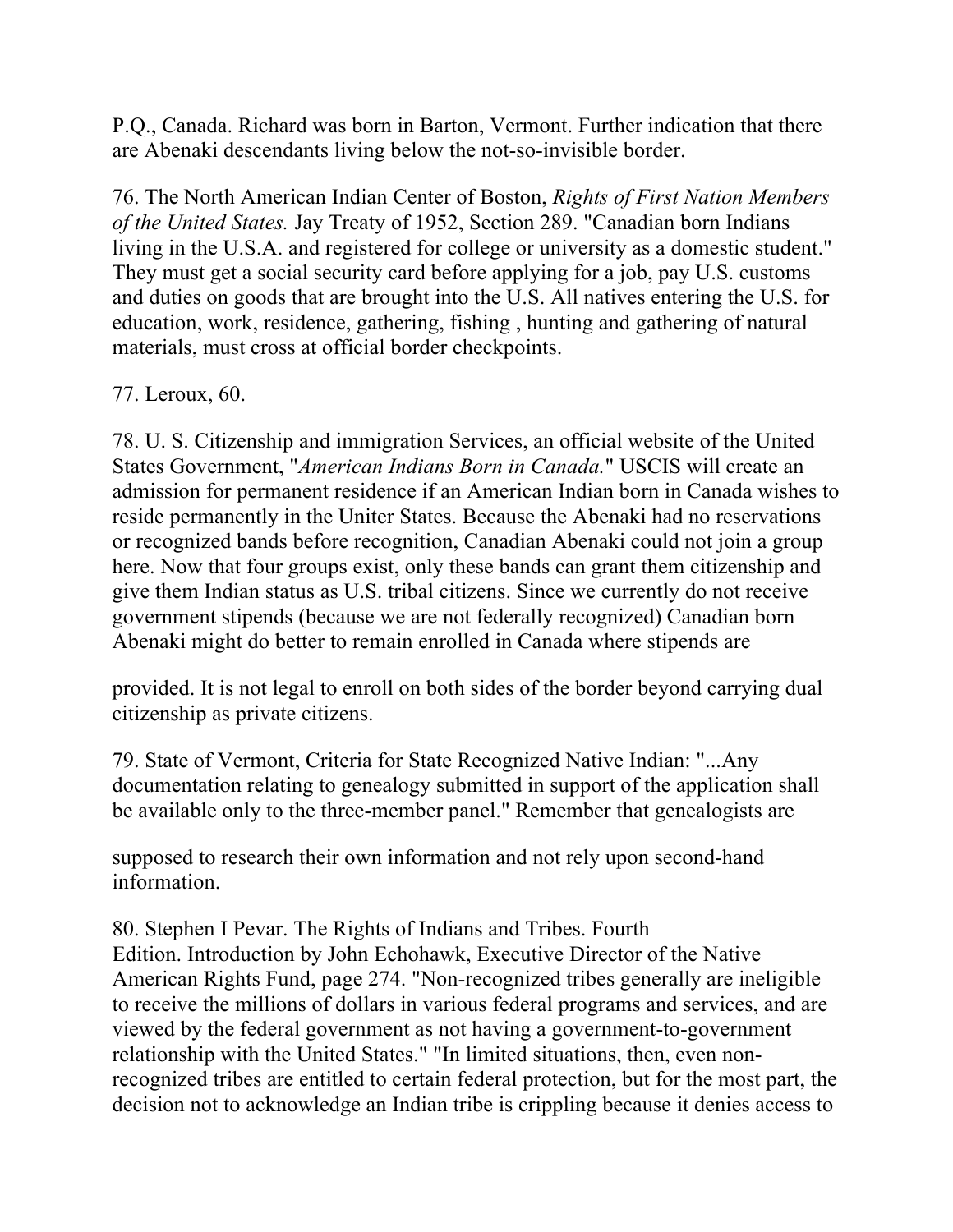P.Q., Canada. Richard was born in Barton, Vermont. Further indication that there are Abenaki descendants living below the not-so-invisible border.

76. The North American Indian Center of Boston, *Rights of First Nation Members of the United States.* Jay Treaty of 1952, Section 289. "Canadian born Indians living in the U.S.A. and registered for college or university as a domestic student." They must get a social security card before applying for a job, pay U.S. customs and duties on goods that are brought into the U.S. All natives entering the U.S. for education, work, residence, gathering, fishing , hunting and gathering of natural materials, must cross at official border checkpoints.

#### 77. Leroux, 60.

78. U. S. Citizenship and immigration Services, an official website of the United States Government, "*American Indians Born in Canada.*" USCIS will create an admission for permanent residence if an American Indian born in Canada wishes to reside permanently in the Uniter States. Because the Abenaki had no reservations or recognized bands before recognition, Canadian Abenaki could not join a group here. Now that four groups exist, only these bands can grant them citizenship and give them Indian status as U.S. tribal citizens. Since we currently do not receive government stipends (because we are not federally recognized) Canadian born Abenaki might do better to remain enrolled in Canada where stipends are

provided. It is not legal to enroll on both sides of the border beyond carrying dual citizenship as private citizens.

79. State of Vermont, Criteria for State Recognized Native Indian: "...Any documentation relating to genealogy submitted in support of the application shall be available only to the three-member panel." Remember that genealogists are

supposed to research their own information and not rely upon second-hand information.

80. Stephen I Pevar. The Rights of Indians and Tribes. Fourth Edition. Introduction by John Echohawk, Executive Director of the Native American Rights Fund, page 274. "Non-recognized tribes generally are ineligible to receive the millions of dollars in various federal programs and services, and are viewed by the federal government as not having a government-to-government relationship with the United States." "In limited situations, then, even nonrecognized tribes are entitled to certain federal protection, but for the most part, the decision not to acknowledge an Indian tribe is crippling because it denies access to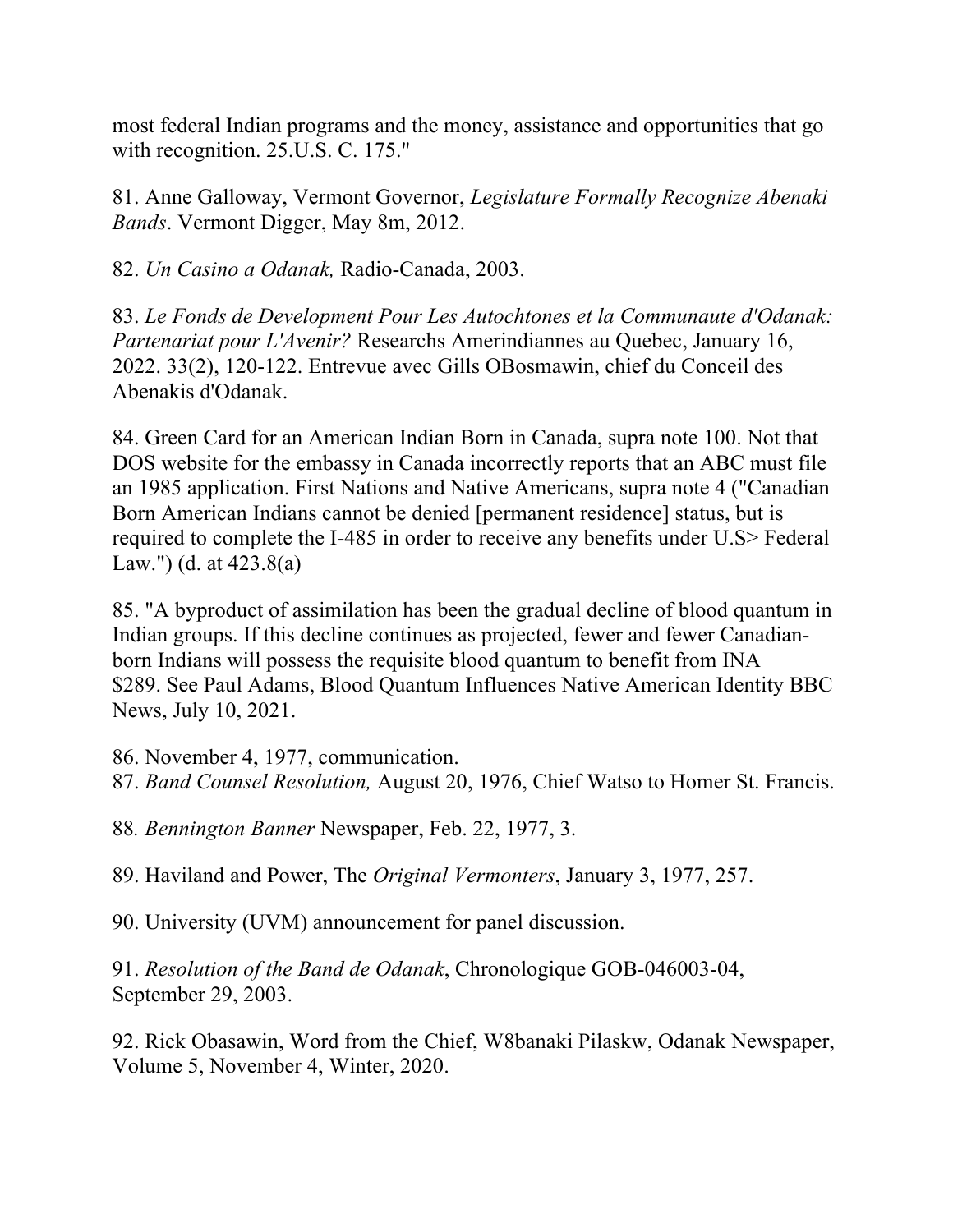most federal Indian programs and the money, assistance and opportunities that go with recognition. 25.U.S. C. 175."

81. Anne Galloway, Vermont Governor, *Legislature Formally Recognize Abenaki Bands*. Vermont Digger, May 8m, 2012.

82. *Un Casino a Odanak,* Radio-Canada, 2003.

83. *Le Fonds de Development Pour Les Autochtones et la Communaute d'Odanak: Partenariat pour L'Avenir?* Researchs Amerindiannes au Quebec, January 16, 2022. 33(2), 120-122. Entrevue avec Gills OBosmawin, chief du Conceil des Abenakis d'Odanak.

84. Green Card for an American Indian Born in Canada, supra note 100. Not that DOS website for the embassy in Canada incorrectly reports that an ABC must file an 1985 application. First Nations and Native Americans, supra note 4 ("Canadian Born American Indians cannot be denied [permanent residence] status, but is required to complete the I-485 in order to receive any benefits under U.S> Federal Law.") (d. at 423.8(a)

85. "A byproduct of assimilation has been the gradual decline of blood quantum in Indian groups. If this decline continues as projected, fewer and fewer Canadianborn Indians will possess the requisite blood quantum to benefit from INA \$289. See Paul Adams, Blood Quantum Influences Native American Identity BBC News, July 10, 2021.

86. November 4, 1977, communication. 87. *Band Counsel Resolution,* August 20, 1976, Chief Watso to Homer St. Francis.

88*. Bennington Banner* Newspaper, Feb. 22, 1977, 3.

89. Haviland and Power, The *Original Vermonters*, January 3, 1977, 257.

90. University (UVM) announcement for panel discussion.

91. *Resolution of the Band de Odanak*, Chronologique GOB-046003-04, September 29, 2003.

92. Rick Obasawin, Word from the Chief, W8banaki Pilaskw, Odanak Newspaper, Volume 5, November 4, Winter, 2020.